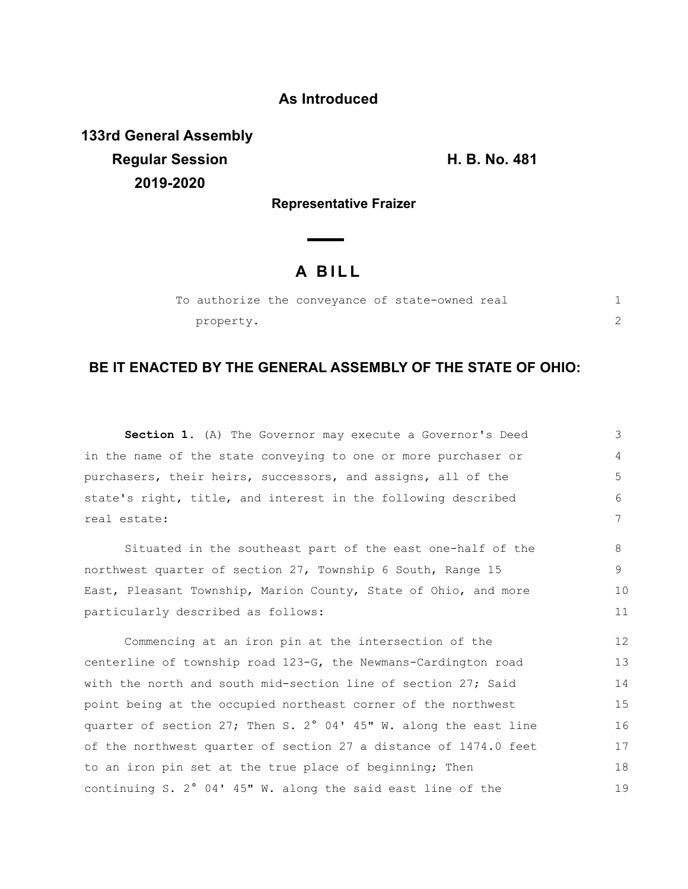### **As Introduced**

**133rd General Assembly Regular Session H. B. No. 481 2019-2020**

**Representative Fraizer**

# **A B I L L**

|  |           |  | To authorize the conveyance of state-owned real |  |  |
|--|-----------|--|-------------------------------------------------|--|--|
|  | property. |  |                                                 |  |  |

## **BE IT ENACTED BY THE GENERAL ASSEMBLY OF THE STATE OF OHIO:**

**Section 1.** (A) The Governor may execute a Governor's Deed in the name of the state conveying to one or more purchaser or purchasers, their heirs, successors, and assigns, all of the state's right, title, and interest in the following described real estate: Situated in the southeast part of the east one-half of the northwest quarter of section 27, Township 6 South, Range 15 East, Pleasant Township, Marion County, State of Ohio, and more particularly described as follows: Commencing at an iron pin at the intersection of the centerline of township road 123-G, the Newmans-Cardington road with the north and south mid-section line of section 27; Said point being at the occupied northeast corner of the northwest quarter of section 27; Then S. 2° 04' 45" W. along the east line of the northwest quarter of section 27 a distance of 1474.0 feet to an iron pin set at the true place of beginning; Then continuing S. 2° 04' 45" W. along the said east line of the 3 4 5 6 7 8 9 10 11 12 13 14 15 16 17 18 19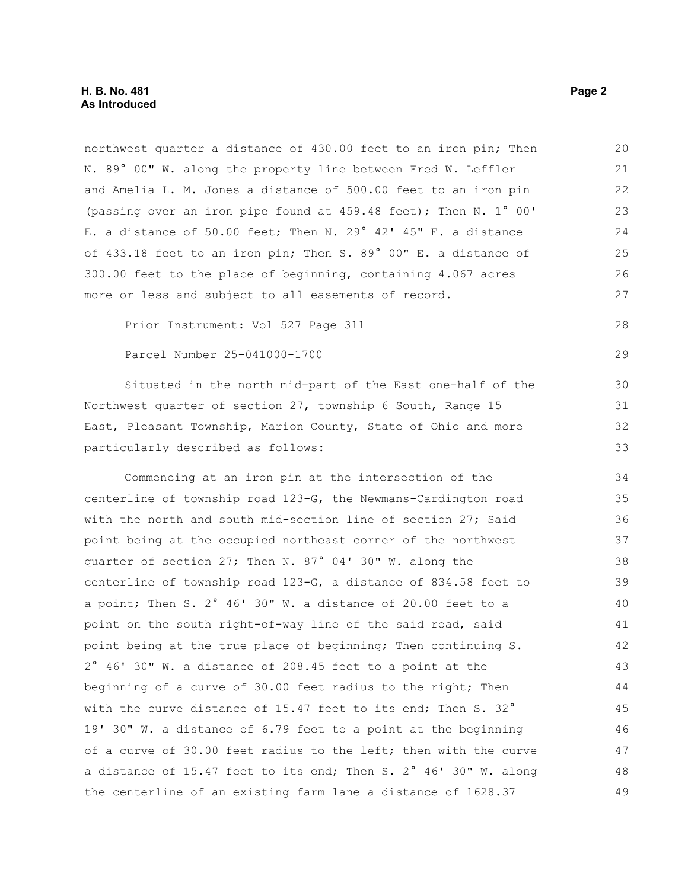northwest quarter a distance of 430.00 feet to an iron pin; Then N. 89° 00" W. along the property line between Fred W. Leffler and Amelia L. M. Jones a distance of 500.00 feet to an iron pin (passing over an iron pipe found at 459.48 feet); Then N. 1° 00' E. a distance of 50.00 feet; Then N. 29° 42' 45" E. a distance of 433.18 feet to an iron pin; Then S. 89° 00" E. a distance of 300.00 feet to the place of beginning, containing 4.067 acres more or less and subject to all easements of record. 20 21 22 23 24 25 26 27

Prior Instrument: Vol 527 Page 311

#### Parcel Number 25-041000-1700

Situated in the north mid-part of the East one-half of the Northwest quarter of section 27, township 6 South, Range 15 East, Pleasant Township, Marion County, State of Ohio and more particularly described as follows:

Commencing at an iron pin at the intersection of the centerline of township road 123-G, the Newmans-Cardington road with the north and south mid-section line of section 27; Said point being at the occupied northeast corner of the northwest quarter of section 27; Then N. 87° 04' 30" W. along the centerline of township road 123-G, a distance of 834.58 feet to a point; Then S. 2° 46' 30" W. a distance of 20.00 feet to a point on the south right-of-way line of the said road, said point being at the true place of beginning; Then continuing S. 2° 46' 30" W. a distance of 208.45 feet to a point at the beginning of a curve of 30.00 feet radius to the right; Then with the curve distance of 15.47 feet to its end; Then S. 32° 19' 30" W. a distance of 6.79 feet to a point at the beginning of a curve of 30.00 feet radius to the left; then with the curve a distance of 15.47 feet to its end; Then S. 2° 46' 30" W. along the centerline of an existing farm lane a distance of 1628.37 34 35 36 37 38 39 40 41 42 43 44 45 46 47 48 49

28

29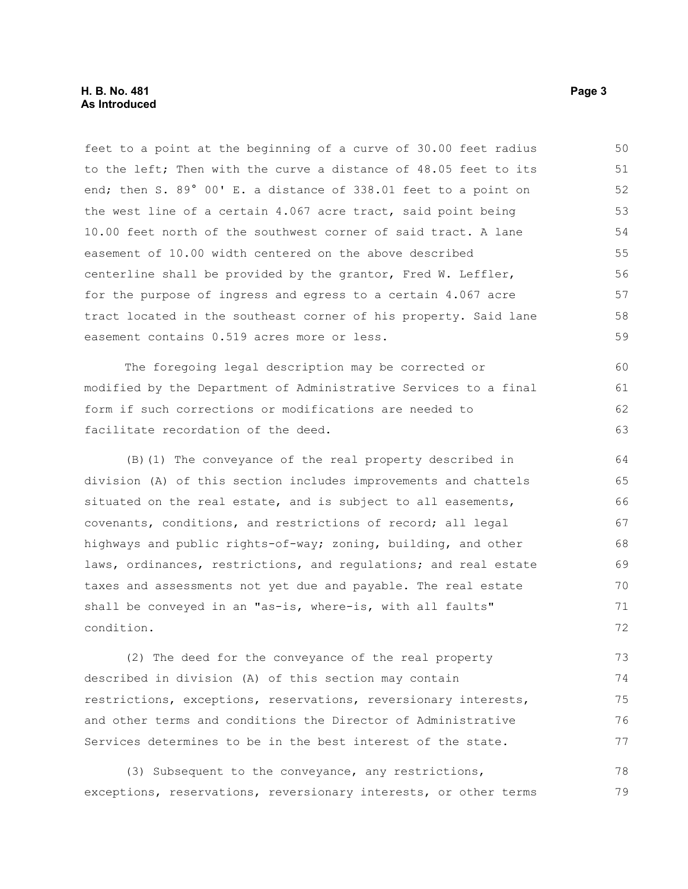#### **H. B. No. 481 Page 3 As Introduced**

feet to a point at the beginning of a curve of 30.00 feet radius to the left; Then with the curve a distance of 48.05 feet to its end; then S. 89° 00' E. a distance of 338.01 feet to a point on the west line of a certain 4.067 acre tract, said point being 10.00 feet north of the southwest corner of said tract. A lane easement of 10.00 width centered on the above described centerline shall be provided by the grantor, Fred W. Leffler, for the purpose of ingress and egress to a certain 4.067 acre tract located in the southeast corner of his property. Said lane easement contains 0.519 acres more or less. 50 51 52 53 54 55 56 57 58 59

The foregoing legal description may be corrected or modified by the Department of Administrative Services to a final form if such corrections or modifications are needed to facilitate recordation of the deed. 60 61 62 63

(B)(1) The conveyance of the real property described in division (A) of this section includes improvements and chattels situated on the real estate, and is subject to all easements, covenants, conditions, and restrictions of record; all legal highways and public rights-of-way; zoning, building, and other laws, ordinances, restrictions, and regulations; and real estate taxes and assessments not yet due and payable. The real estate shall be conveyed in an "as-is, where-is, with all faults" condition. 64 65 66 67 68 69 70 71 72

(2) The deed for the conveyance of the real property described in division (A) of this section may contain restrictions, exceptions, reservations, reversionary interests, and other terms and conditions the Director of Administrative Services determines to be in the best interest of the state. 73 74 75 76 77

(3) Subsequent to the conveyance, any restrictions, exceptions, reservations, reversionary interests, or other terms 78 79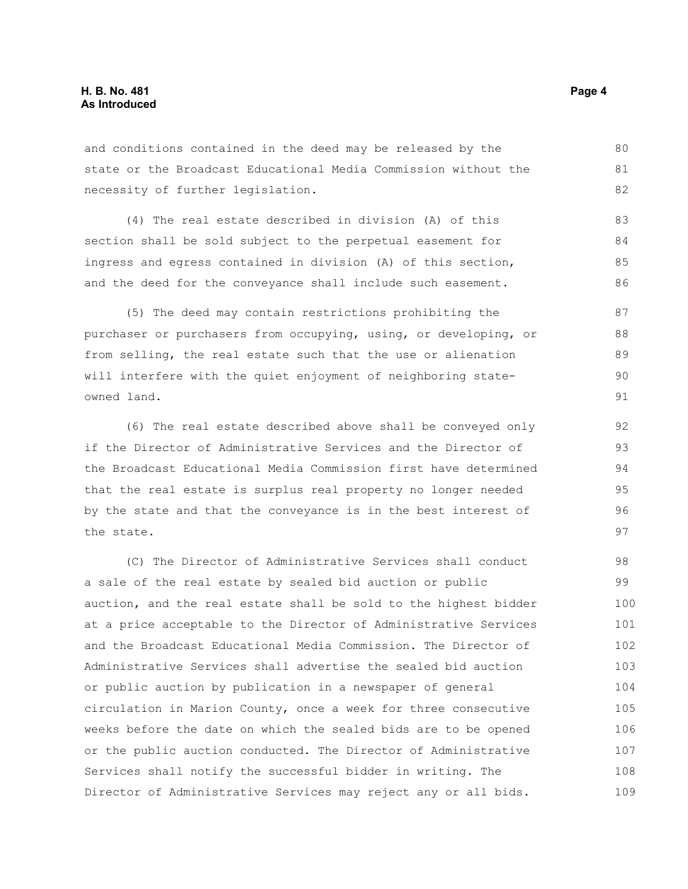and conditions contained in the deed may be released by the state or the Broadcast Educational Media Commission without the necessity of further legislation.

(4) The real estate described in division (A) of this section shall be sold subject to the perpetual easement for ingress and egress contained in division (A) of this section, and the deed for the conveyance shall include such easement.

(5) The deed may contain restrictions prohibiting the purchaser or purchasers from occupying, using, or developing, or from selling, the real estate such that the use or alienation will interfere with the quiet enjoyment of neighboring stateowned land. 87 88

(6) The real estate described above shall be conveyed only if the Director of Administrative Services and the Director of the Broadcast Educational Media Commission first have determined that the real estate is surplus real property no longer needed by the state and that the conveyance is in the best interest of the state.

(C) The Director of Administrative Services shall conduct a sale of the real estate by sealed bid auction or public auction, and the real estate shall be sold to the highest bidder at a price acceptable to the Director of Administrative Services and the Broadcast Educational Media Commission. The Director of Administrative Services shall advertise the sealed bid auction or public auction by publication in a newspaper of general circulation in Marion County, once a week for three consecutive weeks before the date on which the sealed bids are to be opened or the public auction conducted. The Director of Administrative Services shall notify the successful bidder in writing. The Director of Administrative Services may reject any or all bids. 98 99 100 101 102 103 104 105 106 107 108 109

80 81 82

89 90 91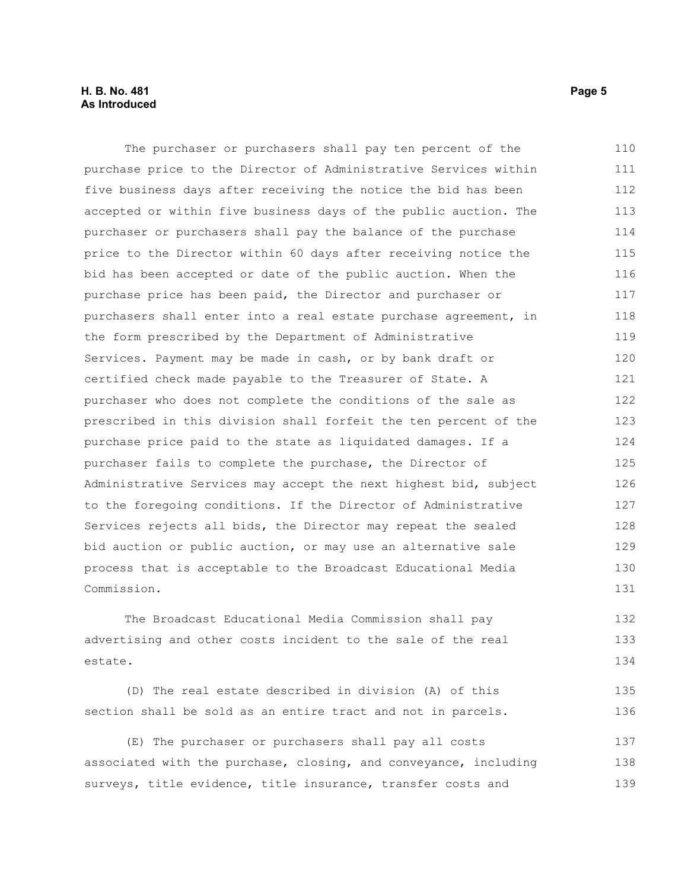#### **H. B. No. 481 Page 5 As Introduced**

The purchaser or purchasers shall pay ten percent of the purchase price to the Director of Administrative Services within five business days after receiving the notice the bid has been accepted or within five business days of the public auction. The purchaser or purchasers shall pay the balance of the purchase price to the Director within 60 days after receiving notice the bid has been accepted or date of the public auction. When the purchase price has been paid, the Director and purchaser or purchasers shall enter into a real estate purchase agreement, in the form prescribed by the Department of Administrative Services. Payment may be made in cash, or by bank draft or certified check made payable to the Treasurer of State. A purchaser who does not complete the conditions of the sale as prescribed in this division shall forfeit the ten percent of the purchase price paid to the state as liquidated damages. If a purchaser fails to complete the purchase, the Director of Administrative Services may accept the next highest bid, subject to the foregoing conditions. If the Director of Administrative Services rejects all bids, the Director may repeat the sealed bid auction or public auction, or may use an alternative sale process that is acceptable to the Broadcast Educational Media Commission. 110 111 112 113 114 115 116 117 118 119 120 121 122 123 124 125 126 127 128 129 130 131

The Broadcast Educational Media Commission shall pay advertising and other costs incident to the sale of the real estate. 132 133 134

(D) The real estate described in division (A) of this section shall be sold as an entire tract and not in parcels. 135 136

(E) The purchaser or purchasers shall pay all costs associated with the purchase, closing, and conveyance, including surveys, title evidence, title insurance, transfer costs and 137 138 139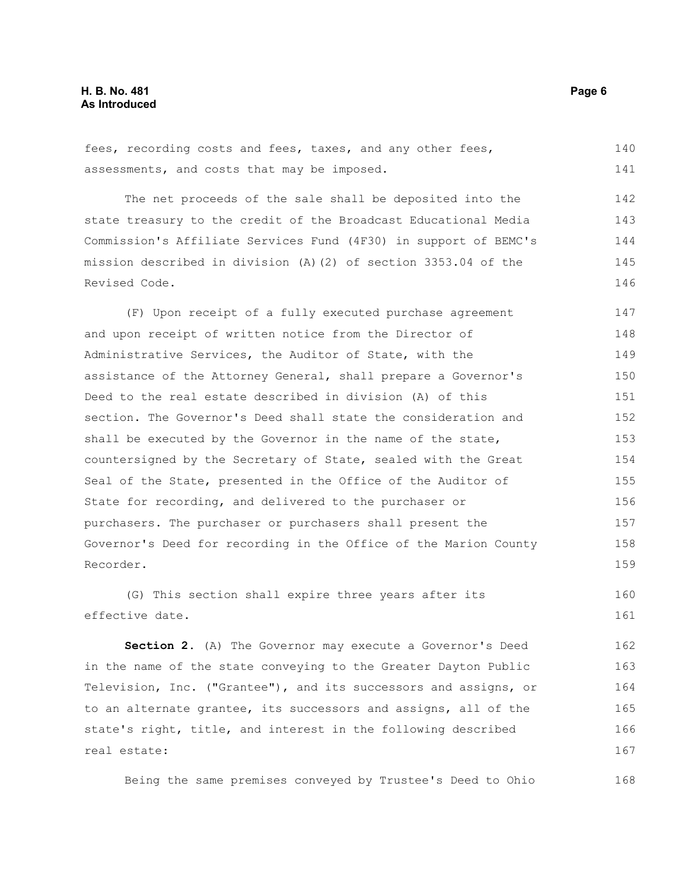fees, recording costs and fees, taxes, and any other fees, assessments, and costs that may be imposed. 140 141

The net proceeds of the sale shall be deposited into the state treasury to the credit of the Broadcast Educational Media Commission's Affiliate Services Fund (4F30) in support of BEMC's mission described in division (A)(2) of section 3353.04 of the Revised Code. 142 143 144 145 146

(F) Upon receipt of a fully executed purchase agreement and upon receipt of written notice from the Director of Administrative Services, the Auditor of State, with the assistance of the Attorney General, shall prepare a Governor's Deed to the real estate described in division (A) of this section. The Governor's Deed shall state the consideration and shall be executed by the Governor in the name of the state, countersigned by the Secretary of State, sealed with the Great Seal of the State, presented in the Office of the Auditor of State for recording, and delivered to the purchaser or purchasers. The purchaser or purchasers shall present the Governor's Deed for recording in the Office of the Marion County Recorder. 147 148 149 150 151 152 153 154 155 156 157 158 159

(G) This section shall expire three years after its effective date. 160 161

**Section 2.** (A) The Governor may execute a Governor's Deed in the name of the state conveying to the Greater Dayton Public Television, Inc. ("Grantee"), and its successors and assigns, or to an alternate grantee, its successors and assigns, all of the state's right, title, and interest in the following described real estate: 162 163 164 165 166 167

Being the same premises conveyed by Trustee's Deed to Ohio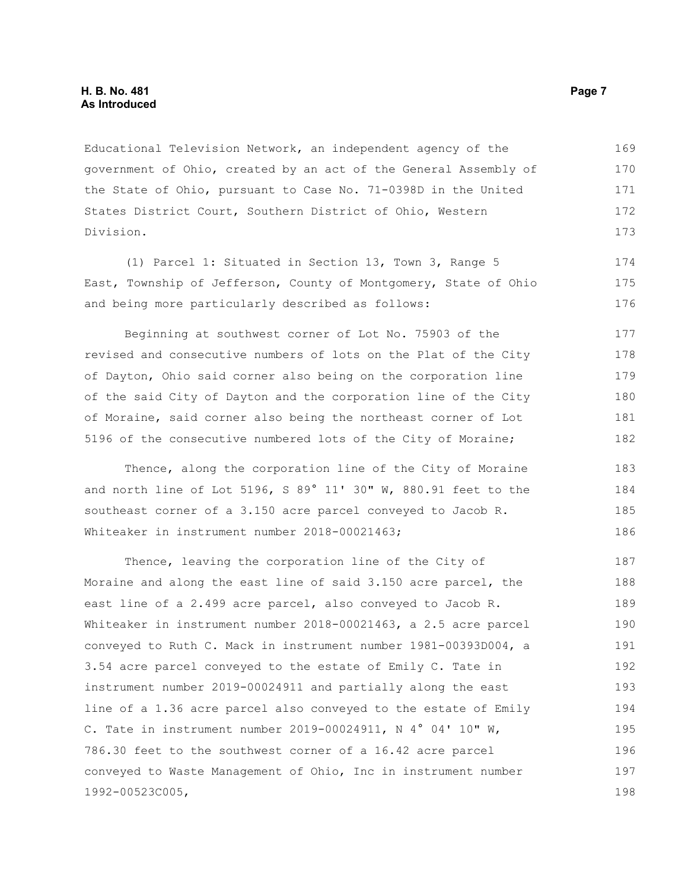Educational Television Network, an independent agency of the government of Ohio, created by an act of the General Assembly of the State of Ohio, pursuant to Case No. 71-0398D in the United States District Court, Southern District of Ohio, Western Division. 169 170 171 172 173

(1) Parcel 1: Situated in Section 13, Town 3, Range 5 East, Township of Jefferson, County of Montgomery, State of Ohio and being more particularly described as follows:

Beginning at southwest corner of Lot No. 75903 of the revised and consecutive numbers of lots on the Plat of the City of Dayton, Ohio said corner also being on the corporation line of the said City of Dayton and the corporation line of the City of Moraine, said corner also being the northeast corner of Lot 5196 of the consecutive numbered lots of the City of Moraine; 177 178 179 180 181 182

Thence, along the corporation line of the City of Moraine and north line of Lot 5196, S 89° 11' 30" W, 880.91 feet to the southeast corner of a 3.150 acre parcel conveyed to Jacob R. Whiteaker in instrument number 2018-00021463;

Thence, leaving the corporation line of the City of Moraine and along the east line of said 3.150 acre parcel, the east line of a 2.499 acre parcel, also conveyed to Jacob R. Whiteaker in instrument number 2018-00021463, a 2.5 acre parcel conveyed to Ruth C. Mack in instrument number 1981-00393D004, a 3.54 acre parcel conveyed to the estate of Emily C. Tate in instrument number 2019-00024911 and partially along the east line of a 1.36 acre parcel also conveyed to the estate of Emily C. Tate in instrument number 2019-00024911, N 4° 04' 10" W, 786.30 feet to the southwest corner of a 16.42 acre parcel conveyed to Waste Management of Ohio, Inc in instrument number 1992-00523C005, 187 188 189 190 191 192 193 194 195 196 197 198

174 175 176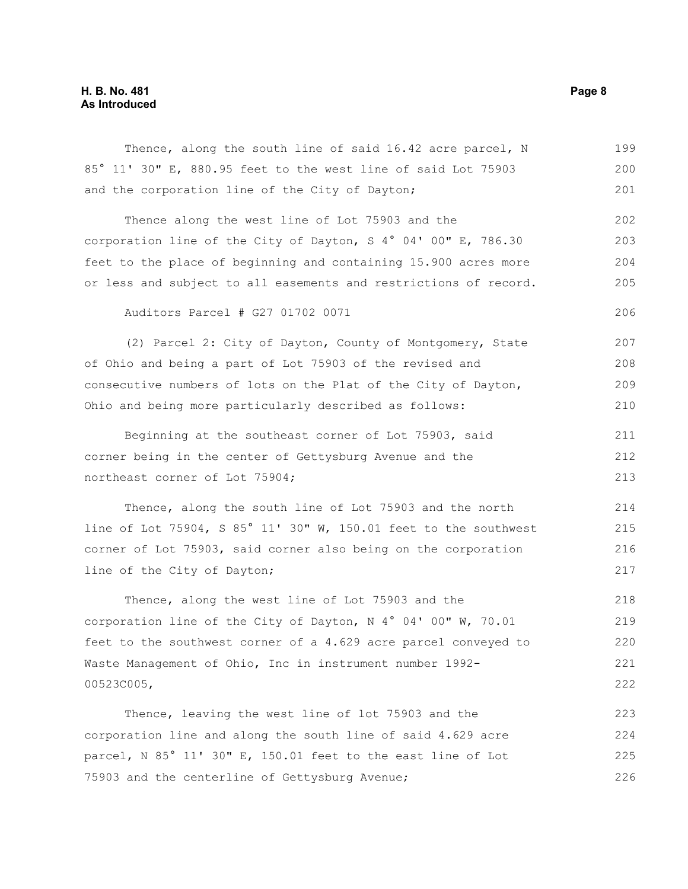| Thence, along the south line of said 16.42 acre parcel, N        | 199 |  |  |  |
|------------------------------------------------------------------|-----|--|--|--|
| 85° 11' 30" E, 880.95 feet to the west line of said Lot 75903    | 200 |  |  |  |
| and the corporation line of the City of Dayton;                  | 201 |  |  |  |
| Thence along the west line of Lot 75903 and the                  | 202 |  |  |  |
| corporation line of the City of Dayton, S 4° 04' 00" E, 786.30   | 203 |  |  |  |
| feet to the place of beginning and containing 15.900 acres more  |     |  |  |  |
| or less and subject to all easements and restrictions of record. | 205 |  |  |  |
| Auditors Parcel # G27 01702 0071                                 | 206 |  |  |  |
| (2) Parcel 2: City of Dayton, County of Montgomery, State        | 207 |  |  |  |
| of Ohio and being a part of Lot 75903 of the revised and         | 208 |  |  |  |
| consecutive numbers of lots on the Plat of the City of Dayton,   | 209 |  |  |  |
| Ohio and being more particularly described as follows:           | 210 |  |  |  |
| Beginning at the southeast corner of Lot 75903, said             | 211 |  |  |  |
| corner being in the center of Gettysburg Avenue and the          | 212 |  |  |  |
| northeast corner of Lot 75904;                                   | 213 |  |  |  |
| Thence, along the south line of Lot 75903 and the north          | 214 |  |  |  |
| line of Lot 75904, S 85° 11' 30" W, 150.01 feet to the southwest | 215 |  |  |  |
| corner of Lot 75903, said corner also being on the corporation   | 216 |  |  |  |
| line of the City of Dayton;                                      | 217 |  |  |  |
| Thence, along the west line of Lot 75903 and the                 | 218 |  |  |  |
| corporation line of the City of Dayton, N 4° 04' 00" W, 70.01    | 219 |  |  |  |
| feet to the southwest corner of a 4.629 acre parcel conveyed to  | 220 |  |  |  |
| Waste Management of Ohio, Inc in instrument number 1992-         | 221 |  |  |  |
| 00523C005,                                                       | 222 |  |  |  |
| Thence, leaving the west line of lot 75903 and the               | 223 |  |  |  |
| corporation line and along the south line of said 4.629 acre     |     |  |  |  |
| parcel, N 85° 11' 30" E, 150.01 feet to the east line of Lot     |     |  |  |  |
| 75903 and the centerline of Gettysburg Avenue;                   |     |  |  |  |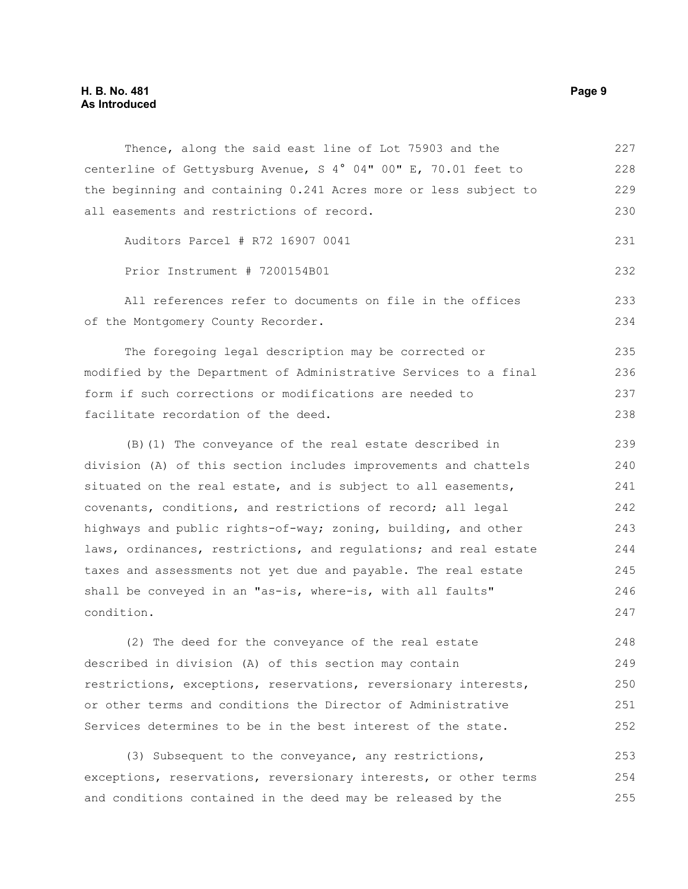| Thence, along the said east line of Lot 75903 and the            | 227 |
|------------------------------------------------------------------|-----|
| centerline of Gettysburg Avenue, S 4° 04" 00" E, 70.01 feet to   | 228 |
| the beginning and containing 0.241 Acres more or less subject to | 229 |
| all easements and restrictions of record.                        | 230 |
| Auditors Parcel # R72 16907 0041                                 | 231 |
| Prior Instrument # 7200154B01                                    | 232 |
| All references refer to documents on file in the offices         | 233 |
| of the Montgomery County Recorder.                               | 234 |
| The foregoing legal description may be corrected or              | 235 |
| modified by the Department of Administrative Services to a final | 236 |
| form if such corrections or modifications are needed to          | 237 |
| facilitate recordation of the deed.                              | 238 |
| (B) (1) The conveyance of the real estate described in           | 239 |
| division (A) of this section includes improvements and chattels  | 240 |
| situated on the real estate, and is subject to all easements,    | 241 |
| covenants, conditions, and restrictions of record; all legal     | 242 |
| highways and public rights-of-way; zoning, building, and other   | 243 |
| laws, ordinances, restrictions, and regulations; and real estate | 244 |
| taxes and assessments not yet due and payable. The real estate   | 245 |
| shall be conveyed in an "as-is, where-is, with all faults"       | 246 |
| condition.                                                       | 247 |
| (2) The deed for the conveyance of the real estate               | 248 |
| described in division (A) of this section may contain            | 249 |
| restrictions, exceptions, reservations, reversionary interests,  | 250 |
| or other terms and conditions the Director of Administrative     | 251 |
| Services determines to be in the best interest of the state.     | 252 |
| (3) Subsequent to the conveyance, any restrictions,              | 253 |
| exceptions, reservations, reversionary interests, or other terms | 254 |
| and conditions contained in the deed may be released by the      | 255 |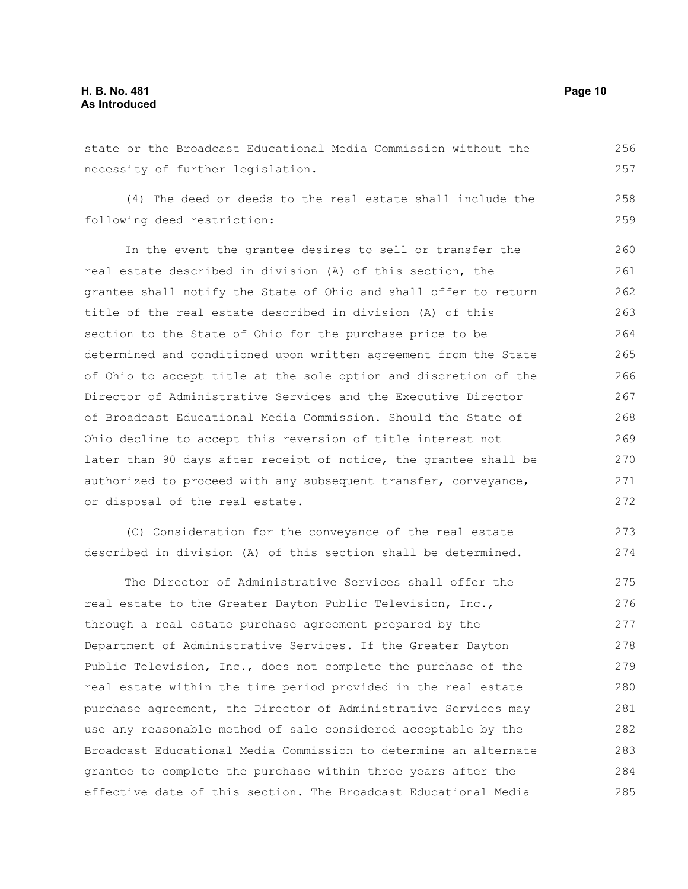state or the Broadcast Educational Media Commission without the necessity of further legislation. (4) The deed or deeds to the real estate shall include the following deed restriction: In the event the grantee desires to sell or transfer the real estate described in division (A) of this section, the grantee shall notify the State of Ohio and shall offer to return title of the real estate described in division (A) of this section to the State of Ohio for the purchase price to be determined and conditioned upon written agreement from the State of Ohio to accept title at the sole option and discretion of the Director of Administrative Services and the Executive Director of Broadcast Educational Media Commission. Should the State of Ohio decline to accept this reversion of title interest not later than 90 days after receipt of notice, the grantee shall be authorized to proceed with any subsequent transfer, conveyance, or disposal of the real estate. (C) Consideration for the conveyance of the real estate described in division (A) of this section shall be determined. The Director of Administrative Services shall offer the real estate to the Greater Dayton Public Television, Inc., through a real estate purchase agreement prepared by the 256 257 258 259 260 261 262 263 264 265 266 267 268 269 270 271 272 273 274 275 276 277

Department of Administrative Services. If the Greater Dayton Public Television, Inc., does not complete the purchase of the real estate within the time period provided in the real estate purchase agreement, the Director of Administrative Services may use any reasonable method of sale considered acceptable by the Broadcast Educational Media Commission to determine an alternate grantee to complete the purchase within three years after the effective date of this section. The Broadcast Educational Media 278 279 280 281 282 283 284 285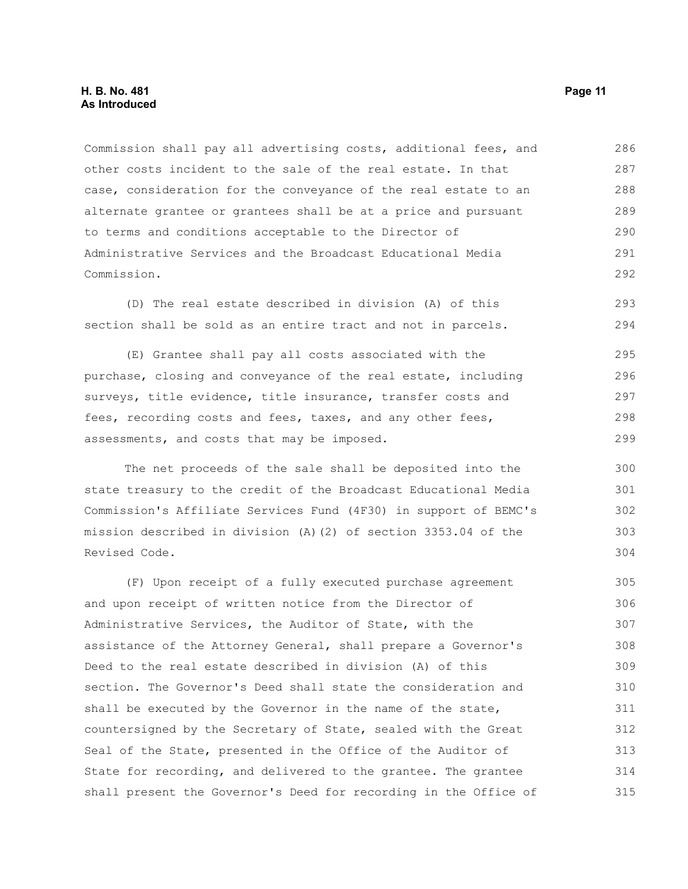Commission shall pay all advertising costs, additional fees, and other costs incident to the sale of the real estate. In that case, consideration for the conveyance of the real estate to an alternate grantee or grantees shall be at a price and pursuant to terms and conditions acceptable to the Director of Administrative Services and the Broadcast Educational Media Commission. 286 287 288 289 290 291 292

(D) The real estate described in division (A) of this section shall be sold as an entire tract and not in parcels. 293 294

(E) Grantee shall pay all costs associated with the purchase, closing and conveyance of the real estate, including surveys, title evidence, title insurance, transfer costs and fees, recording costs and fees, taxes, and any other fees, assessments, and costs that may be imposed. 295 296 297 298 299

The net proceeds of the sale shall be deposited into the state treasury to the credit of the Broadcast Educational Media Commission's Affiliate Services Fund (4F30) in support of BEMC's mission described in division (A)(2) of section 3353.04 of the Revised Code.

(F) Upon receipt of a fully executed purchase agreement and upon receipt of written notice from the Director of Administrative Services, the Auditor of State, with the assistance of the Attorney General, shall prepare a Governor's Deed to the real estate described in division (A) of this section. The Governor's Deed shall state the consideration and shall be executed by the Governor in the name of the state, countersigned by the Secretary of State, sealed with the Great Seal of the State, presented in the Office of the Auditor of State for recording, and delivered to the grantee. The grantee shall present the Governor's Deed for recording in the Office of 305 306 307 308 309 310 311 312 313 314 315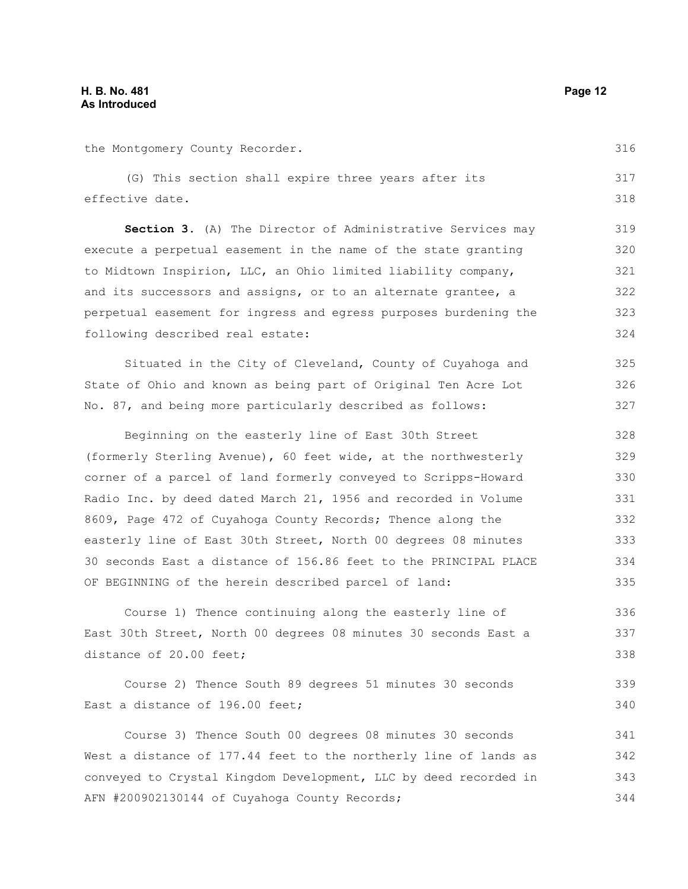the Montgomery County Recorder.

(G) This section shall expire three years after its effective date. 317 318

Section 3. (A) The Director of Administrative Services may execute a perpetual easement in the name of the state granting to Midtown Inspirion, LLC, an Ohio limited liability company, and its successors and assigns, or to an alternate grantee, a perpetual easement for ingress and egress purposes burdening the following described real estate: 319 320 321 322 323 324

Situated in the City of Cleveland, County of Cuyahoga and State of Ohio and known as being part of Original Ten Acre Lot No. 87, and being more particularly described as follows: 325 326 327

Beginning on the easterly line of East 30th Street (formerly Sterling Avenue), 60 feet wide, at the northwesterly corner of a parcel of land formerly conveyed to Scripps-Howard Radio Inc. by deed dated March 21, 1956 and recorded in Volume 8609, Page 472 of Cuyahoga County Records; Thence along the easterly line of East 30th Street, North 00 degrees 08 minutes 30 seconds East a distance of 156.86 feet to the PRINCIPAL PLACE OF BEGINNING of the herein described parcel of land: 328 329 330 331 332 333 334 335

Course 1) Thence continuing along the easterly line of East 30th Street, North 00 degrees 08 minutes 30 seconds East a distance of 20.00 feet; 336 337 338

Course 2) Thence South 89 degrees 51 minutes 30 seconds East a distance of 196.00 feet; 339 340

Course 3) Thence South 00 degrees 08 minutes 30 seconds West a distance of 177.44 feet to the northerly line of lands as conveyed to Crystal Kingdom Development, LLC by deed recorded in AFN #200902130144 of Cuyahoga County Records; 341 342 343 344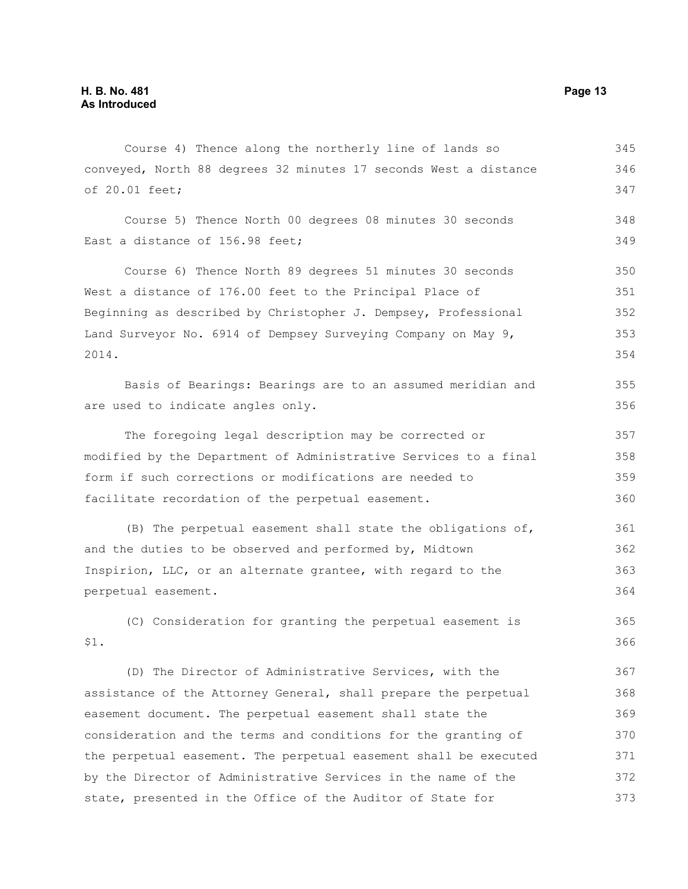Course 4) Thence along the northerly line of lands so conveyed, North 88 degrees 32 minutes 17 seconds West a distance of 20.01 feet; 345 346 347

Course 5) Thence North 00 degrees 08 minutes 30 seconds East a distance of 156.98 feet; 348 349

Course 6) Thence North 89 degrees 51 minutes 30 seconds West a distance of 176.00 feet to the Principal Place of Beginning as described by Christopher J. Dempsey, Professional Land Surveyor No. 6914 of Dempsey Surveying Company on May 9, 2014. 350 351 352 353 354

Basis of Bearings: Bearings are to an assumed meridian and are used to indicate angles only.

The foregoing legal description may be corrected or modified by the Department of Administrative Services to a final form if such corrections or modifications are needed to facilitate recordation of the perpetual easement. 357 358 359 360

(B) The perpetual easement shall state the obligations of, and the duties to be observed and performed by, Midtown Inspirion, LLC, or an alternate grantee, with regard to the perpetual easement. 361 362 363 364

(C) Consideration for granting the perpetual easement is \$1. 365 366

(D) The Director of Administrative Services, with the assistance of the Attorney General, shall prepare the perpetual easement document. The perpetual easement shall state the consideration and the terms and conditions for the granting of the perpetual easement. The perpetual easement shall be executed by the Director of Administrative Services in the name of the state, presented in the Office of the Auditor of State for 367 368 369 370 371 372 373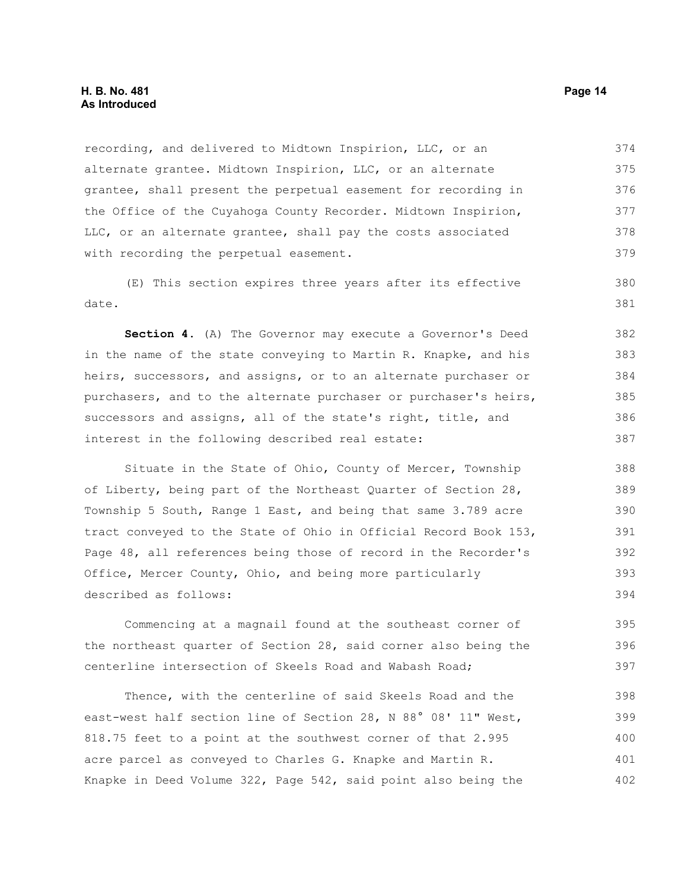recording, and delivered to Midtown Inspirion, LLC, or an alternate grantee. Midtown Inspirion, LLC, or an alternate grantee, shall present the perpetual easement for recording in the Office of the Cuyahoga County Recorder. Midtown Inspirion, LLC, or an alternate grantee, shall pay the costs associated with recording the perpetual easement. 374 375 376 377 378 379

(E) This section expires three years after its effective date.

**Section 4.** (A) The Governor may execute a Governor's Deed in the name of the state conveying to Martin R. Knapke, and his heirs, successors, and assigns, or to an alternate purchaser or purchasers, and to the alternate purchaser or purchaser's heirs, successors and assigns, all of the state's right, title, and interest in the following described real estate: 382 383 384 385 386 387

Situate in the State of Ohio, County of Mercer, Township of Liberty, being part of the Northeast Quarter of Section 28, Township 5 South, Range 1 East, and being that same 3.789 acre tract conveyed to the State of Ohio in Official Record Book 153, Page 48, all references being those of record in the Recorder's Office, Mercer County, Ohio, and being more particularly described as follows: 388 389 390 391 392 393 394

Commencing at a magnail found at the southeast corner of the northeast quarter of Section 28, said corner also being the centerline intersection of Skeels Road and Wabash Road; 395 396 397

Thence, with the centerline of said Skeels Road and the east-west half section line of Section 28, N 88° 08' 11" West, 818.75 feet to a point at the southwest corner of that 2.995 acre parcel as conveyed to Charles G. Knapke and Martin R. Knapke in Deed Volume 322, Page 542, said point also being the 398 399 400 401 402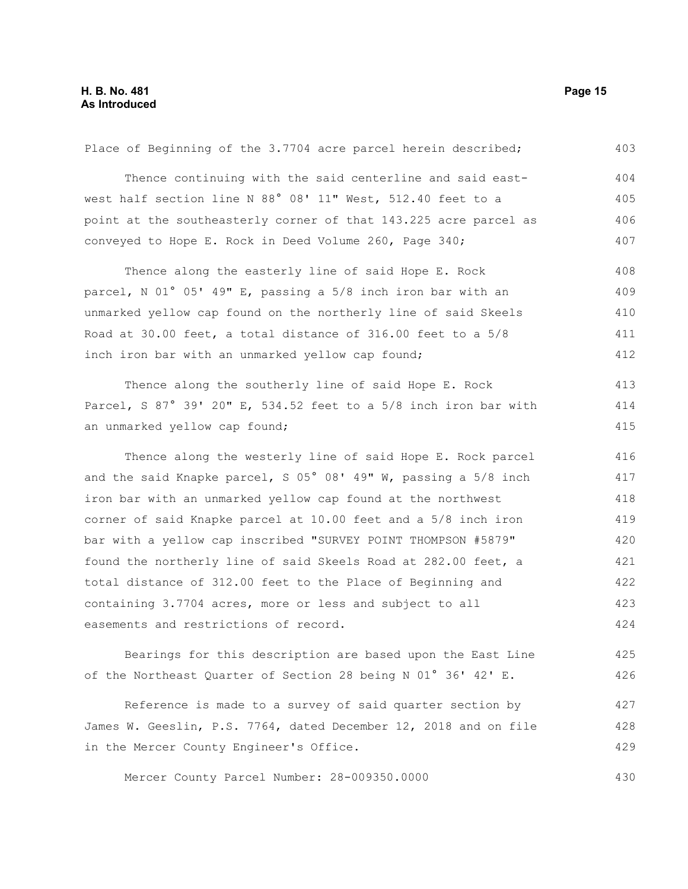| Place of Beginning of the 3.7704 acre parcel herein described;   | 403 |
|------------------------------------------------------------------|-----|
| Thence continuing with the said centerline and said east-        | 404 |
| west half section line N 88° 08' 11" West, 512.40 feet to a      | 405 |
| point at the southeasterly corner of that 143.225 acre parcel as | 406 |
| conveyed to Hope E. Rock in Deed Volume 260, Page 340;           | 407 |
| Thence along the easterly line of said Hope E. Rock              | 408 |
| parcel, N 01° 05' 49" E, passing a 5/8 inch iron bar with an     | 409 |
| unmarked yellow cap found on the northerly line of said Skeels   | 410 |
| Road at 30.00 feet, a total distance of 316.00 feet to a 5/8     | 411 |
| inch iron bar with an unmarked yellow cap found;                 | 412 |
| Thence along the southerly line of said Hope E. Rock             | 413 |
| Parcel, S 87° 39' 20" E, 534.52 feet to a 5/8 inch iron bar with | 414 |
| an unmarked yellow cap found;                                    | 415 |
| Thence along the westerly line of said Hope E. Rock parcel       | 416 |
| and the said Knapke parcel, S 05° 08' 49" W, passing a 5/8 inch  | 417 |
| iron bar with an unmarked yellow cap found at the northwest      | 418 |
| corner of said Knapke parcel at 10.00 feet and a 5/8 inch iron   | 419 |
| bar with a yellow cap inscribed "SURVEY POINT THOMPSON #5879"    | 420 |
| found the northerly line of said Skeels Road at 282.00 feet, a   | 421 |
| total distance of 312.00 feet to the Place of Beginning and      | 422 |
| containing 3.7704 acres, more or less and subject to all         | 423 |
| easements and restrictions of record.                            | 424 |
| Bearings for this description are based upon the East Line       | 425 |
| of the Northeast Quarter of Section 28 being N 01° 36' 42' E.    | 426 |
| Reference is made to a survey of said quarter section by         | 427 |
| James W. Geeslin, P.S. 7764, dated December 12, 2018 and on file | 428 |
| in the Mercer County Engineer's Office.                          | 429 |
| Mercer County Parcel Number: 28-009350.0000                      | 430 |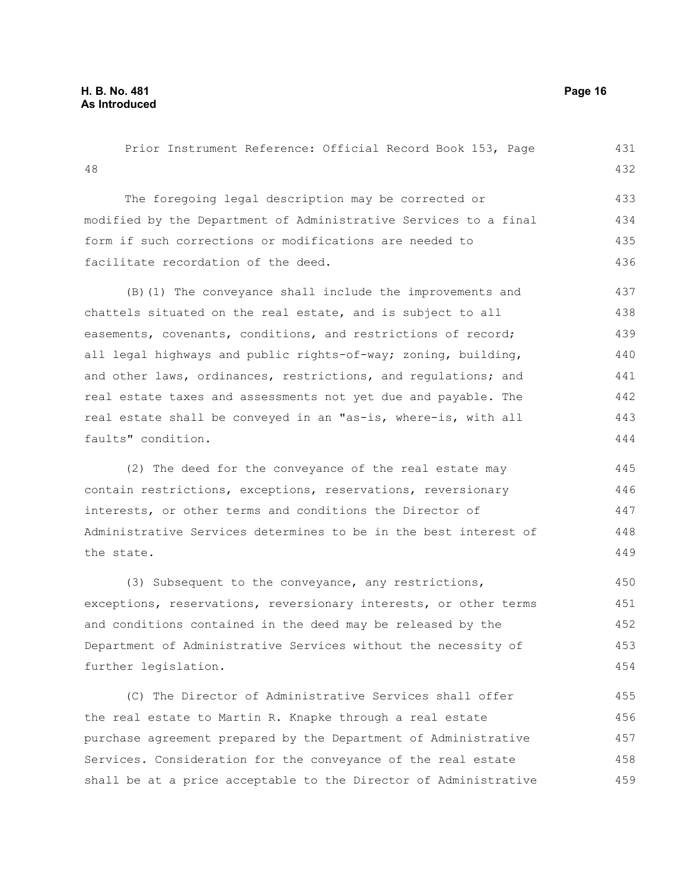48 The foregoing legal description may be corrected or modified by the Department of Administrative Services to a final form if such corrections or modifications are needed to facilitate recordation of the deed. (B)(1) The conveyance shall include the improvements and chattels situated on the real estate, and is subject to all easements, covenants, conditions, and restrictions of record; all legal highways and public rights-of-way; zoning, building, and other laws, ordinances, restrictions, and regulations; and real estate taxes and assessments not yet due and payable. The real estate shall be conveyed in an "as-is, where-is, with all faults" condition. (2) The deed for the conveyance of the real estate may contain restrictions, exceptions, reservations, reversionary interests, or other terms and conditions the Director of Administrative Services determines to be in the best interest of the state. (3) Subsequent to the conveyance, any restrictions, exceptions, reservations, reversionary interests, or other terms and conditions contained in the deed may be released by the Department of Administrative Services without the necessity of further legislation. (C) The Director of Administrative Services shall offer the real estate to Martin R. Knapke through a real estate purchase agreement prepared by the Department of Administrative Services. Consideration for the conveyance of the real estate shall be at a price acceptable to the Director of Administrative 432 433 434 435 436 437 438 439 440 441 442 443 444 445 446 447 448 449 450 451 452 453 454 455 456 457 458 459

Prior Instrument Reference: Official Record Book 153, Page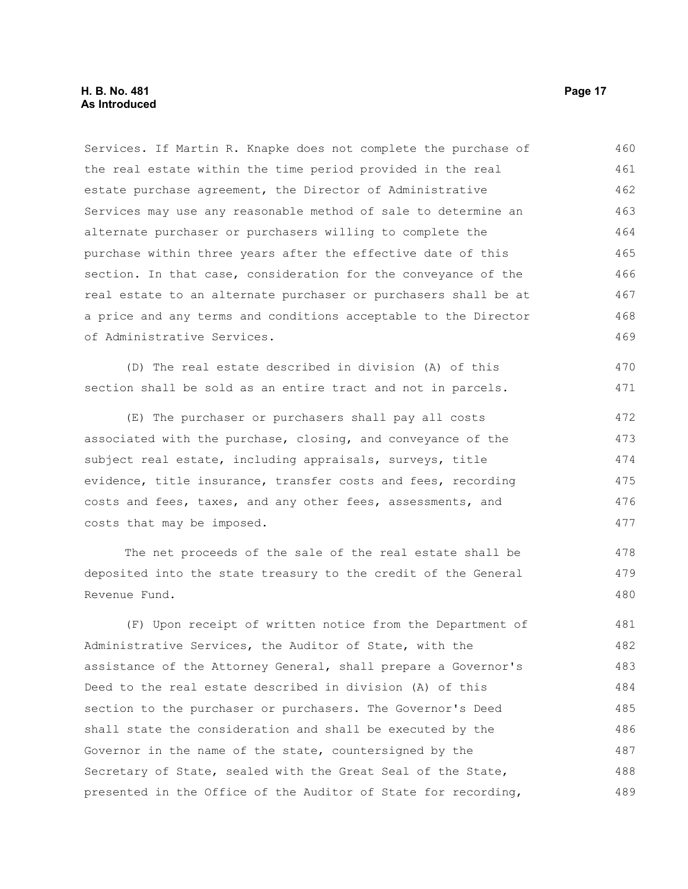#### **H. B. No. 481 Page 17 As Introduced**

Services. If Martin R. Knapke does not complete the purchase of the real estate within the time period provided in the real estate purchase agreement, the Director of Administrative Services may use any reasonable method of sale to determine an alternate purchaser or purchasers willing to complete the purchase within three years after the effective date of this section. In that case, consideration for the conveyance of the real estate to an alternate purchaser or purchasers shall be at a price and any terms and conditions acceptable to the Director of Administrative Services. 460 461 462 463 464 465 466 467 468 469

(D) The real estate described in division (A) of this section shall be sold as an entire tract and not in parcels.

(E) The purchaser or purchasers shall pay all costs associated with the purchase, closing, and conveyance of the subject real estate, including appraisals, surveys, title evidence, title insurance, transfer costs and fees, recording costs and fees, taxes, and any other fees, assessments, and costs that may be imposed. 472 473 474 475 476 477

The net proceeds of the sale of the real estate shall be deposited into the state treasury to the credit of the General Revenue Fund.

(F) Upon receipt of written notice from the Department of Administrative Services, the Auditor of State, with the assistance of the Attorney General, shall prepare a Governor's Deed to the real estate described in division (A) of this section to the purchaser or purchasers. The Governor's Deed shall state the consideration and shall be executed by the Governor in the name of the state, countersigned by the Secretary of State, sealed with the Great Seal of the State, presented in the Office of the Auditor of State for recording, 481 482 483 484 485 486 487 488 489

470 471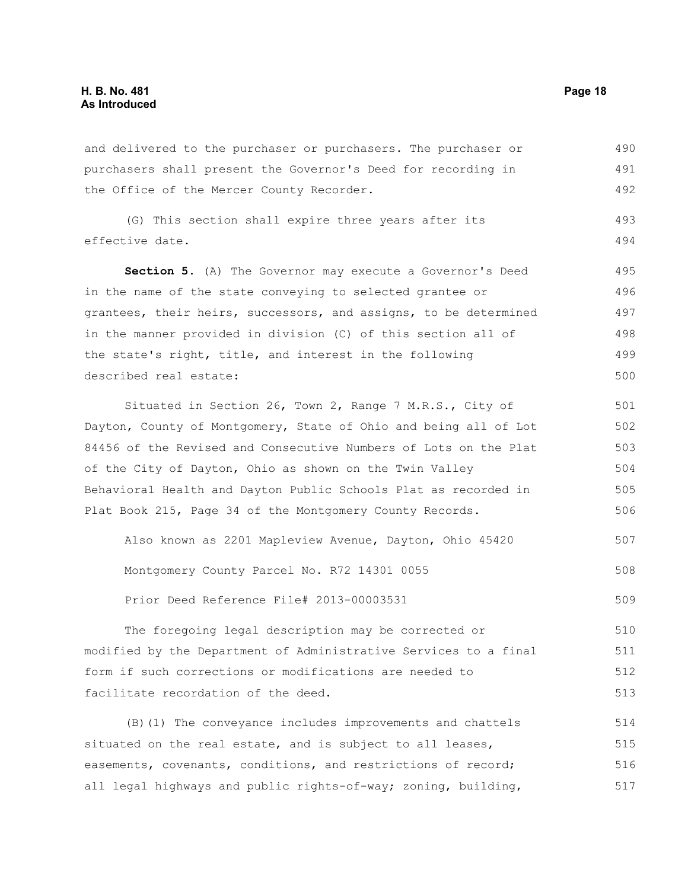and delivered to the purchaser or purchasers. The purchaser or purchasers shall present the Governor's Deed for recording in the Office of the Mercer County Recorder. 490 491 492

(G) This section shall expire three years after its effective date. 493 494

**Section 5.** (A) The Governor may execute a Governor's Deed in the name of the state conveying to selected grantee or grantees, their heirs, successors, and assigns, to be determined in the manner provided in division (C) of this section all of the state's right, title, and interest in the following described real estate: 495 496 497 498 499 500

Situated in Section 26, Town 2, Range 7 M.R.S., City of Dayton, County of Montgomery, State of Ohio and being all of Lot 84456 of the Revised and Consecutive Numbers of Lots on the Plat of the City of Dayton, Ohio as shown on the Twin Valley Behavioral Health and Dayton Public Schools Plat as recorded in Plat Book 215, Page 34 of the Montgomery County Records. 501 502 503 504 505 506

Also known as 2201 Mapleview Avenue, Dayton, Ohio 45420 Montgomery County Parcel No. R72 14301 0055 Prior Deed Reference File# 2013-00003531 507 508 509

The foregoing legal description may be corrected or modified by the Department of Administrative Services to a final form if such corrections or modifications are needed to facilitate recordation of the deed. 510 511 512 513

(B)(1) The conveyance includes improvements and chattels situated on the real estate, and is subject to all leases, easements, covenants, conditions, and restrictions of record; all legal highways and public rights-of-way; zoning, building, 514 515 516 517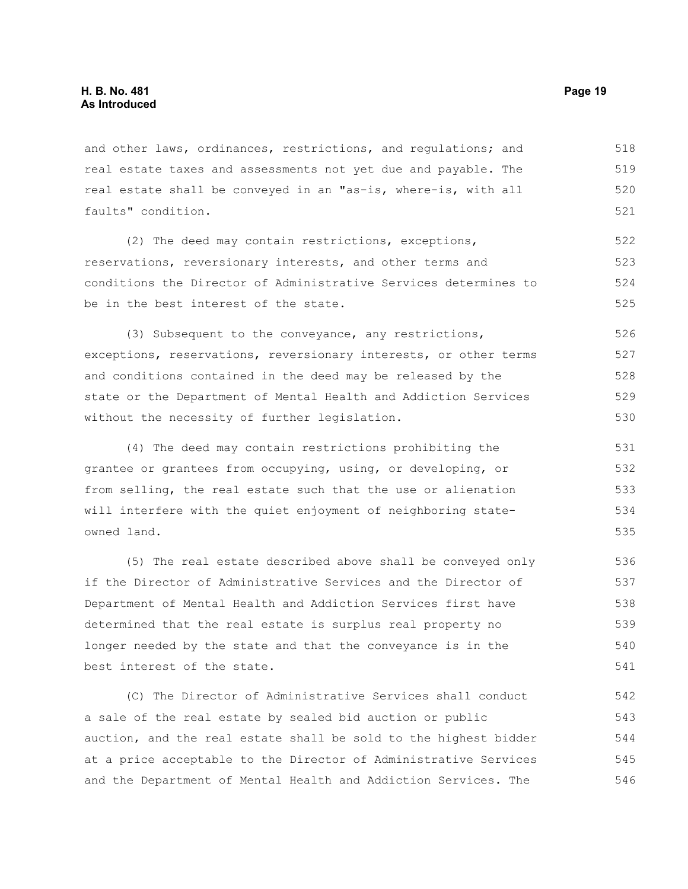and other laws, ordinances, restrictions, and regulations; and real estate taxes and assessments not yet due and payable. The real estate shall be conveyed in an "as-is, where-is, with all faults" condition. 518 519 520 521

(2) The deed may contain restrictions, exceptions, reservations, reversionary interests, and other terms and conditions the Director of Administrative Services determines to be in the best interest of the state. 522 523 524 525

(3) Subsequent to the conveyance, any restrictions, exceptions, reservations, reversionary interests, or other terms and conditions contained in the deed may be released by the state or the Department of Mental Health and Addiction Services without the necessity of further legislation. 526 527 528 529 530

(4) The deed may contain restrictions prohibiting the grantee or grantees from occupying, using, or developing, or from selling, the real estate such that the use or alienation will interfere with the quiet enjoyment of neighboring stateowned land. 531 532 533 534 535

(5) The real estate described above shall be conveyed only if the Director of Administrative Services and the Director of Department of Mental Health and Addiction Services first have determined that the real estate is surplus real property no longer needed by the state and that the conveyance is in the best interest of the state. 536 537 538 539 540 541

(C) The Director of Administrative Services shall conduct a sale of the real estate by sealed bid auction or public auction, and the real estate shall be sold to the highest bidder at a price acceptable to the Director of Administrative Services and the Department of Mental Health and Addiction Services. The 542 543 544 545 546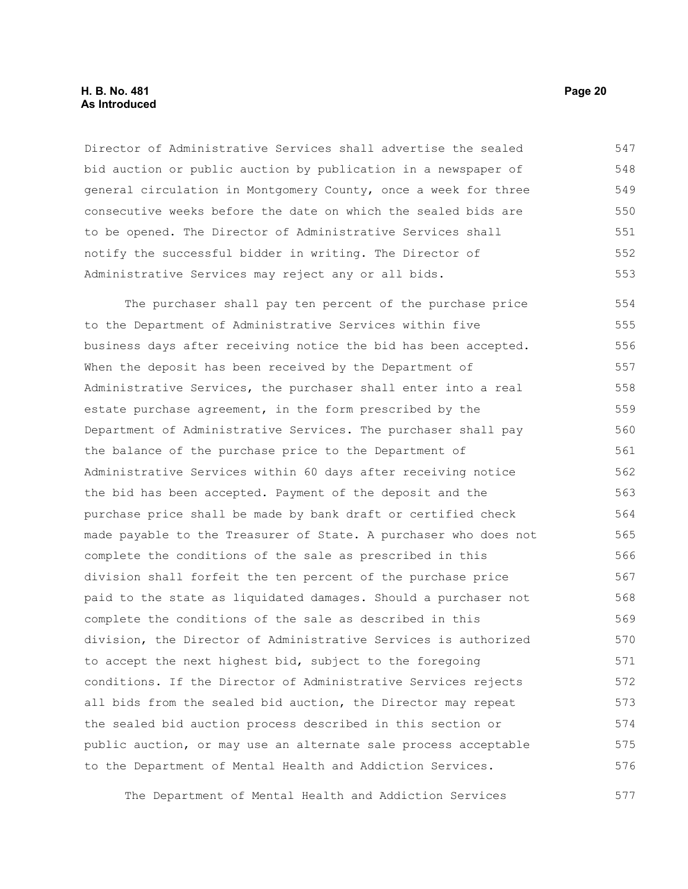#### **H. B. No. 481 Page 20 As Introduced**

Director of Administrative Services shall advertise the sealed bid auction or public auction by publication in a newspaper of general circulation in Montgomery County, once a week for three consecutive weeks before the date on which the sealed bids are to be opened. The Director of Administrative Services shall notify the successful bidder in writing. The Director of Administrative Services may reject any or all bids. 547 548 549 550 551 552 553

The purchaser shall pay ten percent of the purchase price to the Department of Administrative Services within five business days after receiving notice the bid has been accepted. When the deposit has been received by the Department of Administrative Services, the purchaser shall enter into a real estate purchase agreement, in the form prescribed by the Department of Administrative Services. The purchaser shall pay the balance of the purchase price to the Department of Administrative Services within 60 days after receiving notice the bid has been accepted. Payment of the deposit and the purchase price shall be made by bank draft or certified check made payable to the Treasurer of State. A purchaser who does not complete the conditions of the sale as prescribed in this division shall forfeit the ten percent of the purchase price paid to the state as liquidated damages. Should a purchaser not complete the conditions of the sale as described in this division, the Director of Administrative Services is authorized to accept the next highest bid, subject to the foregoing conditions. If the Director of Administrative Services rejects all bids from the sealed bid auction, the Director may repeat the sealed bid auction process described in this section or public auction, or may use an alternate sale process acceptable to the Department of Mental Health and Addiction Services. 554 555 556 557 558 559 560 561 562 563 564 565 566 567 568 569 570 571 572 573 574 575 576

The Department of Mental Health and Addiction Services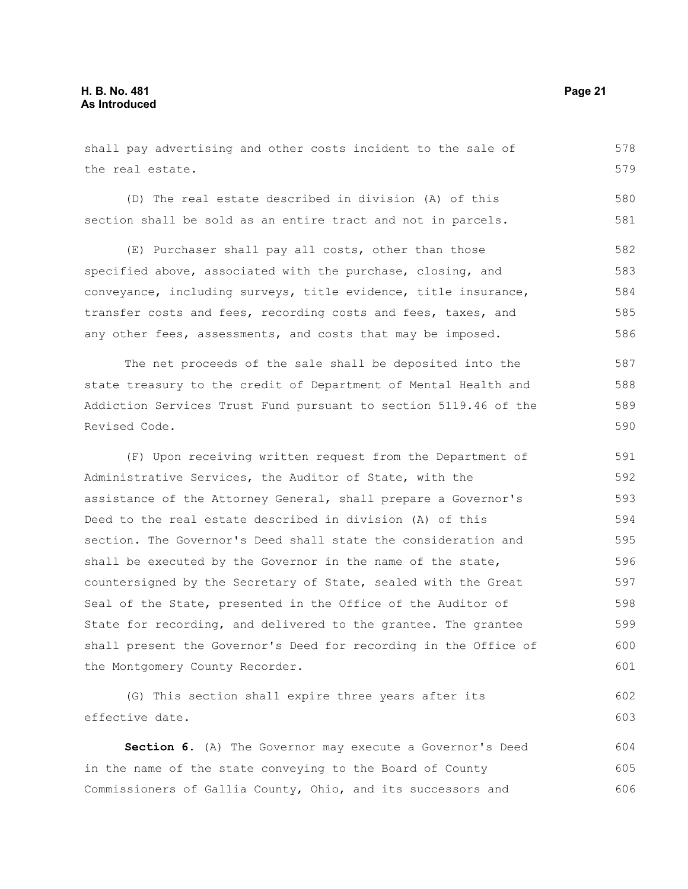shall pay advertising and other costs incident to the sale of the real estate. 578 579

(D) The real estate described in division (A) of this section shall be sold as an entire tract and not in parcels.

(E) Purchaser shall pay all costs, other than those specified above, associated with the purchase, closing, and conveyance, including surveys, title evidence, title insurance, transfer costs and fees, recording costs and fees, taxes, and any other fees, assessments, and costs that may be imposed. 582 583 584 585 586

The net proceeds of the sale shall be deposited into the state treasury to the credit of Department of Mental Health and Addiction Services Trust Fund pursuant to section 5119.46 of the Revised Code. 587 588 589 590

(F) Upon receiving written request from the Department of Administrative Services, the Auditor of State, with the assistance of the Attorney General, shall prepare a Governor's Deed to the real estate described in division (A) of this section. The Governor's Deed shall state the consideration and shall be executed by the Governor in the name of the state, countersigned by the Secretary of State, sealed with the Great Seal of the State, presented in the Office of the Auditor of State for recording, and delivered to the grantee. The grantee shall present the Governor's Deed for recording in the Office of the Montgomery County Recorder. 591 592 593 594 595 596 597 598 599 600 601

(G) This section shall expire three years after its effective date. 602 603

**Section 6.** (A) The Governor may execute a Governor's Deed in the name of the state conveying to the Board of County Commissioners of Gallia County, Ohio, and its successors and 604 605 606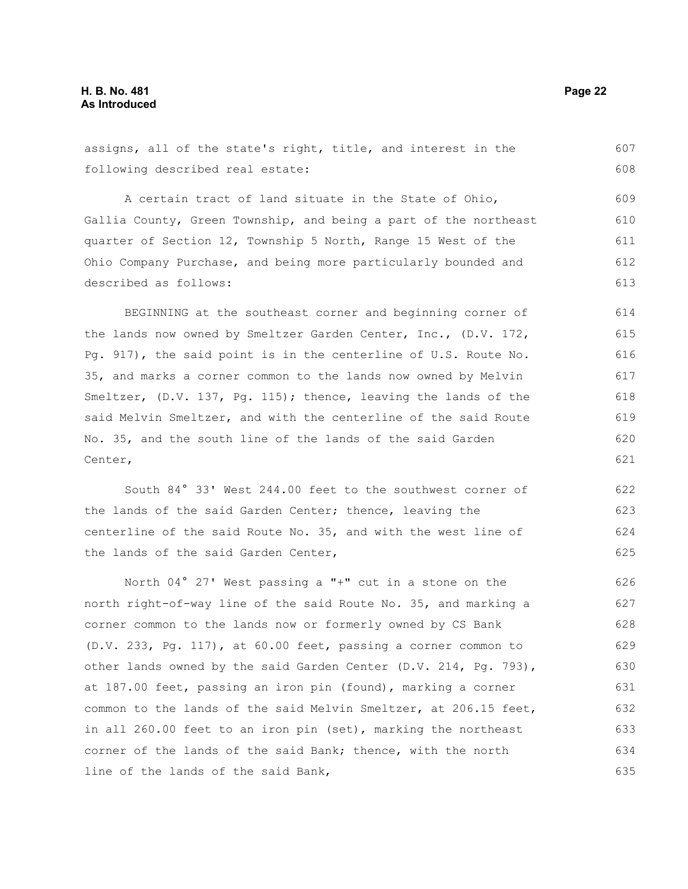following described real estate: A certain tract of land situate in the State of Ohio, Gallia County, Green Township, and being a part of the northeast quarter of Section 12, Township 5 North, Range 15 West of the Ohio Company Purchase, and being more particularly bounded and described as follows: BEGINNING at the southeast corner and beginning corner of the lands now owned by Smeltzer Garden Center, Inc., (D.V. 172, Pg. 917), the said point is in the centerline of U.S. Route No. 35, and marks a corner common to the lands now owned by Melvin 608 609 610 611 612 613 614 615 616 617

assigns, all of the state's right, title, and interest in the

Smeltzer, (D.V. 137, Pg. 115); thence, leaving the lands of the said Melvin Smeltzer, and with the centerline of the said Route No. 35, and the south line of the lands of the said Garden Center, 618 619 620 621

South 84° 33' West 244.00 feet to the southwest corner of the lands of the said Garden Center; thence, leaving the centerline of the said Route No. 35, and with the west line of the lands of the said Garden Center, 622 623 624 625

North 04° 27' West passing a "+" cut in a stone on the north right-of-way line of the said Route No. 35, and marking a corner common to the lands now or formerly owned by CS Bank (D.V. 233, Pg. 117), at 60.00 feet, passing a corner common to other lands owned by the said Garden Center (D.V. 214, Pg. 793), at 187.00 feet, passing an iron pin (found), marking a corner common to the lands of the said Melvin Smeltzer, at 206.15 feet, in all 260.00 feet to an iron pin (set), marking the northeast corner of the lands of the said Bank; thence, with the north line of the lands of the said Bank, 626 627 628 629 630 631 632 633 634 635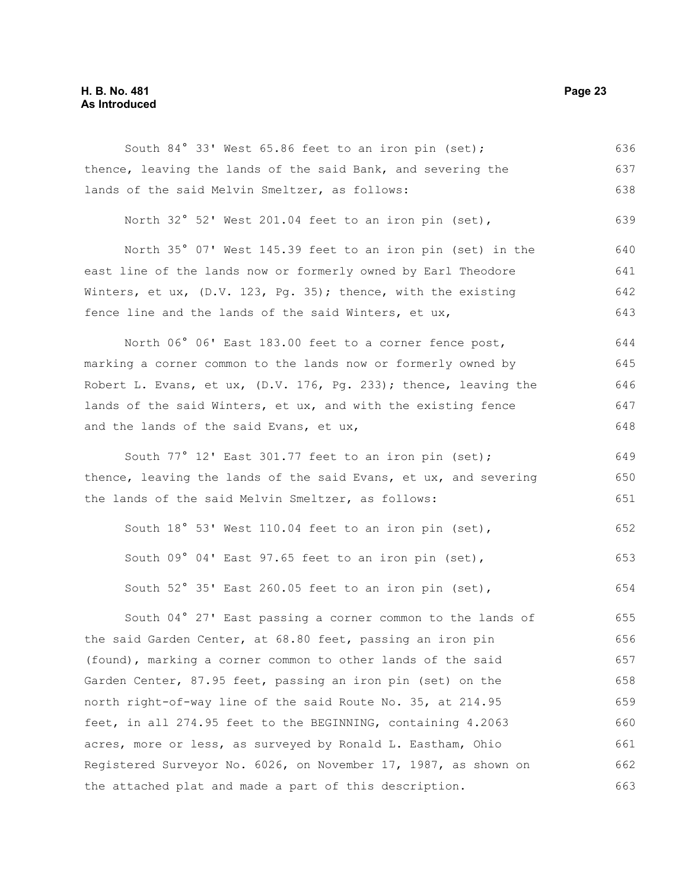#### **H. B. No. 481 Page 23 As Introduced**

South 84° 33' West 65.86 feet to an iron pin (set); thence, leaving the lands of the said Bank, and severing the lands of the said Melvin Smeltzer, as follows: 636 637 638

North 32° 52' West 201.04 feet to an iron pin (set), 639

North 35° 07' West 145.39 feet to an iron pin (set) in the east line of the lands now or formerly owned by Earl Theodore Winters, et ux, (D.V. 123, Pg. 35); thence, with the existing fence line and the lands of the said Winters, et ux, 640 641 642 643

North 06° 06' East 183.00 feet to a corner fence post, marking a corner common to the lands now or formerly owned by Robert L. Evans, et ux, (D.V. 176, Pg. 233); thence, leaving the lands of the said Winters, et ux, and with the existing fence and the lands of the said Evans, et ux, 644 645 646 647 648

South 77° 12' East 301.77 feet to an iron pin (set); thence, leaving the lands of the said Evans, et ux, and severing the lands of the said Melvin Smeltzer, as follows: 649 650 651

South 18° 53' West 110.04 feet to an iron pin (set), South 09° 04' East 97.65 feet to an iron pin (set), South 52° 35' East 260.05 feet to an iron pin (set), 652 653 654

South 04° 27' East passing a corner common to the lands of the said Garden Center, at 68.80 feet, passing an iron pin (found), marking a corner common to other lands of the said Garden Center, 87.95 feet, passing an iron pin (set) on the north right-of-way line of the said Route No. 35, at 214.95 feet, in all 274.95 feet to the BEGINNING, containing 4.2063 acres, more or less, as surveyed by Ronald L. Eastham, Ohio Registered Surveyor No. 6026, on November 17, 1987, as shown on the attached plat and made a part of this description. 655 656 657 658 659 660 661 662 663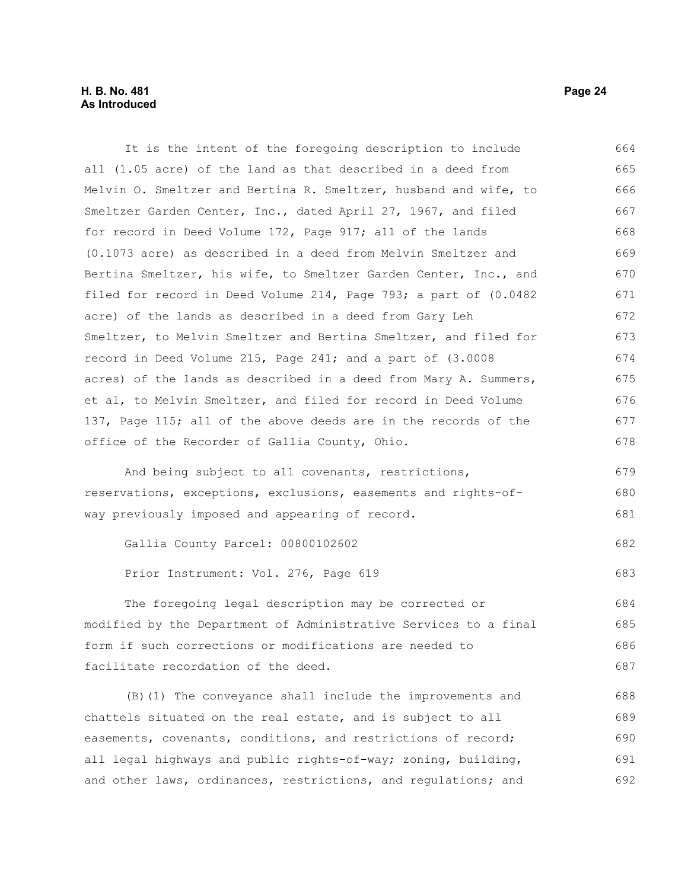It is the intent of the foregoing description to include all (1.05 acre) of the land as that described in a deed from Melvin O. Smeltzer and Bertina R. Smeltzer, husband and wife, to Smeltzer Garden Center, Inc., dated April 27, 1967, and filed for record in Deed Volume 172, Page 917; all of the lands (0.1073 acre) as described in a deed from Melvin Smeltzer and Bertina Smeltzer, his wife, to Smeltzer Garden Center, Inc., and filed for record in Deed Volume 214, Page 793; a part of (0.0482 acre) of the lands as described in a deed from Gary Leh Smeltzer, to Melvin Smeltzer and Bertina Smeltzer, and filed for record in Deed Volume 215, Page 241; and a part of (3.0008 acres) of the lands as described in a deed from Mary A. Summers, et al, to Melvin Smeltzer, and filed for record in Deed Volume 137, Page 115; all of the above deeds are in the records of the office of the Recorder of Gallia County, Ohio. And being subject to all covenants, restrictions, reservations, exceptions, exclusions, easements and rights-ofway previously imposed and appearing of record. Gallia County Parcel: 00800102602 Prior Instrument: Vol. 276, Page 619 The foregoing legal description may be corrected or modified by the Department of Administrative Services to a final form if such corrections or modifications are needed to facilitate recordation of the deed. 664 665 666 667 668 669 670 671 672 673 674 675 676 677 678 679 680 681 682 683 684 685 686 687

(B)(1) The conveyance shall include the improvements and chattels situated on the real estate, and is subject to all easements, covenants, conditions, and restrictions of record; all legal highways and public rights-of-way; zoning, building, and other laws, ordinances, restrictions, and regulations; and 688 689 690 691 692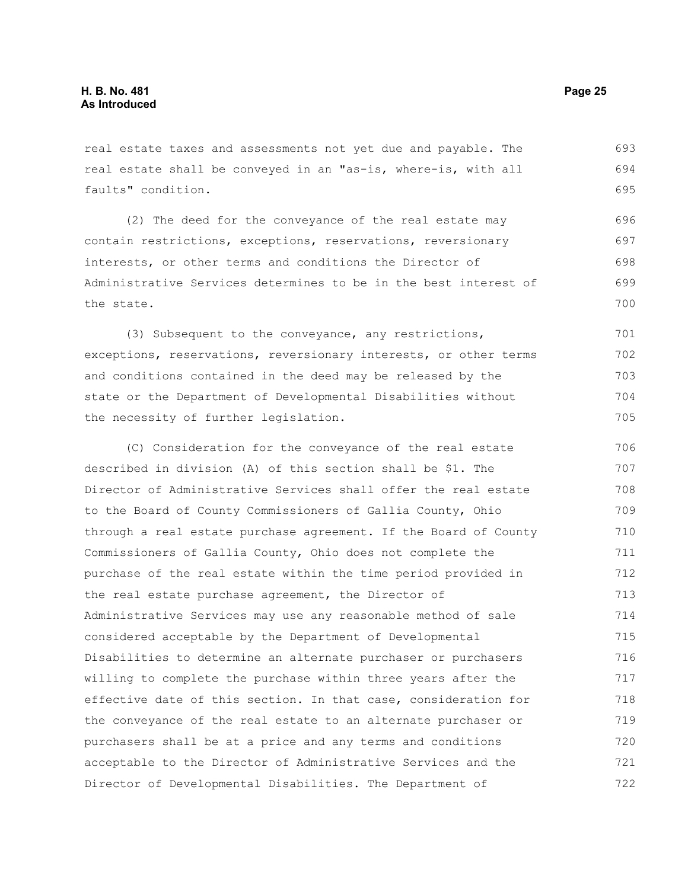real estate taxes and assessments not yet due and payable. The real estate shall be conveyed in an "as-is, where-is, with all faults" condition. 693 694 695

(2) The deed for the conveyance of the real estate may contain restrictions, exceptions, reservations, reversionary interests, or other terms and conditions the Director of Administrative Services determines to be in the best interest of the state. 696 697 698 699 700

(3) Subsequent to the conveyance, any restrictions, exceptions, reservations, reversionary interests, or other terms and conditions contained in the deed may be released by the state or the Department of Developmental Disabilities without the necessity of further legislation.

(C) Consideration for the conveyance of the real estate described in division (A) of this section shall be \$1. The Director of Administrative Services shall offer the real estate to the Board of County Commissioners of Gallia County, Ohio through a real estate purchase agreement. If the Board of County Commissioners of Gallia County, Ohio does not complete the purchase of the real estate within the time period provided in the real estate purchase agreement, the Director of Administrative Services may use any reasonable method of sale considered acceptable by the Department of Developmental Disabilities to determine an alternate purchaser or purchasers willing to complete the purchase within three years after the effective date of this section. In that case, consideration for the conveyance of the real estate to an alternate purchaser or purchasers shall be at a price and any terms and conditions acceptable to the Director of Administrative Services and the Director of Developmental Disabilities. The Department of 706 707 708 709 710 711 712 713 714 715 716 717 718 719 720 721 722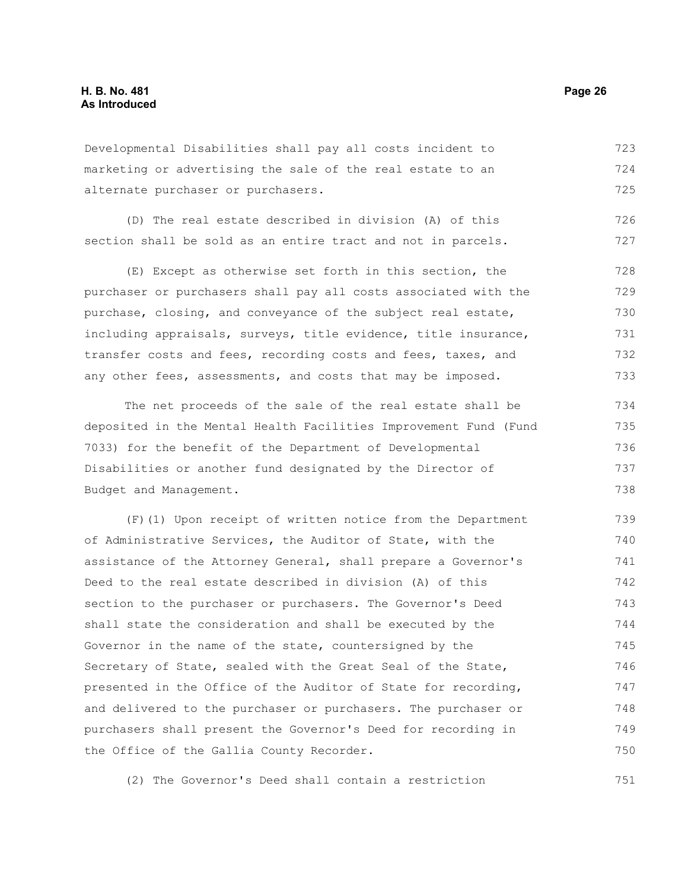Developmental Disabilities shall pay all costs incident to marketing or advertising the sale of the real estate to an alternate purchaser or purchasers. 723 724 725

(D) The real estate described in division (A) of this section shall be sold as an entire tract and not in parcels. 726 727

(E) Except as otherwise set forth in this section, the purchaser or purchasers shall pay all costs associated with the purchase, closing, and conveyance of the subject real estate, including appraisals, surveys, title evidence, title insurance, transfer costs and fees, recording costs and fees, taxes, and any other fees, assessments, and costs that may be imposed. 728 729 730 731 732 733

The net proceeds of the sale of the real estate shall be deposited in the Mental Health Facilities Improvement Fund (Fund 7033) for the benefit of the Department of Developmental Disabilities or another fund designated by the Director of Budget and Management. 734 735 736 737 738

(F)(1) Upon receipt of written notice from the Department of Administrative Services, the Auditor of State, with the assistance of the Attorney General, shall prepare a Governor's Deed to the real estate described in division (A) of this section to the purchaser or purchasers. The Governor's Deed shall state the consideration and shall be executed by the Governor in the name of the state, countersigned by the Secretary of State, sealed with the Great Seal of the State, presented in the Office of the Auditor of State for recording, and delivered to the purchaser or purchasers. The purchaser or purchasers shall present the Governor's Deed for recording in the Office of the Gallia County Recorder. 739 740 741 742 743 744 745 746 747 748 749 750

(2) The Governor's Deed shall contain a restriction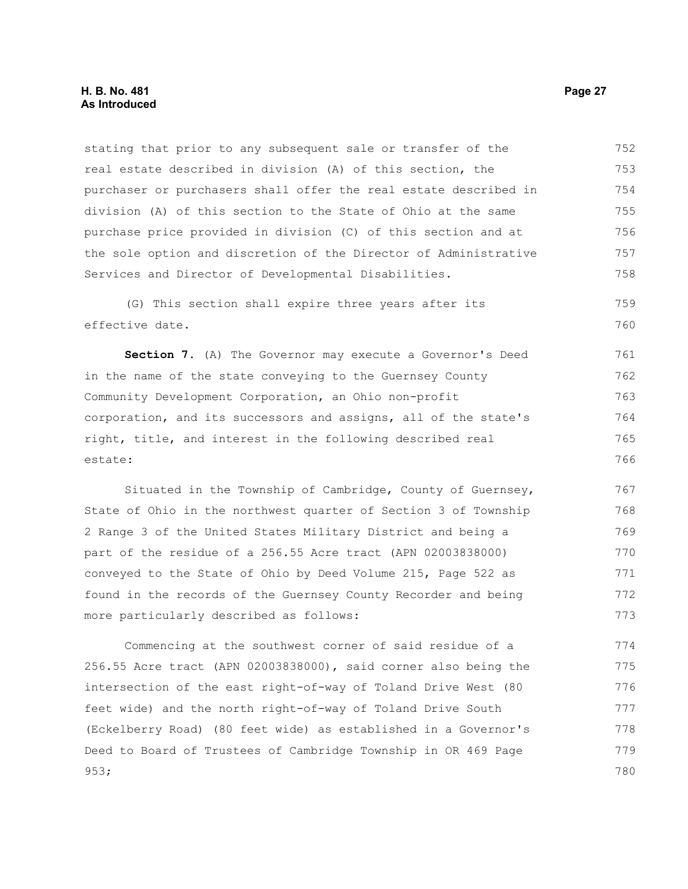#### **H. B. No. 481 Page 27 As Introduced**

stating that prior to any subsequent sale or transfer of the real estate described in division (A) of this section, the purchaser or purchasers shall offer the real estate described in division (A) of this section to the State of Ohio at the same purchase price provided in division (C) of this section and at the sole option and discretion of the Director of Administrative Services and Director of Developmental Disabilities. 752 753 754 755 756 757 758

(G) This section shall expire three years after its effective date. 759 760

**Section 7.** (A) The Governor may execute a Governor's Deed in the name of the state conveying to the Guernsey County Community Development Corporation, an Ohio non-profit corporation, and its successors and assigns, all of the state's right, title, and interest in the following described real estate: 761 762 763 764 765 766

Situated in the Township of Cambridge, County of Guernsey, State of Ohio in the northwest quarter of Section 3 of Township 2 Range 3 of the United States Military District and being a part of the residue of a 256.55 Acre tract (APN 02003838000) conveyed to the State of Ohio by Deed Volume 215, Page 522 as found in the records of the Guernsey County Recorder and being more particularly described as follows: 767 768 769 770 771 772 773

Commencing at the southwest corner of said residue of a 256.55 Acre tract (APN 02003838000), said corner also being the intersection of the east right-of-way of Toland Drive West (80 feet wide) and the north right-of-way of Toland Drive South (Eckelberry Road) (80 feet wide) as established in a Governor's Deed to Board of Trustees of Cambridge Township in OR 469 Page 953; 774 775 776 777 778 779 780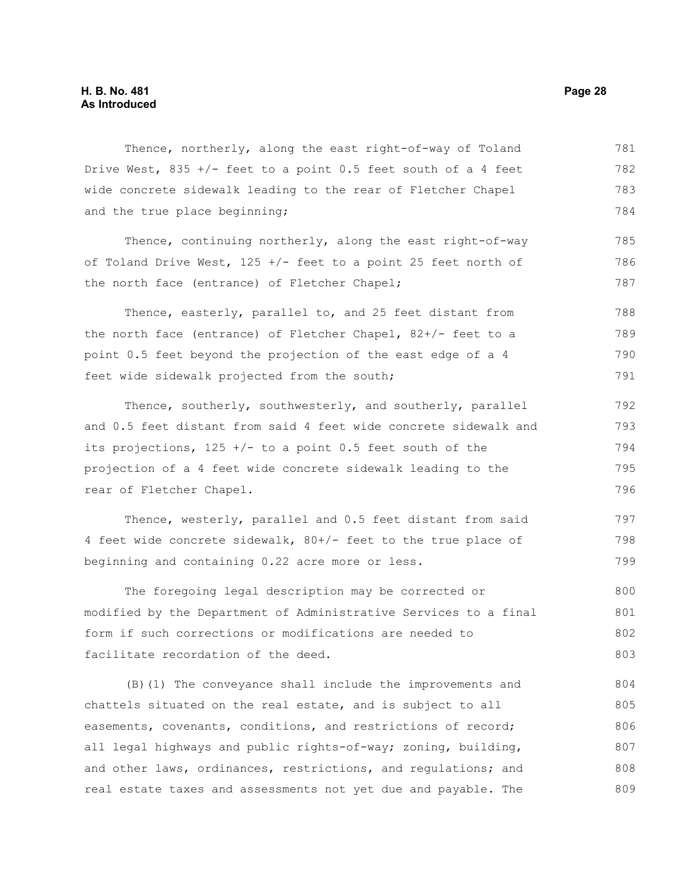Thence, northerly, along the east right-of-way of Toland Drive West,  $835 +/-$  feet to a point 0.5 feet south of a 4 feet wide concrete sidewalk leading to the rear of Fletcher Chapel and the true place beginning; 781 782 783 784

Thence, continuing northerly, along the east right-of-way of Toland Drive West, 125 +/- feet to a point 25 feet north of the north face (entrance) of Fletcher Chapel; 785 786 787

Thence, easterly, parallel to, and 25 feet distant from the north face (entrance) of Fletcher Chapel, 82+/- feet to a point 0.5 feet beyond the projection of the east edge of a 4 feet wide sidewalk projected from the south; 788 789 790 791

Thence, southerly, southwesterly, and southerly, parallel and 0.5 feet distant from said 4 feet wide concrete sidewalk and its projections,  $125 +/-$  to a point 0.5 feet south of the projection of a 4 feet wide concrete sidewalk leading to the rear of Fletcher Chapel. 792 793 794 795 796

Thence, westerly, parallel and 0.5 feet distant from said 4 feet wide concrete sidewalk, 80+/- feet to the true place of beginning and containing 0.22 acre more or less. 797 798 799

The foregoing legal description may be corrected or modified by the Department of Administrative Services to a final form if such corrections or modifications are needed to facilitate recordation of the deed. 800 801 802 803

(B)(1) The conveyance shall include the improvements and chattels situated on the real estate, and is subject to all easements, covenants, conditions, and restrictions of record; all legal highways and public rights-of-way; zoning, building, and other laws, ordinances, restrictions, and regulations; and real estate taxes and assessments not yet due and payable. The 804 805 806 807 808 809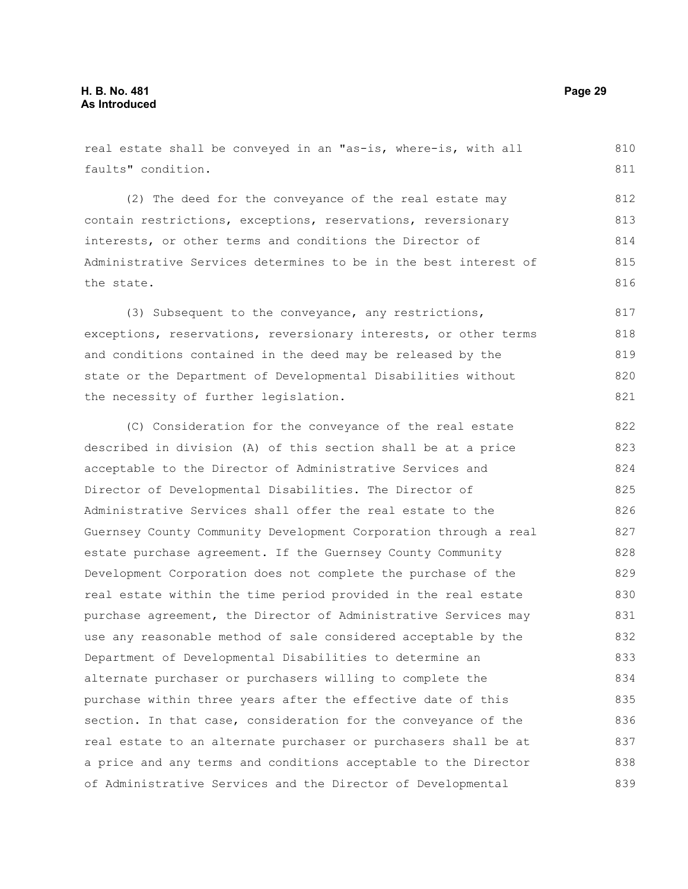real estate shall be conveyed in an "as-is, where-is, with all faults" condition. 810 811

(2) The deed for the conveyance of the real estate may contain restrictions, exceptions, reservations, reversionary interests, or other terms and conditions the Director of Administrative Services determines to be in the best interest of the state. 812 813 814 815 816

(3) Subsequent to the conveyance, any restrictions, exceptions, reservations, reversionary interests, or other terms and conditions contained in the deed may be released by the state or the Department of Developmental Disabilities without the necessity of further legislation. 817 818 819 820 821

(C) Consideration for the conveyance of the real estate described in division (A) of this section shall be at a price acceptable to the Director of Administrative Services and Director of Developmental Disabilities. The Director of Administrative Services shall offer the real estate to the Guernsey County Community Development Corporation through a real estate purchase agreement. If the Guernsey County Community Development Corporation does not complete the purchase of the real estate within the time period provided in the real estate purchase agreement, the Director of Administrative Services may use any reasonable method of sale considered acceptable by the Department of Developmental Disabilities to determine an alternate purchaser or purchasers willing to complete the purchase within three years after the effective date of this section. In that case, consideration for the conveyance of the real estate to an alternate purchaser or purchasers shall be at a price and any terms and conditions acceptable to the Director of Administrative Services and the Director of Developmental 822 823 824 825 826 827 828 829 830 831 832 833 834 835 836 837 838 839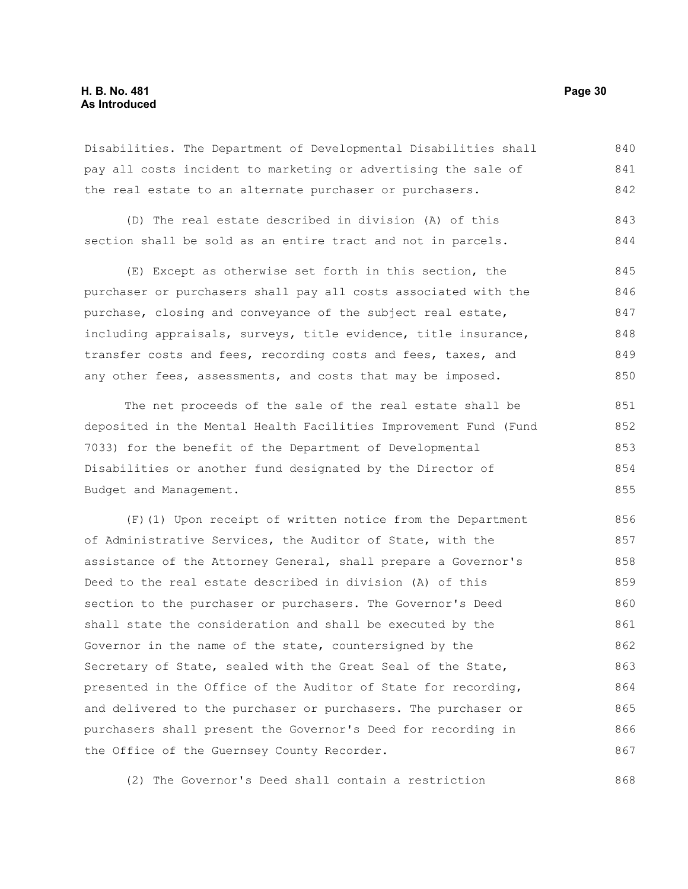#### **H. B. No. 481 Page 30 As Introduced**

Disabilities. The Department of Developmental Disabilities shall pay all costs incident to marketing or advertising the sale of the real estate to an alternate purchaser or purchasers. 840 841 842

(D) The real estate described in division (A) of this section shall be sold as an entire tract and not in parcels. 843 844

(E) Except as otherwise set forth in this section, the purchaser or purchasers shall pay all costs associated with the purchase, closing and conveyance of the subject real estate, including appraisals, surveys, title evidence, title insurance, transfer costs and fees, recording costs and fees, taxes, and any other fees, assessments, and costs that may be imposed. 845 846 847 848 849 850

The net proceeds of the sale of the real estate shall be deposited in the Mental Health Facilities Improvement Fund (Fund 7033) for the benefit of the Department of Developmental Disabilities or another fund designated by the Director of Budget and Management. 851 852 853 854 855

(F)(1) Upon receipt of written notice from the Department of Administrative Services, the Auditor of State, with the assistance of the Attorney General, shall prepare a Governor's Deed to the real estate described in division (A) of this section to the purchaser or purchasers. The Governor's Deed shall state the consideration and shall be executed by the Governor in the name of the state, countersigned by the Secretary of State, sealed with the Great Seal of the State, presented in the Office of the Auditor of State for recording, and delivered to the purchaser or purchasers. The purchaser or purchasers shall present the Governor's Deed for recording in the Office of the Guernsey County Recorder. 856 857 858 859 860 861 862 863 864 865 866 867

(2) The Governor's Deed shall contain a restriction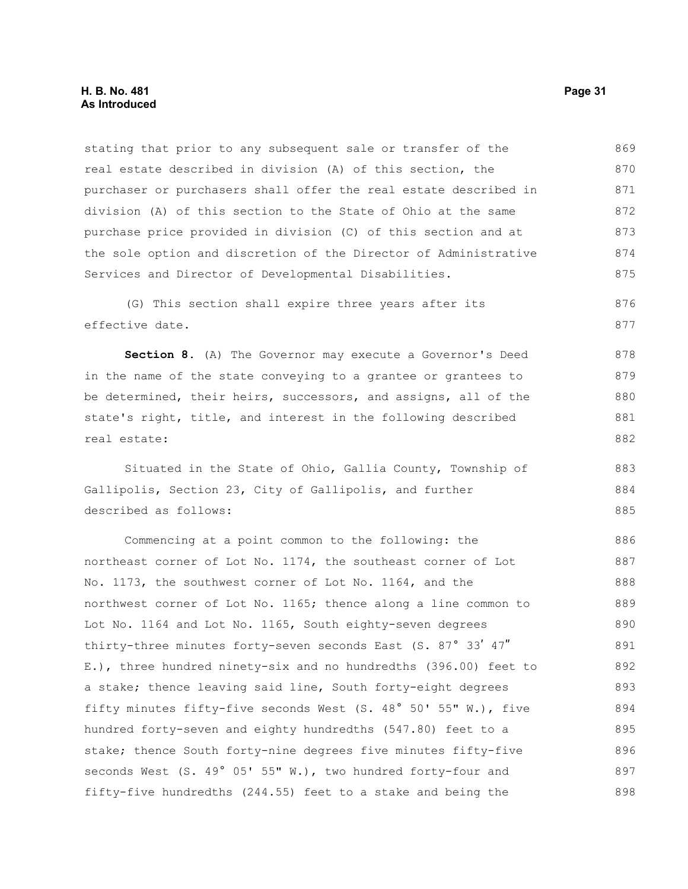stating that prior to any subsequent sale or transfer of the real estate described in division (A) of this section, the purchaser or purchasers shall offer the real estate described in division (A) of this section to the State of Ohio at the same purchase price provided in division (C) of this section and at the sole option and discretion of the Director of Administrative Services and Director of Developmental Disabilities. 869 870 871 872 873 874 875

(G) This section shall expire three years after its effective date. 876 877

**Section 8.** (A) The Governor may execute a Governor's Deed in the name of the state conveying to a grantee or grantees to be determined, their heirs, successors, and assigns, all of the state's right, title, and interest in the following described real estate: 878 879 880 881 882

Situated in the State of Ohio, Gallia County, Township of Gallipolis, Section 23, City of Gallipolis, and further described as follows: 883 884 885

Commencing at a point common to the following: the northeast corner of Lot No. 1174, the southeast corner of Lot No. 1173, the southwest corner of Lot No. 1164, and the northwest corner of Lot No. 1165; thence along a line common to Lot No. 1164 and Lot No. 1165, South eighty-seven degrees thirty-three minutes forty-seven seconds East (S. 87° 33' 47" E.), three hundred ninety-six and no hundredths (396.00) feet to a stake; thence leaving said line, South forty-eight degrees fifty minutes fifty-five seconds West (S. 48° 50' 55" W.), five hundred forty-seven and eighty hundredths (547.80) feet to a stake; thence South forty-nine degrees five minutes fifty-five seconds West (S. 49° 05' 55" W.), two hundred forty-four and fifty-five hundredths (244.55) feet to a stake and being the 886 887 888 889 890 891 892 893 894 895 896 897 898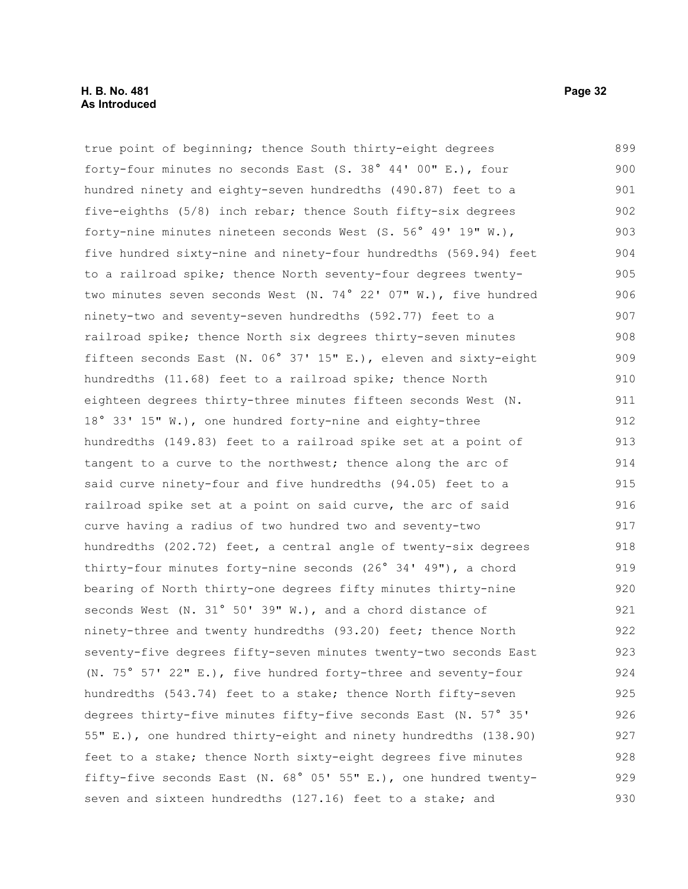#### **H. B. No. 481 Page 32 As Introduced**

true point of beginning; thence South thirty-eight degrees forty-four minutes no seconds East (S. 38° 44' 00" E.), four hundred ninety and eighty-seven hundredths (490.87) feet to a five-eighths (5/8) inch rebar; thence South fifty-six degrees forty-nine minutes nineteen seconds West (S. 56° 49' 19" W.), five hundred sixty-nine and ninety-four hundredths (569.94) feet to a railroad spike; thence North seventy-four degrees twentytwo minutes seven seconds West (N. 74° 22' 07" W.), five hundred ninety-two and seventy-seven hundredths (592.77) feet to a railroad spike; thence North six degrees thirty-seven minutes fifteen seconds East (N. 06° 37' 15" E.), eleven and sixty-eight hundredths (11.68) feet to a railroad spike; thence North eighteen degrees thirty-three minutes fifteen seconds West (N. 18° 33' 15" W.), one hundred forty-nine and eighty-three hundredths (149.83) feet to a railroad spike set at a point of tangent to a curve to the northwest; thence along the arc of said curve ninety-four and five hundredths (94.05) feet to a railroad spike set at a point on said curve, the arc of said curve having a radius of two hundred two and seventy-two hundredths (202.72) feet, a central angle of twenty-six degrees thirty-four minutes forty-nine seconds (26° 34' 49"), a chord bearing of North thirty-one degrees fifty minutes thirty-nine seconds West (N. 31° 50' 39" W.), and a chord distance of ninety-three and twenty hundredths (93.20) feet; thence North seventy-five degrees fifty-seven minutes twenty-two seconds East (N. 75° 57' 22" E.), five hundred forty-three and seventy-four hundredths (543.74) feet to a stake; thence North fifty-seven degrees thirty-five minutes fifty-five seconds East (N. 57° 35' 55" E.), one hundred thirty-eight and ninety hundredths (138.90) feet to a stake; thence North sixty-eight degrees five minutes fifty-five seconds East (N. 68° 05' 55" E.), one hundred twentyseven and sixteen hundredths (127.16) feet to a stake; and 899 900 901 902 903 904 905 906 907 908 909 910 911 912 913 914 915 916 917 918 919 920 921 922 923 924 925 926 927 928 929 930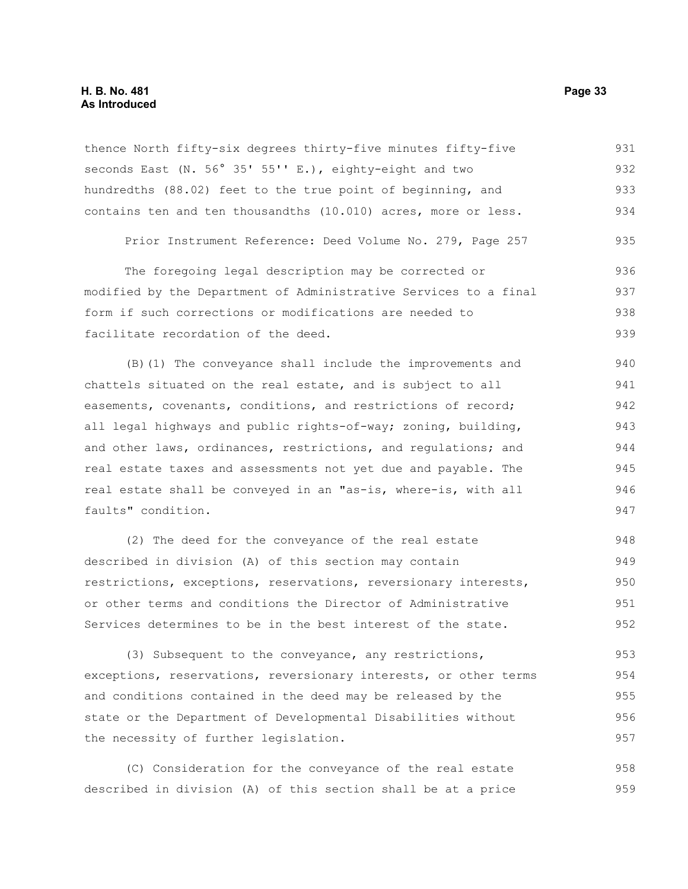#### **H. B. No. 481 Page 33 As Introduced**

thence North fifty-six degrees thirty-five minutes fifty-five seconds East (N. 56° 35' 55'' E.), eighty-eight and two hundredths (88.02) feet to the true point of beginning, and contains ten and ten thousandths (10.010) acres, more or less. 931 932 933 934

Prior Instrument Reference: Deed Volume No. 279, Page 257 935

The foregoing legal description may be corrected or modified by the Department of Administrative Services to a final form if such corrections or modifications are needed to facilitate recordation of the deed. 936 937 938 939

(B)(1) The conveyance shall include the improvements and chattels situated on the real estate, and is subject to all easements, covenants, conditions, and restrictions of record; all legal highways and public rights-of-way; zoning, building, and other laws, ordinances, restrictions, and regulations; and real estate taxes and assessments not yet due and payable. The real estate shall be conveyed in an "as-is, where-is, with all faults" condition. 940 941 942 943 944 945 946 947

(2) The deed for the conveyance of the real estate described in division (A) of this section may contain restrictions, exceptions, reservations, reversionary interests, or other terms and conditions the Director of Administrative Services determines to be in the best interest of the state. 948 949 950 951 952

(3) Subsequent to the conveyance, any restrictions, exceptions, reservations, reversionary interests, or other terms and conditions contained in the deed may be released by the state or the Department of Developmental Disabilities without the necessity of further legislation. 953 954 955 956 957

(C) Consideration for the conveyance of the real estate described in division (A) of this section shall be at a price 958 959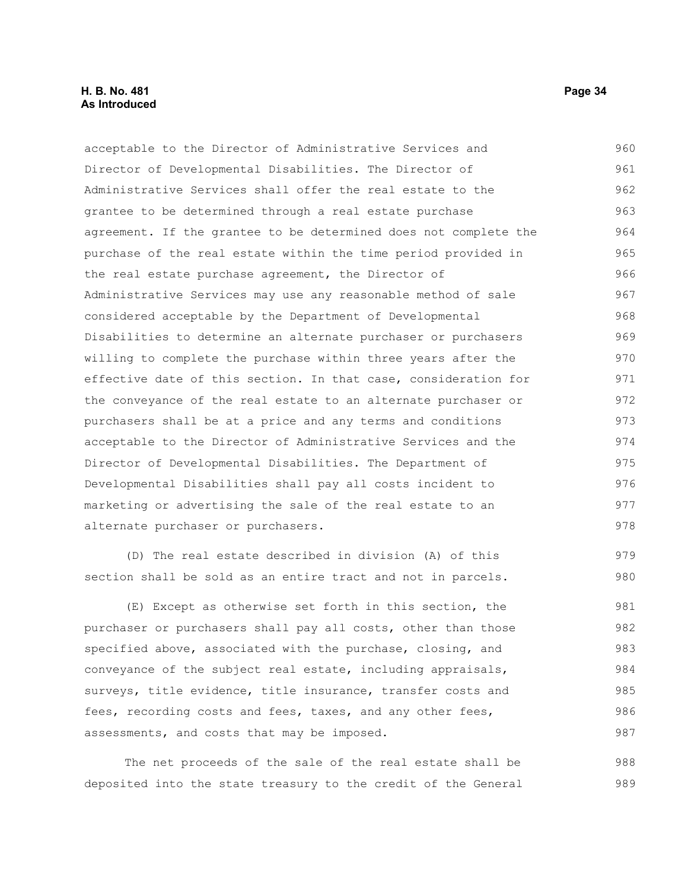#### **H. B. No. 481 Page 34 As Introduced**

acceptable to the Director of Administrative Services and Director of Developmental Disabilities. The Director of Administrative Services shall offer the real estate to the grantee to be determined through a real estate purchase agreement. If the grantee to be determined does not complete the purchase of the real estate within the time period provided in the real estate purchase agreement, the Director of Administrative Services may use any reasonable method of sale considered acceptable by the Department of Developmental Disabilities to determine an alternate purchaser or purchasers willing to complete the purchase within three years after the effective date of this section. In that case, consideration for the conveyance of the real estate to an alternate purchaser or purchasers shall be at a price and any terms and conditions acceptable to the Director of Administrative Services and the Director of Developmental Disabilities. The Department of Developmental Disabilities shall pay all costs incident to marketing or advertising the sale of the real estate to an alternate purchaser or purchasers. (D) The real estate described in division (A) of this section shall be sold as an entire tract and not in parcels. (E) Except as otherwise set forth in this section, the purchaser or purchasers shall pay all costs, other than those specified above, associated with the purchase, closing, and conveyance of the subject real estate, including appraisals, surveys, title evidence, title insurance, transfer costs and fees, recording costs and fees, taxes, and any other fees, assessments, and costs that may be imposed. 960 961 962 963 964 965 966 967 968 969 970 971 972 973 974 975 976 977 978 979 980 981 982 983 984 985 986 987

The net proceeds of the sale of the real estate shall be deposited into the state treasury to the credit of the General 988 989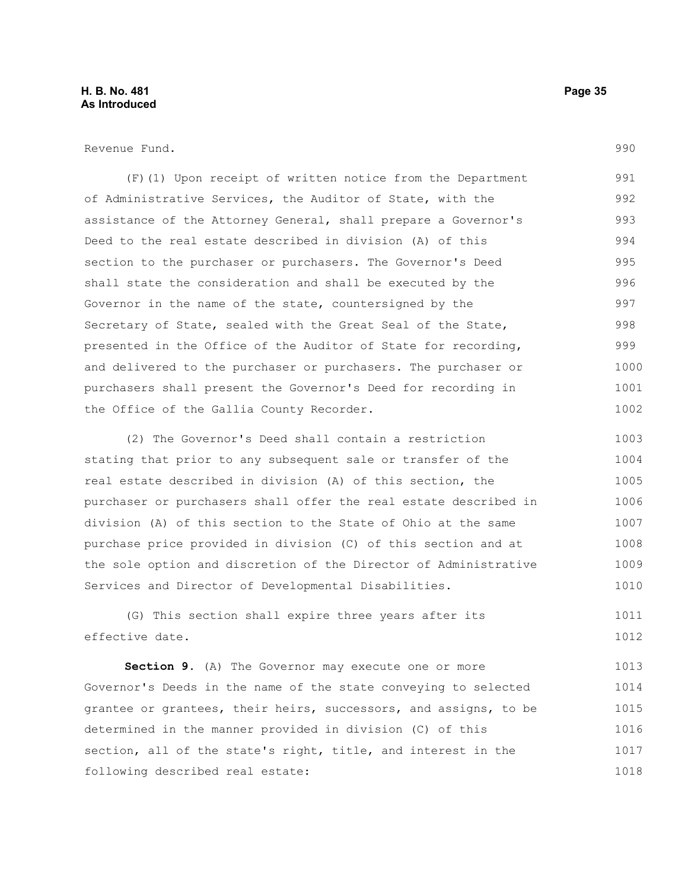Revenue Fund.

(F)(1) Upon receipt of written notice from the Department of Administrative Services, the Auditor of State, with the assistance of the Attorney General, shall prepare a Governor's Deed to the real estate described in division (A) of this section to the purchaser or purchasers. The Governor's Deed shall state the consideration and shall be executed by the Governor in the name of the state, countersigned by the Secretary of State, sealed with the Great Seal of the State, presented in the Office of the Auditor of State for recording, and delivered to the purchaser or purchasers. The purchaser or purchasers shall present the Governor's Deed for recording in the Office of the Gallia County Recorder. 991 992 993 994 995 996 997 998 999 1000 1001 1002

(2) The Governor's Deed shall contain a restriction stating that prior to any subsequent sale or transfer of the real estate described in division (A) of this section, the purchaser or purchasers shall offer the real estate described in division (A) of this section to the State of Ohio at the same purchase price provided in division (C) of this section and at the sole option and discretion of the Director of Administrative Services and Director of Developmental Disabilities. 1003 1004 1005 1006 1007 1008 1009 1010

(G) This section shall expire three years after its effective date. 1011 1012

**Section 9.** (A) The Governor may execute one or more Governor's Deeds in the name of the state conveying to selected grantee or grantees, their heirs, successors, and assigns, to be determined in the manner provided in division (C) of this section, all of the state's right, title, and interest in the following described real estate: 1013 1014 1015 1016 1017 1018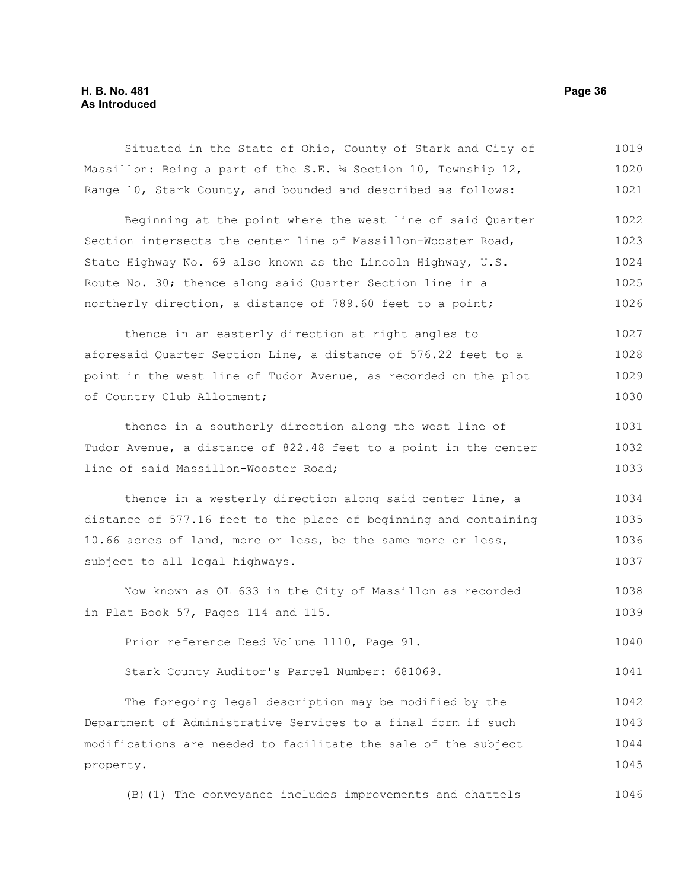### **H. B. No. 481 Page 36 As Introduced**

| Situated in the State of Ohio, County of Stark and City of       | 1019 |
|------------------------------------------------------------------|------|
| Massillon: Being a part of the S.E. 14 Section 10, Township 12,  | 1020 |
| Range 10, Stark County, and bounded and described as follows:    | 1021 |
| Beginning at the point where the west line of said Quarter       | 1022 |
| Section intersects the center line of Massillon-Wooster Road,    | 1023 |
| State Highway No. 69 also known as the Lincoln Highway, U.S.     | 1024 |
| Route No. 30; thence along said Quarter Section line in a        | 1025 |
| northerly direction, a distance of 789.60 feet to a point;       | 1026 |
| thence in an easterly direction at right angles to               | 1027 |
| aforesaid Quarter Section Line, a distance of 576.22 feet to a   | 1028 |
| point in the west line of Tudor Avenue, as recorded on the plot  | 1029 |
| of Country Club Allotment;                                       | 1030 |
| thence in a southerly direction along the west line of           | 1031 |
| Tudor Avenue, a distance of 822.48 feet to a point in the center | 1032 |
| line of said Massillon-Wooster Road;                             | 1033 |
| thence in a westerly direction along said center line, a         | 1034 |
| distance of 577.16 feet to the place of beginning and containing | 1035 |
| 10.66 acres of land, more or less, be the same more or less,     | 1036 |
| subject to all legal highways.                                   | 1037 |
| Now known as OL 633 in the City of Massillon as recorded         | 1038 |
| in Plat Book 57, Pages 114 and 115.                              | 1039 |
| Prior reference Deed Volume 1110, Page 91.                       | 1040 |
| Stark County Auditor's Parcel Number: 681069.                    | 1041 |
| The foregoing legal description may be modified by the           | 1042 |
| Department of Administrative Services to a final form if such    | 1043 |
| modifications are needed to facilitate the sale of the subject   | 1044 |
| property.                                                        | 1045 |
| (B) (1) The conveyance includes improvements and chattels        | 1046 |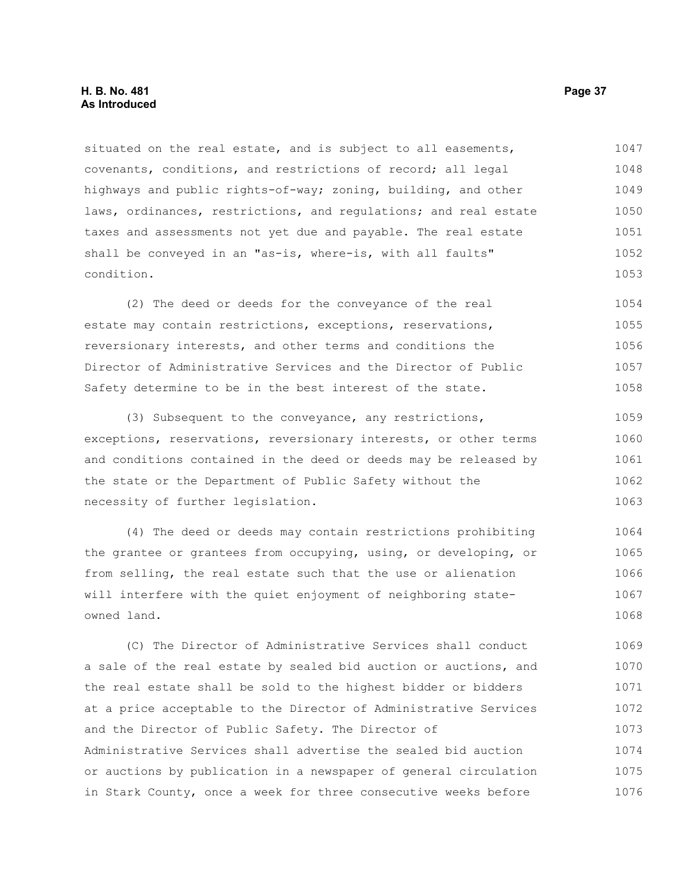#### **H. B. No. 481 Page 37 As Introduced**

situated on the real estate, and is subject to all easements, covenants, conditions, and restrictions of record; all legal highways and public rights-of-way; zoning, building, and other laws, ordinances, restrictions, and regulations; and real estate taxes and assessments not yet due and payable. The real estate shall be conveyed in an "as-is, where-is, with all faults" condition. 1047 1048 1049 1050 1051 1052 1053

(2) The deed or deeds for the conveyance of the real estate may contain restrictions, exceptions, reservations, reversionary interests, and other terms and conditions the Director of Administrative Services and the Director of Public Safety determine to be in the best interest of the state. 1054 1055 1056 1057 1058

(3) Subsequent to the conveyance, any restrictions, exceptions, reservations, reversionary interests, or other terms and conditions contained in the deed or deeds may be released by the state or the Department of Public Safety without the necessity of further legislation. 1059 1060 1061 1062 1063

(4) The deed or deeds may contain restrictions prohibiting the grantee or grantees from occupying, using, or developing, or from selling, the real estate such that the use or alienation will interfere with the quiet enjoyment of neighboring stateowned land. 1064 1065 1066 1067 1068

(C) The Director of Administrative Services shall conduct a sale of the real estate by sealed bid auction or auctions, and the real estate shall be sold to the highest bidder or bidders at a price acceptable to the Director of Administrative Services and the Director of Public Safety. The Director of Administrative Services shall advertise the sealed bid auction or auctions by publication in a newspaper of general circulation in Stark County, once a week for three consecutive weeks before 1069 1070 1071 1072 1073 1074 1075 1076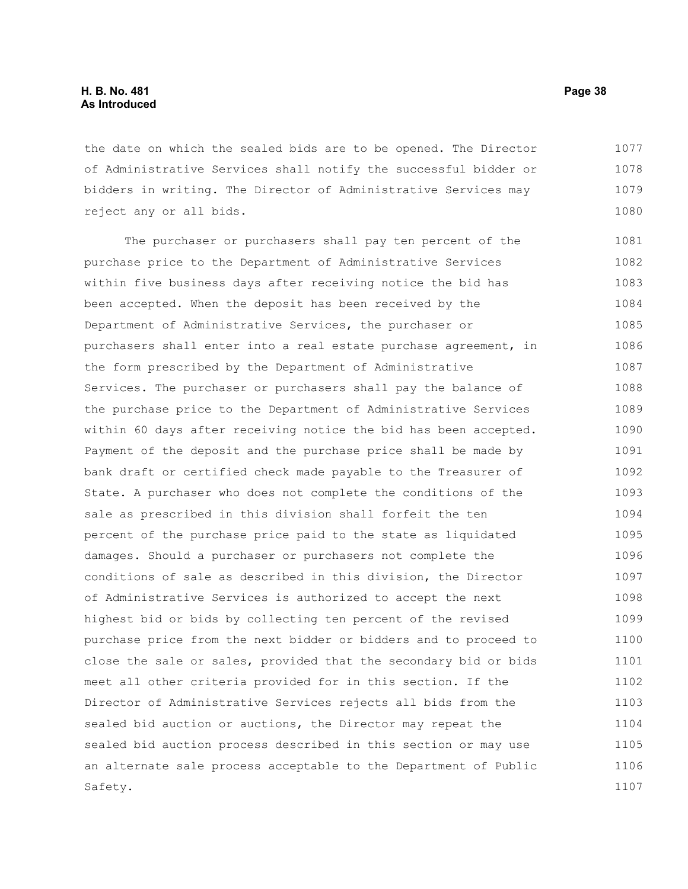the date on which the sealed bids are to be opened. The Director of Administrative Services shall notify the successful bidder or bidders in writing. The Director of Administrative Services may reject any or all bids. 1077 1078 1079 1080

The purchaser or purchasers shall pay ten percent of the purchase price to the Department of Administrative Services within five business days after receiving notice the bid has been accepted. When the deposit has been received by the Department of Administrative Services, the purchaser or purchasers shall enter into a real estate purchase agreement, in the form prescribed by the Department of Administrative Services. The purchaser or purchasers shall pay the balance of the purchase price to the Department of Administrative Services within 60 days after receiving notice the bid has been accepted. Payment of the deposit and the purchase price shall be made by bank draft or certified check made payable to the Treasurer of State. A purchaser who does not complete the conditions of the sale as prescribed in this division shall forfeit the ten percent of the purchase price paid to the state as liquidated damages. Should a purchaser or purchasers not complete the conditions of sale as described in this division, the Director of Administrative Services is authorized to accept the next highest bid or bids by collecting ten percent of the revised purchase price from the next bidder or bidders and to proceed to close the sale or sales, provided that the secondary bid or bids meet all other criteria provided for in this section. If the Director of Administrative Services rejects all bids from the sealed bid auction or auctions, the Director may repeat the sealed bid auction process described in this section or may use an alternate sale process acceptable to the Department of Public Safety. 1081 1082 1083 1084 1085 1086 1087 1088 1089 1090 1091 1092 1093 1094 1095 1096 1097 1098 1099 1100 1101 1102 1103 1104 1105 1106 1107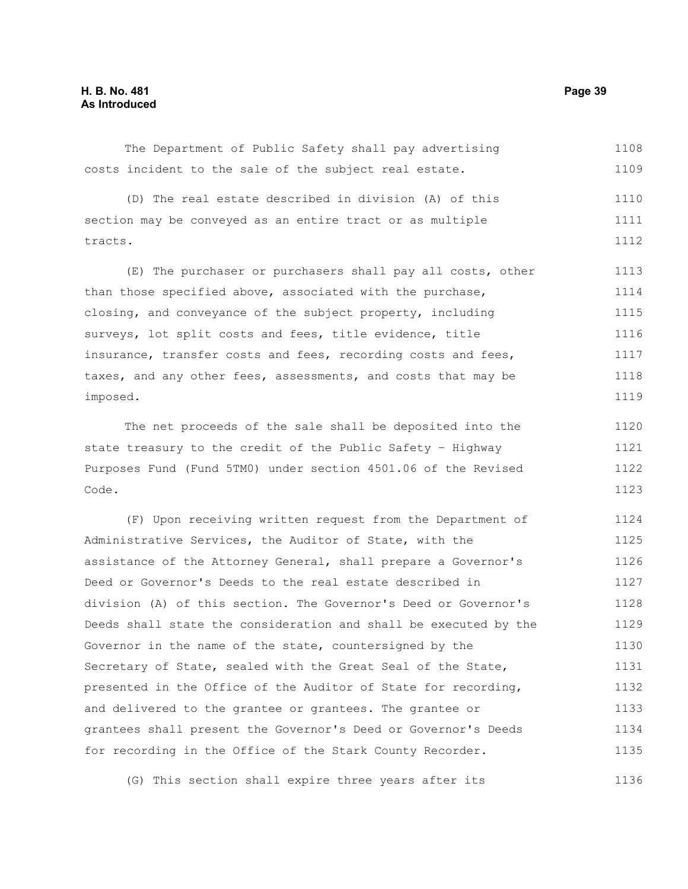The Department of Public Safety shall pay advertising costs incident to the sale of the subject real estate. 1108 1109

(D) The real estate described in division (A) of this section may be conveyed as an entire tract or as multiple tracts. 1110 1111 1112

(E) The purchaser or purchasers shall pay all costs, other than those specified above, associated with the purchase, closing, and conveyance of the subject property, including surveys, lot split costs and fees, title evidence, title insurance, transfer costs and fees, recording costs and fees, taxes, and any other fees, assessments, and costs that may be imposed. 1113 1114 1115 1116 1117 1118 1119

The net proceeds of the sale shall be deposited into the state treasury to the credit of the Public Safety – Highway Purposes Fund (Fund 5TM0) under section 4501.06 of the Revised Code. 1120 1121 1122 1123

(F) Upon receiving written request from the Department of Administrative Services, the Auditor of State, with the assistance of the Attorney General, shall prepare a Governor's Deed or Governor's Deeds to the real estate described in division (A) of this section. The Governor's Deed or Governor's Deeds shall state the consideration and shall be executed by the Governor in the name of the state, countersigned by the Secretary of State, sealed with the Great Seal of the State, presented in the Office of the Auditor of State for recording, and delivered to the grantee or grantees. The grantee or grantees shall present the Governor's Deed or Governor's Deeds for recording in the Office of the Stark County Recorder. 1124 1125 1126 1127 1128 1129 1130 1131 1132 1133 1134 1135

(G) This section shall expire three years after its 1136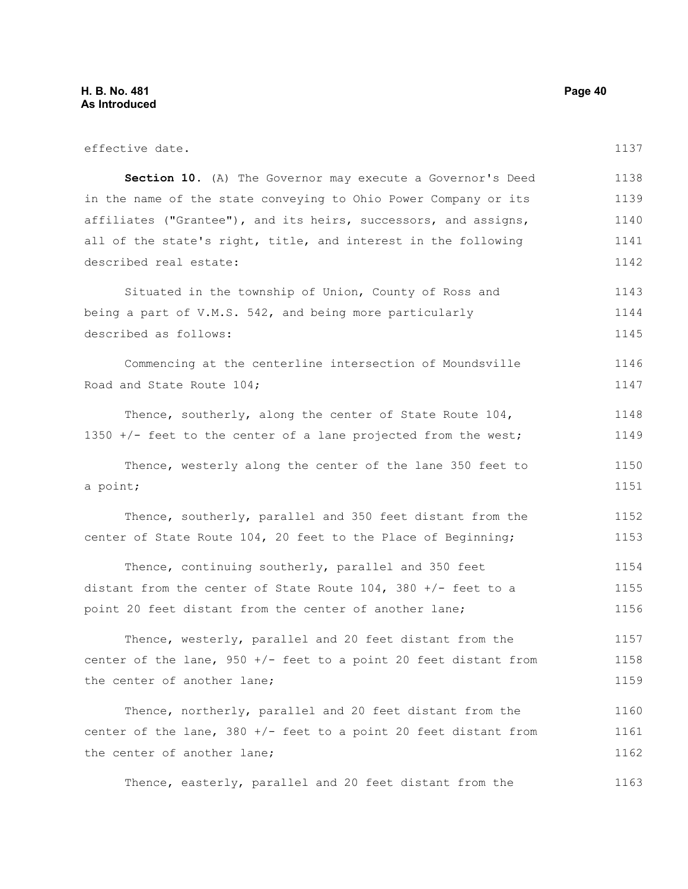effective date. **Section 10.** (A) The Governor may execute a Governor's Deed in the name of the state conveying to Ohio Power Company or its affiliates ("Grantee"), and its heirs, successors, and assigns, all of the state's right, title, and interest in the following described real estate: Situated in the township of Union, County of Ross and being a part of V.M.S. 542, and being more particularly described as follows: Commencing at the centerline intersection of Moundsville Road and State Route 104; Thence, southerly, along the center of State Route 104, 1350 +/- feet to the center of a lane projected from the west; Thence, westerly along the center of the lane 350 feet to a point; Thence, southerly, parallel and 350 feet distant from the center of State Route 104, 20 feet to the Place of Beginning; Thence, continuing southerly, parallel and 350 feet distant from the center of State Route  $104$ , 380 +/- feet to a point 20 feet distant from the center of another lane; Thence, westerly, parallel and 20 feet distant from the center of the lane, 950 +/- feet to a point 20 feet distant from the center of another lane; Thence, northerly, parallel and 20 feet distant from the center of the lane,  $380 +/-$  feet to a point 20 feet distant from the center of another lane; Thence, easterly, parallel and 20 feet distant from the 1137 1138 1139 1140 1141 1142 1143 1144 1145 1146 1147 1148 1149 1150 1151 1152 1153 1154 1155 1156 1157 1158 1159 1160 1161 1162 1163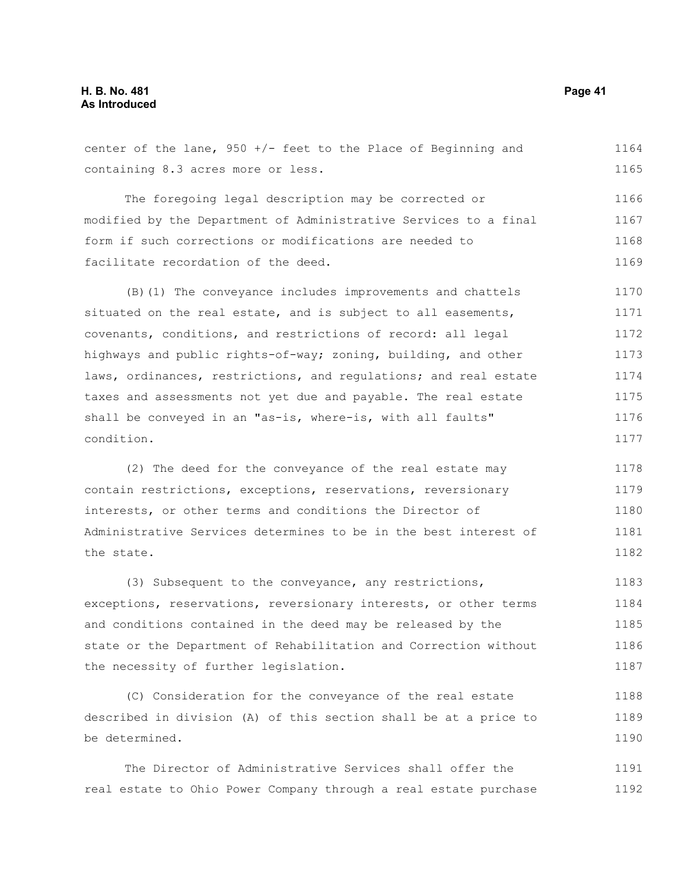center of the lane,  $950 +/-$  feet to the Place of Beginning and containing 8.3 acres more or less. The foregoing legal description may be corrected or modified by the Department of Administrative Services to a final form if such corrections or modifications are needed to facilitate recordation of the deed. (B)(1) The conveyance includes improvements and chattels situated on the real estate, and is subject to all easements, covenants, conditions, and restrictions of record: all legal highways and public rights-of-way; zoning, building, and other laws, ordinances, restrictions, and regulations; and real estate taxes and assessments not yet due and payable. The real estate shall be conveyed in an "as-is, where-is, with all faults" condition. (2) The deed for the conveyance of the real estate may contain restrictions, exceptions, reservations, reversionary interests, or other terms and conditions the Director of Administrative Services determines to be in the best interest of the state. (3) Subsequent to the conveyance, any restrictions, 1164 1165 1166 1167 1168 1169 1170 1171 1172 1173 1174 1175 1176 1177 1178 1179 1180 1181 1182 1183

exceptions, reservations, reversionary interests, or other terms and conditions contained in the deed may be released by the state or the Department of Rehabilitation and Correction without the necessity of further legislation. 1184 1185 1186 1187

(C) Consideration for the conveyance of the real estate described in division (A) of this section shall be at a price to be determined. 1188 1189 1190

The Director of Administrative Services shall offer the real estate to Ohio Power Company through a real estate purchase 1191 1192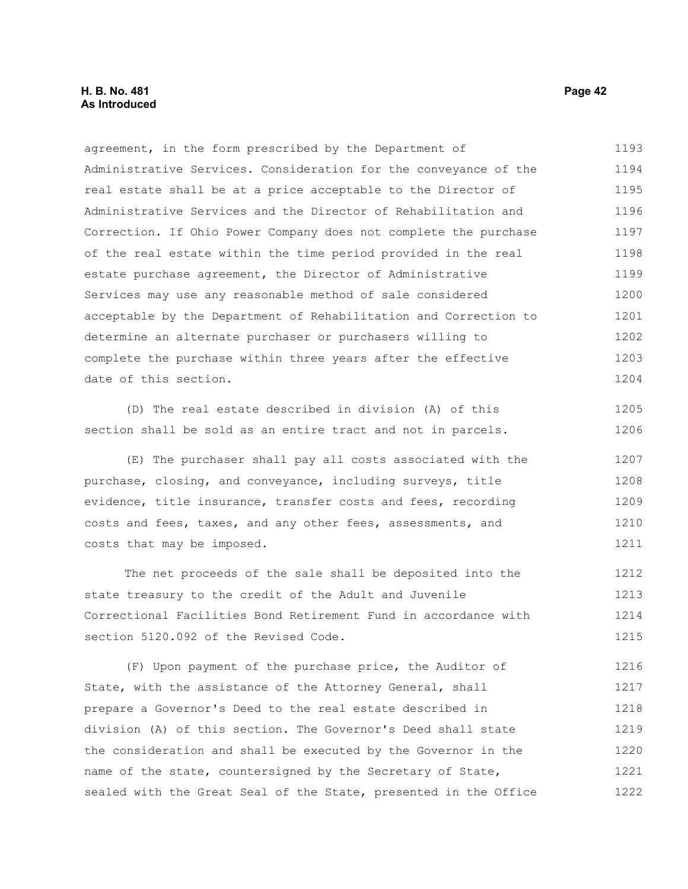### **H. B. No. 481 Page 42 As Introduced**

agreement, in the form prescribed by the Department of Administrative Services. Consideration for the conveyance of the real estate shall be at a price acceptable to the Director of Administrative Services and the Director of Rehabilitation and Correction. If Ohio Power Company does not complete the purchase of the real estate within the time period provided in the real estate purchase agreement, the Director of Administrative Services may use any reasonable method of sale considered acceptable by the Department of Rehabilitation and Correction to determine an alternate purchaser or purchasers willing to complete the purchase within three years after the effective date of this section. 1193 1194 1195 1196 1197 1198 1199 1200 1201 1202 1203 1204

(D) The real estate described in division (A) of this section shall be sold as an entire tract and not in parcels.

(E) The purchaser shall pay all costs associated with the purchase, closing, and conveyance, including surveys, title evidence, title insurance, transfer costs and fees, recording costs and fees, taxes, and any other fees, assessments, and costs that may be imposed. 1207 1208 1209 1210 1211

The net proceeds of the sale shall be deposited into the state treasury to the credit of the Adult and Juvenile Correctional Facilities Bond Retirement Fund in accordance with section 5120.092 of the Revised Code. 1212 1213 1214 1215

(F) Upon payment of the purchase price, the Auditor of State, with the assistance of the Attorney General, shall prepare a Governor's Deed to the real estate described in division (A) of this section. The Governor's Deed shall state the consideration and shall be executed by the Governor in the name of the state, countersigned by the Secretary of State, sealed with the Great Seal of the State, presented in the Office 1216 1217 1218 1219 1220 1221 1222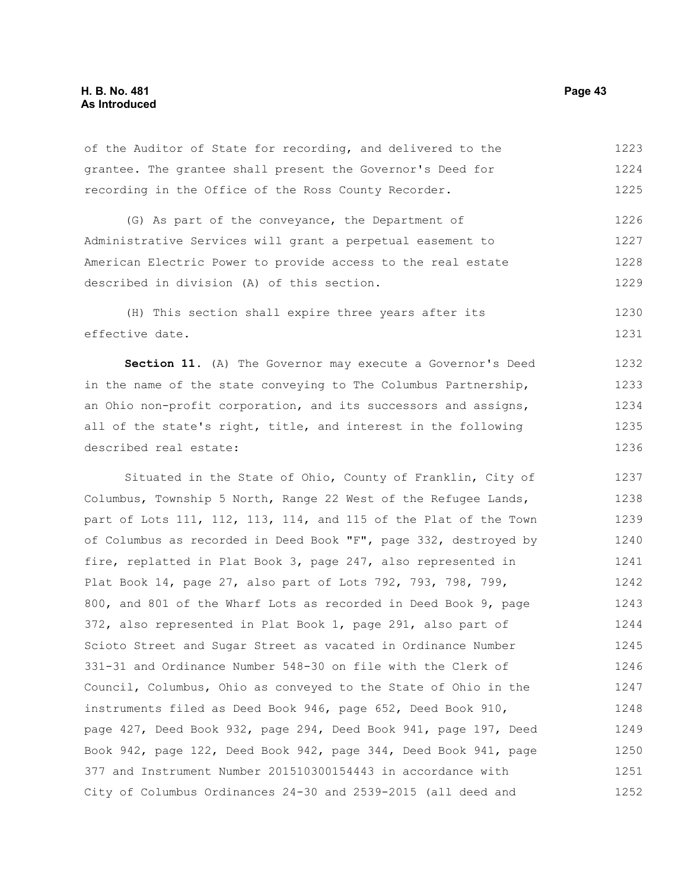of the Auditor of State for recording, and delivered to the grantee. The grantee shall present the Governor's Deed for recording in the Office of the Ross County Recorder. 1223 1224 1225

(G) As part of the conveyance, the Department of Administrative Services will grant a perpetual easement to American Electric Power to provide access to the real estate described in division (A) of this section. 1226 1227 1228 1229

(H) This section shall expire three years after its effective date. 1230 1231

**Section 11.** (A) The Governor may execute a Governor's Deed in the name of the state conveying to The Columbus Partnership, an Ohio non-profit corporation, and its successors and assigns, all of the state's right, title, and interest in the following described real estate: 1232 1233 1234 1235 1236

Situated in the State of Ohio, County of Franklin, City of Columbus, Township 5 North, Range 22 West of the Refugee Lands, part of Lots 111, 112, 113, 114, and 115 of the Plat of the Town of Columbus as recorded in Deed Book "F", page 332, destroyed by fire, replatted in Plat Book 3, page 247, also represented in Plat Book 14, page 27, also part of Lots 792, 793, 798, 799, 800, and 801 of the Wharf Lots as recorded in Deed Book 9, page 372, also represented in Plat Book 1, page 291, also part of Scioto Street and Sugar Street as vacated in Ordinance Number 331-31 and Ordinance Number 548-30 on file with the Clerk of Council, Columbus, Ohio as conveyed to the State of Ohio in the instruments filed as Deed Book 946, page 652, Deed Book 910, page 427, Deed Book 932, page 294, Deed Book 941, page 197, Deed Book 942, page 122, Deed Book 942, page 344, Deed Book 941, page 377 and Instrument Number 201510300154443 in accordance with City of Columbus Ordinances 24-30 and 2539-2015 (all deed and 1237 1238 1239 1240 1241 1242 1243 1244 1245 1246 1247 1248 1249 1250 1251 1252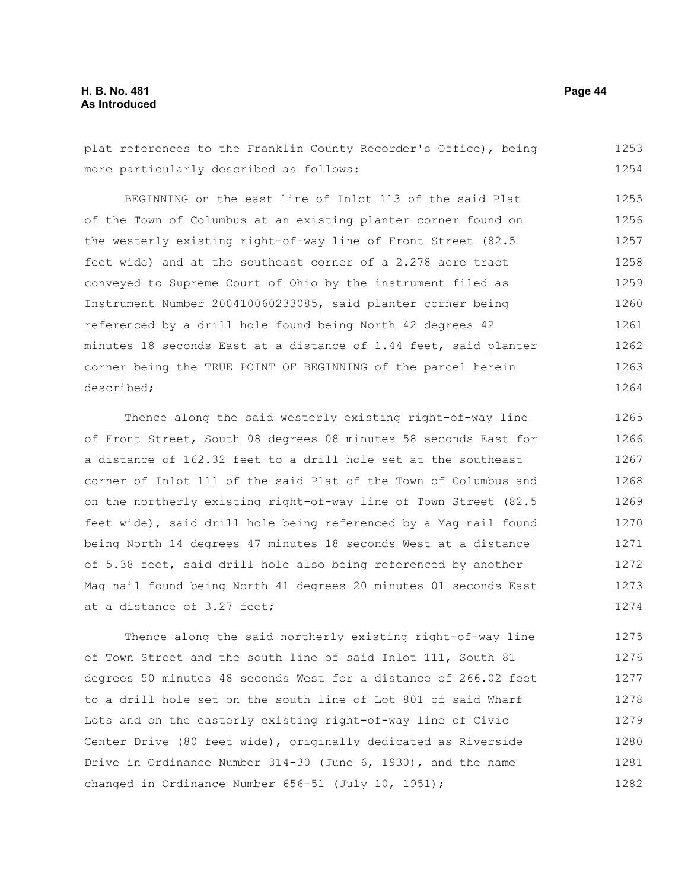plat references to the Franklin County Recorder's Office), being more particularly described as follows: 1253 1254

BEGINNING on the east line of Inlot 113 of the said Plat of the Town of Columbus at an existing planter corner found on the westerly existing right-of-way line of Front Street (82.5 feet wide) and at the southeast corner of a 2.278 acre tract conveyed to Supreme Court of Ohio by the instrument filed as Instrument Number 200410060233085, said planter corner being referenced by a drill hole found being North 42 degrees 42 minutes 18 seconds East at a distance of 1.44 feet, said planter corner being the TRUE POINT OF BEGINNING of the parcel herein described; 1255 1256 1257 1258 1259 1260 1261 1262 1263 1264

Thence along the said westerly existing right-of-way line of Front Street, South 08 degrees 08 minutes 58 seconds East for a distance of 162.32 feet to a drill hole set at the southeast corner of Inlot 111 of the said Plat of the Town of Columbus and on the northerly existing right-of-way line of Town Street (82.5 feet wide), said drill hole being referenced by a Mag nail found being North 14 degrees 47 minutes 18 seconds West at a distance of 5.38 feet, said drill hole also being referenced by another Mag nail found being North 41 degrees 20 minutes 01 seconds East at a distance of 3.27 feet; 1265 1266 1267 1268 1269 1270 1271 1272 1273 1274

Thence along the said northerly existing right-of-way line of Town Street and the south line of said Inlot 111, South 81 degrees 50 minutes 48 seconds West for a distance of 266.02 feet to a drill hole set on the south line of Lot 801 of said Wharf Lots and on the easterly existing right-of-way line of Civic Center Drive (80 feet wide), originally dedicated as Riverside Drive in Ordinance Number 314-30 (June 6, 1930), and the name changed in Ordinance Number 656-51 (July 10, 1951); 1275 1276 1277 1278 1279 1280 1281 1282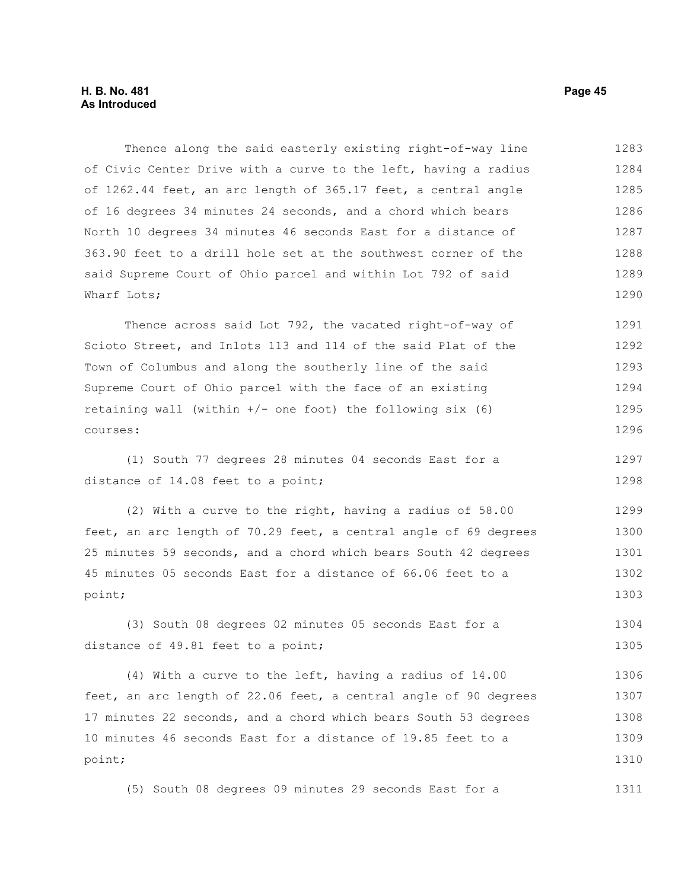Thence along the said easterly existing right-of-way line of Civic Center Drive with a curve to the left, having a radius of 1262.44 feet, an arc length of 365.17 feet, a central angle of 16 degrees 34 minutes 24 seconds, and a chord which bears North 10 degrees 34 minutes 46 seconds East for a distance of 363.90 feet to a drill hole set at the southwest corner of the said Supreme Court of Ohio parcel and within Lot 792 of said Wharf Lots; 1283 1284 1285 1286 1287 1288 1289 1290

Thence across said Lot 792, the vacated right-of-way of Scioto Street, and Inlots 113 and 114 of the said Plat of the Town of Columbus and along the southerly line of the said Supreme Court of Ohio parcel with the face of an existing retaining wall (within  $+/-$  one foot) the following six (6) courses: 1291 1292 1293 1294 1295 1296

(1) South 77 degrees 28 minutes 04 seconds East for a distance of 14.08 feet to a point; 1297 1298

(2) With a curve to the right, having a radius of 58.00 feet, an arc length of 70.29 feet, a central angle of 69 degrees 25 minutes 59 seconds, and a chord which bears South 42 degrees 45 minutes 05 seconds East for a distance of 66.06 feet to a point; 1299 1300 1301 1302 1303

(3) South 08 degrees 02 minutes 05 seconds East for a distance of 49.81 feet to a point; 1304 1305

(4) With a curve to the left, having a radius of 14.00 feet, an arc length of 22.06 feet, a central angle of 90 degrees 17 minutes 22 seconds, and a chord which bears South 53 degrees 10 minutes 46 seconds East for a distance of 19.85 feet to a point; 1306 1307 1308 1309 1310

(5) South 08 degrees 09 minutes 29 seconds East for a 1311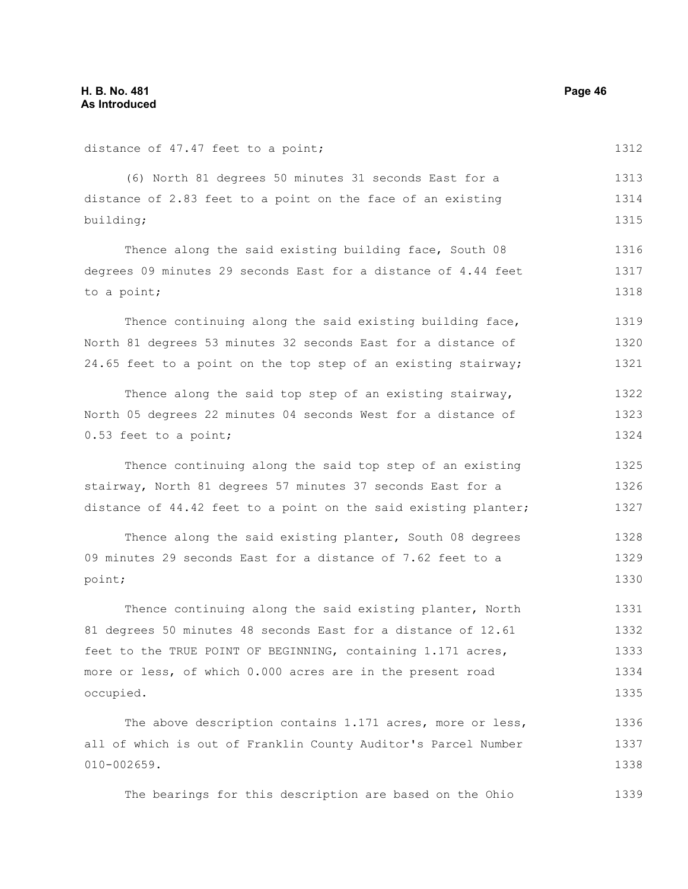010-002659.

distance of 47.47 feet to a point; (6) North 81 degrees 50 minutes 31 seconds East for a distance of 2.83 feet to a point on the face of an existing building; Thence along the said existing building face, South 08 degrees 09 minutes 29 seconds East for a distance of 4.44 feet to a point; Thence continuing along the said existing building face, North 81 degrees 53 minutes 32 seconds East for a distance of 24.65 feet to a point on the top step of an existing stairway; Thence along the said top step of an existing stairway, North 05 degrees 22 minutes 04 seconds West for a distance of 0.53 feet to a point; Thence continuing along the said top step of an existing stairway, North 81 degrees 57 minutes 37 seconds East for a distance of 44.42 feet to a point on the said existing planter; Thence along the said existing planter, South 08 degrees 09 minutes 29 seconds East for a distance of 7.62 feet to a point; Thence continuing along the said existing planter, North 81 degrees 50 minutes 48 seconds East for a distance of 12.61 feet to the TRUE POINT OF BEGINNING, containing 1.171 acres, more or less, of which 0.000 acres are in the present road occupied. The above description contains 1.171 acres, more or less, all of which is out of Franklin County Auditor's Parcel Number 1312 1313 1314 1315 1316 1317 1318 1319 1320 1321 1322 1323 1324 1325 1326 1327 1328 1329 1330 1331 1332 1333 1334 1335 1336 1337

The bearings for this description are based on the Ohio 1339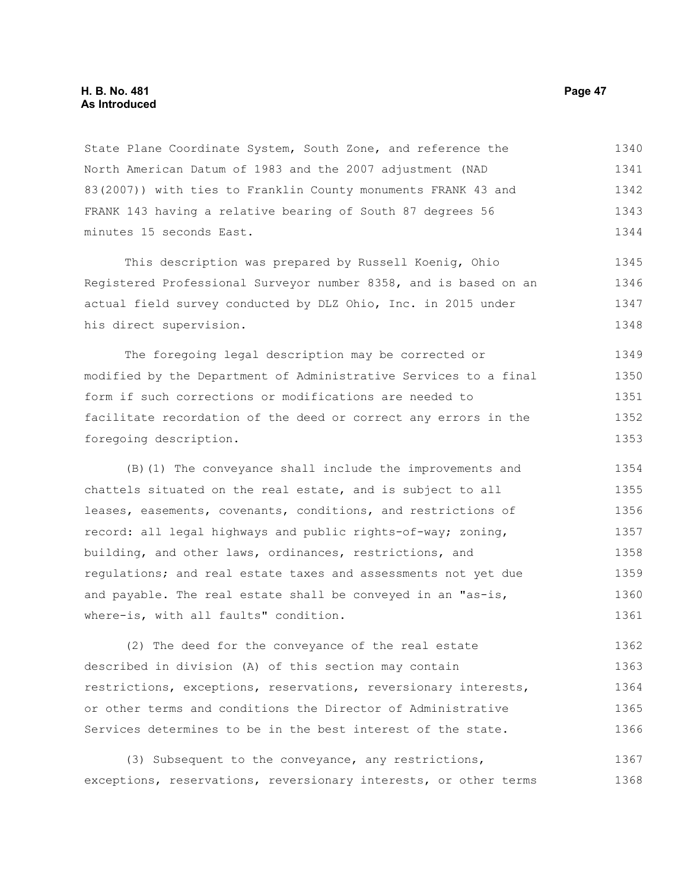State Plane Coordinate System, South Zone, and reference the North American Datum of 1983 and the 2007 adjustment (NAD 83(2007)) with ties to Franklin County monuments FRANK 43 and FRANK 143 having a relative bearing of South 87 degrees 56 minutes 15 seconds East. 1340 1341 1342 1343 1344

This description was prepared by Russell Koenig, Ohio Registered Professional Surveyor number 8358, and is based on an actual field survey conducted by DLZ Ohio, Inc. in 2015 under his direct supervision. 1345 1346 1347 1348

The foregoing legal description may be corrected or modified by the Department of Administrative Services to a final form if such corrections or modifications are needed to facilitate recordation of the deed or correct any errors in the foregoing description. 1349 1350 1351 1352 1353

(B)(1) The conveyance shall include the improvements and chattels situated on the real estate, and is subject to all leases, easements, covenants, conditions, and restrictions of record: all legal highways and public rights-of-way; zoning, building, and other laws, ordinances, restrictions, and regulations; and real estate taxes and assessments not yet due and payable. The real estate shall be conveyed in an "as-is, where-is, with all faults" condition. 1354 1355 1356 1357 1358 1359 1360 1361

(2) The deed for the conveyance of the real estate described in division (A) of this section may contain restrictions, exceptions, reservations, reversionary interests, or other terms and conditions the Director of Administrative Services determines to be in the best interest of the state. 1362 1363 1364 1365 1366

(3) Subsequent to the conveyance, any restrictions, exceptions, reservations, reversionary interests, or other terms 1367 1368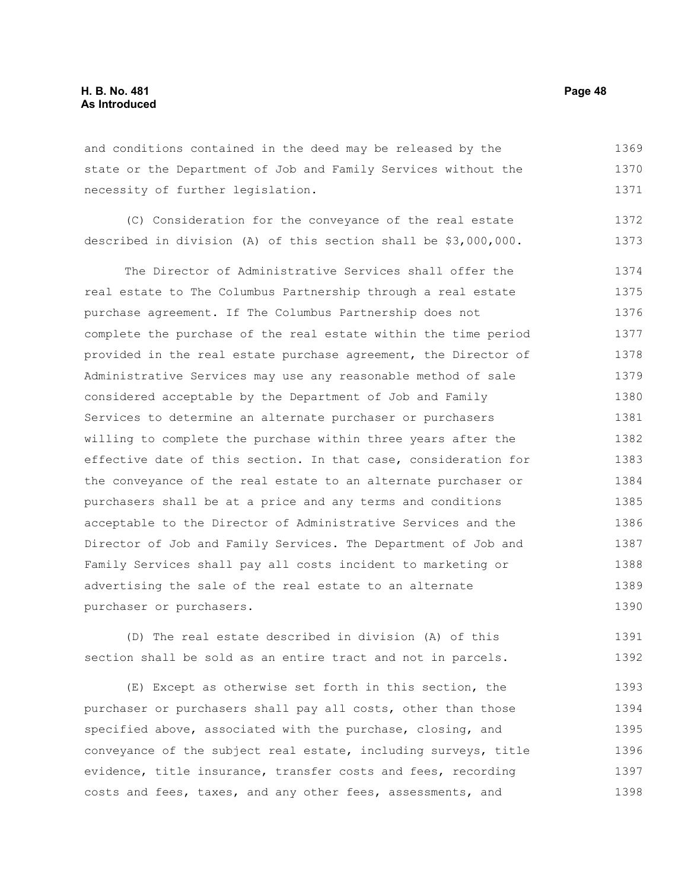and conditions contained in the deed may be released by the state or the Department of Job and Family Services without the necessity of further legislation. 1369 1370 1371

(C) Consideration for the conveyance of the real estate described in division (A) of this section shall be \$3,000,000. 1372 1373

The Director of Administrative Services shall offer the real estate to The Columbus Partnership through a real estate purchase agreement. If The Columbus Partnership does not complete the purchase of the real estate within the time period provided in the real estate purchase agreement, the Director of Administrative Services may use any reasonable method of sale considered acceptable by the Department of Job and Family Services to determine an alternate purchaser or purchasers willing to complete the purchase within three years after the effective date of this section. In that case, consideration for the conveyance of the real estate to an alternate purchaser or purchasers shall be at a price and any terms and conditions acceptable to the Director of Administrative Services and the Director of Job and Family Services. The Department of Job and Family Services shall pay all costs incident to marketing or advertising the sale of the real estate to an alternate purchaser or purchasers. 1374 1375 1376 1377 1378 1379 1380 1381 1382 1383 1384 1385 1386 1387 1388 1389 1390

(D) The real estate described in division (A) of this section shall be sold as an entire tract and not in parcels. 1391 1392

(E) Except as otherwise set forth in this section, the purchaser or purchasers shall pay all costs, other than those specified above, associated with the purchase, closing, and conveyance of the subject real estate, including surveys, title evidence, title insurance, transfer costs and fees, recording costs and fees, taxes, and any other fees, assessments, and 1393 1394 1395 1396 1397 1398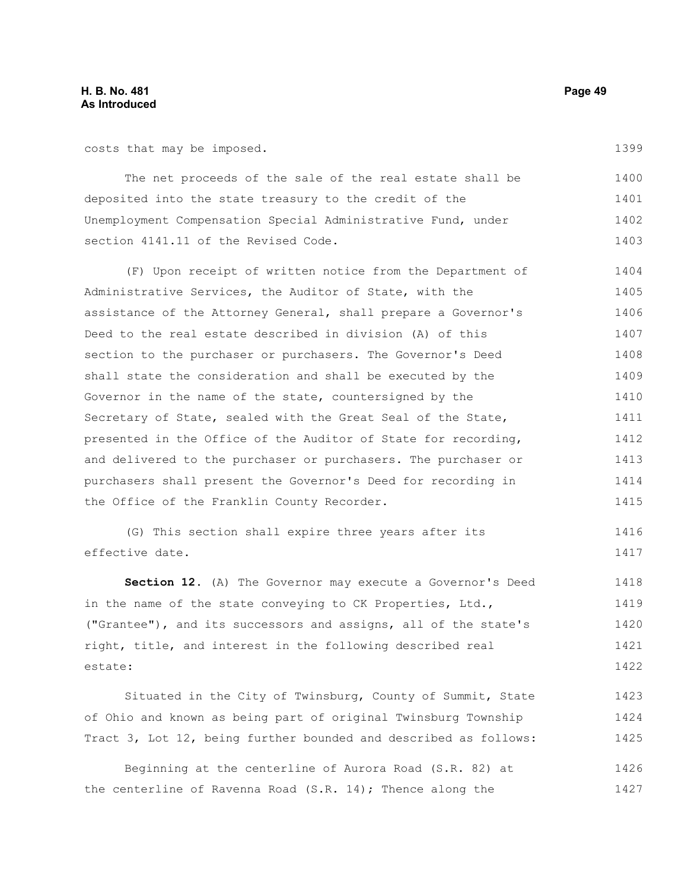costs that may be imposed.

1399

The net proceeds of the sale of the real estate shall be deposited into the state treasury to the credit of the Unemployment Compensation Special Administrative Fund, under section 4141.11 of the Revised Code. 1400 1401 1402 1403

(F) Upon receipt of written notice from the Department of Administrative Services, the Auditor of State, with the assistance of the Attorney General, shall prepare a Governor's Deed to the real estate described in division (A) of this section to the purchaser or purchasers. The Governor's Deed shall state the consideration and shall be executed by the Governor in the name of the state, countersigned by the Secretary of State, sealed with the Great Seal of the State, presented in the Office of the Auditor of State for recording, and delivered to the purchaser or purchasers. The purchaser or purchasers shall present the Governor's Deed for recording in the Office of the Franklin County Recorder. 1404 1405 1406 1407 1408 1409 1410 1411 1412 1413 1414 1415

(G) This section shall expire three years after its effective date. 1416 1417

**Section 12.** (A) The Governor may execute a Governor's Deed in the name of the state conveying to CK Properties, Ltd., ("Grantee"), and its successors and assigns, all of the state's right, title, and interest in the following described real estate: 1418 1419 1420 1421 1422

Situated in the City of Twinsburg, County of Summit, State of Ohio and known as being part of original Twinsburg Township Tract 3, Lot 12, being further bounded and described as follows: 1423 1424 1425

Beginning at the centerline of Aurora Road (S.R. 82) at the centerline of Ravenna Road (S.R. 14); Thence along the 1426 1427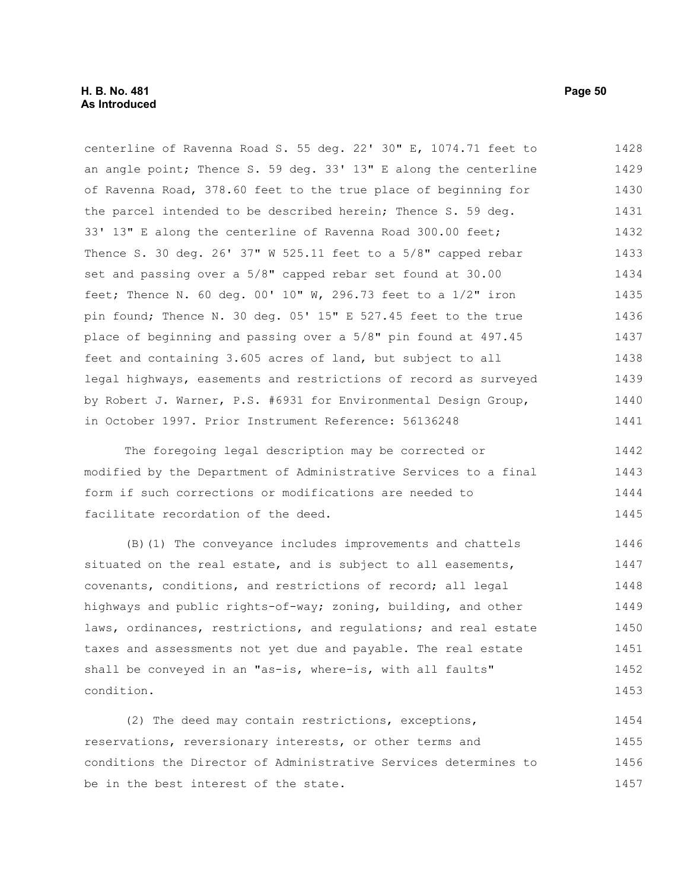centerline of Ravenna Road S. 55 deg. 22' 30" E, 1074.71 feet to an angle point; Thence S. 59 deg. 33' 13" E along the centerline of Ravenna Road, 378.60 feet to the true place of beginning for the parcel intended to be described herein; Thence S. 59 deg. 33' 13" E along the centerline of Ravenna Road 300.00 feet; Thence S. 30 deg. 26' 37" W 525.11 feet to a 5/8" capped rebar set and passing over a 5/8" capped rebar set found at 30.00 feet; Thence N. 60 deg. 00' 10" W, 296.73 feet to a  $1/2$ " iron pin found; Thence N. 30 deg. 05' 15" E 527.45 feet to the true place of beginning and passing over a 5/8" pin found at 497.45 feet and containing 3.605 acres of land, but subject to all legal highways, easements and restrictions of record as surveyed by Robert J. Warner, P.S. #6931 for Environmental Design Group, in October 1997. Prior Instrument Reference: 56136248 1428 1429 1430 1431 1432 1433 1434 1435 1436 1437 1438 1439 1440 1441

The foregoing legal description may be corrected or modified by the Department of Administrative Services to a final form if such corrections or modifications are needed to facilitate recordation of the deed. 1442 1443 1444 1445

(B)(1) The conveyance includes improvements and chattels situated on the real estate, and is subject to all easements, covenants, conditions, and restrictions of record; all legal highways and public rights-of-way; zoning, building, and other laws, ordinances, restrictions, and regulations; and real estate taxes and assessments not yet due and payable. The real estate shall be conveyed in an "as-is, where-is, with all faults" condition. 1446 1447 1448 1449 1450 1451 1452 1453

(2) The deed may contain restrictions, exceptions, reservations, reversionary interests, or other terms and conditions the Director of Administrative Services determines to be in the best interest of the state. 1454 1455 1456 1457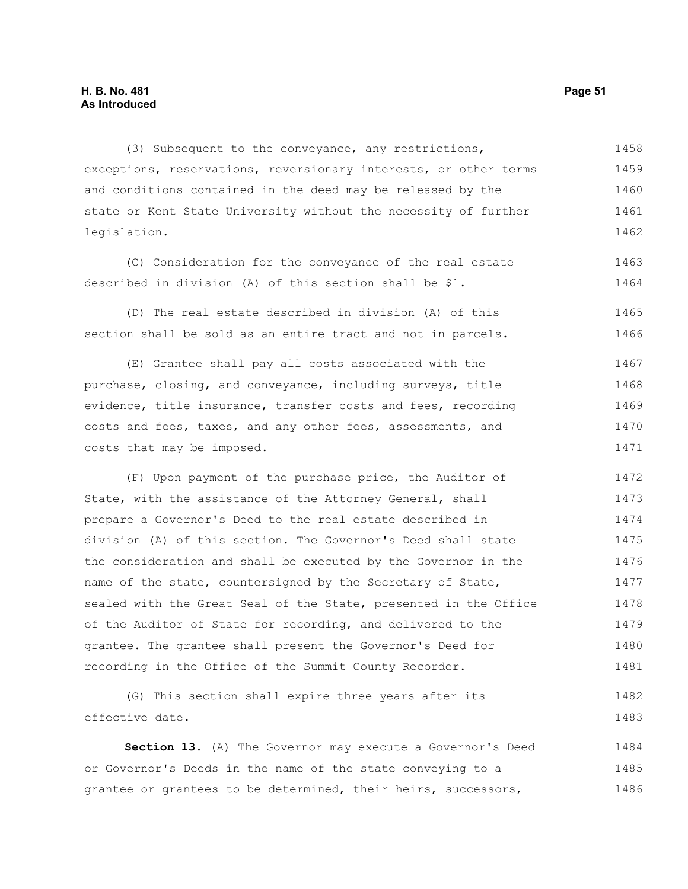(3) Subsequent to the conveyance, any restrictions, exceptions, reservations, reversionary interests, or other terms and conditions contained in the deed may be released by the state or Kent State University without the necessity of further legislation. 1458 1459 1460 1461 1462

(C) Consideration for the conveyance of the real estate described in division (A) of this section shall be \$1. 1463 1464

(D) The real estate described in division (A) of this section shall be sold as an entire tract and not in parcels. 1465 1466

(E) Grantee shall pay all costs associated with the purchase, closing, and conveyance, including surveys, title evidence, title insurance, transfer costs and fees, recording costs and fees, taxes, and any other fees, assessments, and costs that may be imposed. 1467 1468 1469 1470 1471

(F) Upon payment of the purchase price, the Auditor of State, with the assistance of the Attorney General, shall prepare a Governor's Deed to the real estate described in division (A) of this section. The Governor's Deed shall state the consideration and shall be executed by the Governor in the name of the state, countersigned by the Secretary of State, sealed with the Great Seal of the State, presented in the Office of the Auditor of State for recording, and delivered to the grantee. The grantee shall present the Governor's Deed for recording in the Office of the Summit County Recorder. 1472 1473 1474 1475 1476 1477 1478 1479 1480 1481

(G) This section shall expire three years after its effective date. 1482 1483

**Section 13.** (A) The Governor may execute a Governor's Deed or Governor's Deeds in the name of the state conveying to a grantee or grantees to be determined, their heirs, successors, 1484 1485 1486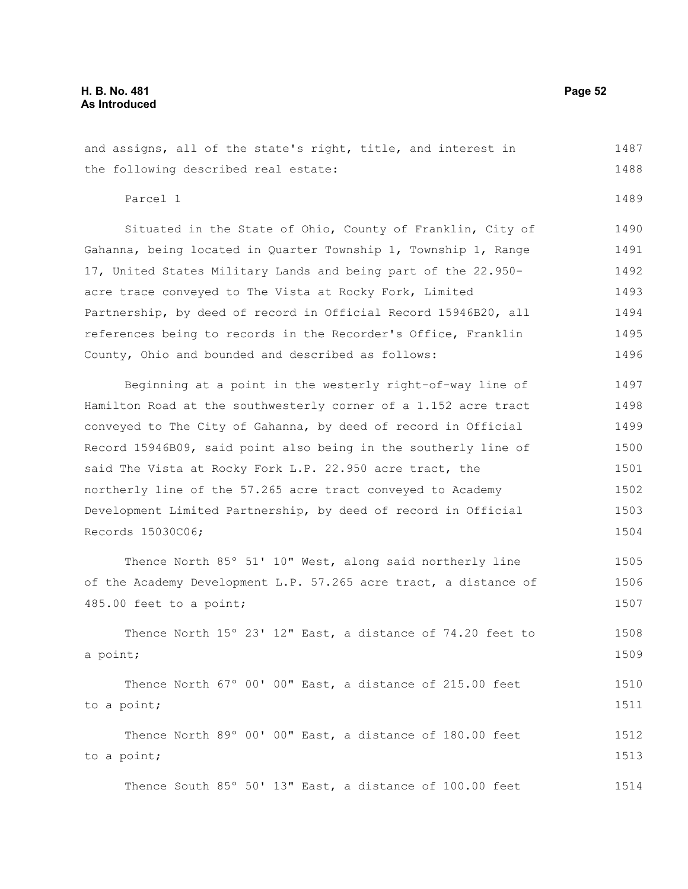1489

and assigns, all of the state's right, title, and interest in the following described real estate: 1487 1488

Parcel 1

Situated in the State of Ohio, County of Franklin, City of Gahanna, being located in Quarter Township 1, Township 1, Range 17, United States Military Lands and being part of the 22.950 acre trace conveyed to The Vista at Rocky Fork, Limited Partnership, by deed of record in Official Record 15946B20, all references being to records in the Recorder's Office, Franklin County, Ohio and bounded and described as follows: 1490 1491 1492 1493 1494 1495 1496

Beginning at a point in the westerly right-of-way line of Hamilton Road at the southwesterly corner of a 1.152 acre tract conveyed to The City of Gahanna, by deed of record in Official Record 15946B09, said point also being in the southerly line of said The Vista at Rocky Fork L.P. 22.950 acre tract, the northerly line of the 57.265 acre tract conveyed to Academy Development Limited Partnership, by deed of record in Official Records 15030C06; 1497 1498 1499 1500 1501 1502 1503 1504

Thence North 85º 51' 10" West, along said northerly line of the Academy Development L.P. 57.265 acre tract, a distance of 485.00 feet to a point; 1505 1506 1507

Thence North 15º 23' 12" East, a distance of 74.20 feet to a point; 1508 1509

Thence North 67º 00' 00" East, a distance of 215.00 feet to a point; 1510 1511

Thence North 89º 00' 00" East, a distance of 180.00 feet to a point; 1512 1513

Thence South 85º 50' 13" East, a distance of 100.00 feet 1514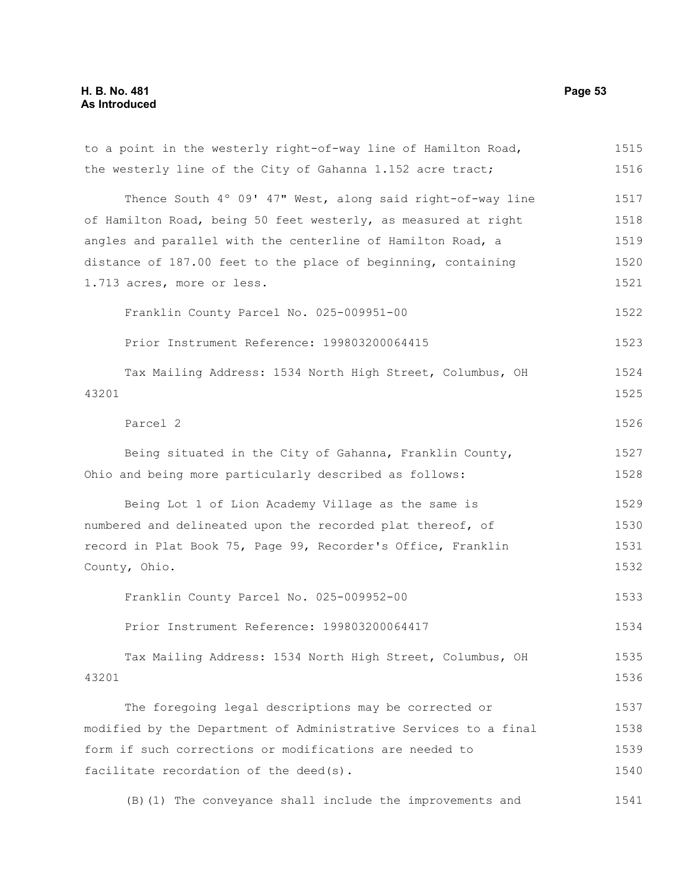# **H. B. No. 481 Page 53 As Introduced**

| to a point in the westerly right-of-way line of Hamilton Road,   | 1515 |
|------------------------------------------------------------------|------|
| the westerly line of the City of Gahanna 1.152 acre tract;       | 1516 |
| Thence South 4° 09' 47" West, along said right-of-way line       | 1517 |
| of Hamilton Road, being 50 feet westerly, as measured at right   | 1518 |
| angles and parallel with the centerline of Hamilton Road, a      | 1519 |
| distance of 187.00 feet to the place of beginning, containing    | 1520 |
| 1.713 acres, more or less.                                       | 1521 |
| Franklin County Parcel No. 025-009951-00                         | 1522 |
| Prior Instrument Reference: 199803200064415                      | 1523 |
| Tax Mailing Address: 1534 North High Street, Columbus, OH        | 1524 |
| 43201                                                            | 1525 |
| Parcel 2                                                         | 1526 |
| Being situated in the City of Gahanna, Franklin County,          | 1527 |
| Ohio and being more particularly described as follows:           | 1528 |
| Being Lot 1 of Lion Academy Village as the same is               | 1529 |
| numbered and delineated upon the recorded plat thereof, of       | 1530 |
| record in Plat Book 75, Page 99, Recorder's Office, Franklin     | 1531 |
| County, Ohio.                                                    | 1532 |
| Franklin County Parcel No. 025-009952-00                         | 1533 |
| Prior Instrument Reference: 199803200064417                      | 1534 |
| Tax Mailing Address: 1534 North High Street, Columbus, OH        | 1535 |
| 43201                                                            | 1536 |
| The foregoing legal descriptions may be corrected or             | 1537 |
| modified by the Department of Administrative Services to a final | 1538 |
| form if such corrections or modifications are needed to          | 1539 |
| facilitate recordation of the deed(s).                           | 1540 |
| (B) (1) The conveyance shall include the improvements and        | 1541 |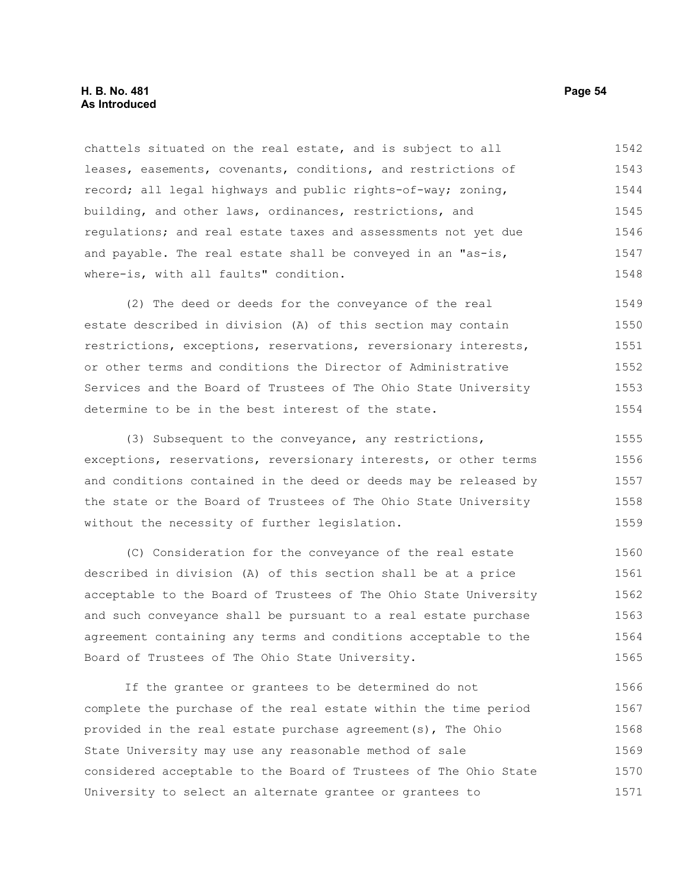#### **H. B. No. 481 Page 54 As Introduced**

chattels situated on the real estate, and is subject to all leases, easements, covenants, conditions, and restrictions of record; all legal highways and public rights-of-way; zoning, building, and other laws, ordinances, restrictions, and regulations; and real estate taxes and assessments not yet due and payable. The real estate shall be conveyed in an "as-is, where-is, with all faults" condition. 1542 1543 1544 1545 1546 1547 1548

(2) The deed or deeds for the conveyance of the real estate described in division (A) of this section may contain restrictions, exceptions, reservations, reversionary interests, or other terms and conditions the Director of Administrative Services and the Board of Trustees of The Ohio State University determine to be in the best interest of the state. 1549 1550 1551 1552 1553 1554

(3) Subsequent to the conveyance, any restrictions, exceptions, reservations, reversionary interests, or other terms and conditions contained in the deed or deeds may be released by the state or the Board of Trustees of The Ohio State University without the necessity of further legislation. 1555 1556 1557 1558 1559

(C) Consideration for the conveyance of the real estate described in division (A) of this section shall be at a price acceptable to the Board of Trustees of The Ohio State University and such conveyance shall be pursuant to a real estate purchase agreement containing any terms and conditions acceptable to the Board of Trustees of The Ohio State University. 1560 1561 1562 1563 1564 1565

If the grantee or grantees to be determined do not complete the purchase of the real estate within the time period provided in the real estate purchase agreement(s), The Ohio State University may use any reasonable method of sale considered acceptable to the Board of Trustees of The Ohio State University to select an alternate grantee or grantees to 1566 1567 1568 1569 1570 1571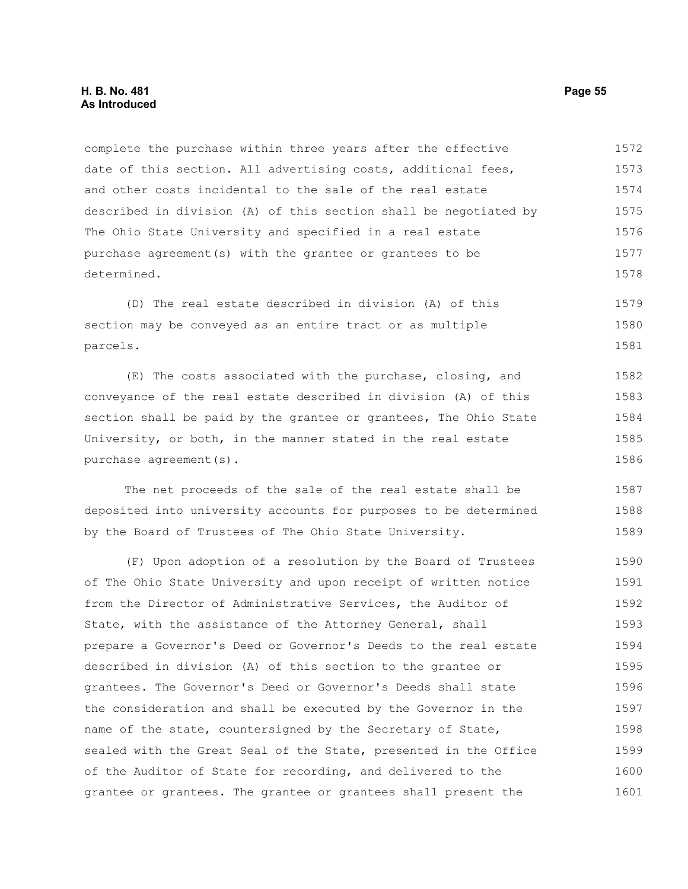complete the purchase within three years after the effective date of this section. All advertising costs, additional fees, and other costs incidental to the sale of the real estate described in division (A) of this section shall be negotiated by The Ohio State University and specified in a real estate purchase agreement(s) with the grantee or grantees to be determined. 1572 1573 1574 1575 1576 1577 1578

(D) The real estate described in division (A) of this section may be conveyed as an entire tract or as multiple parcels. 1579 1580 1581

(E) The costs associated with the purchase, closing, and conveyance of the real estate described in division (A) of this section shall be paid by the grantee or grantees, The Ohio State University, or both, in the manner stated in the real estate purchase agreement(s). 1582 1583 1584 1585 1586

The net proceeds of the sale of the real estate shall be deposited into university accounts for purposes to be determined by the Board of Trustees of The Ohio State University. 1587 1588 1589

(F) Upon adoption of a resolution by the Board of Trustees of The Ohio State University and upon receipt of written notice from the Director of Administrative Services, the Auditor of State, with the assistance of the Attorney General, shall prepare a Governor's Deed or Governor's Deeds to the real estate described in division (A) of this section to the grantee or grantees. The Governor's Deed or Governor's Deeds shall state the consideration and shall be executed by the Governor in the name of the state, countersigned by the Secretary of State, sealed with the Great Seal of the State, presented in the Office of the Auditor of State for recording, and delivered to the grantee or grantees. The grantee or grantees shall present the 1590 1591 1592 1593 1594 1595 1596 1597 1598 1599 1600 1601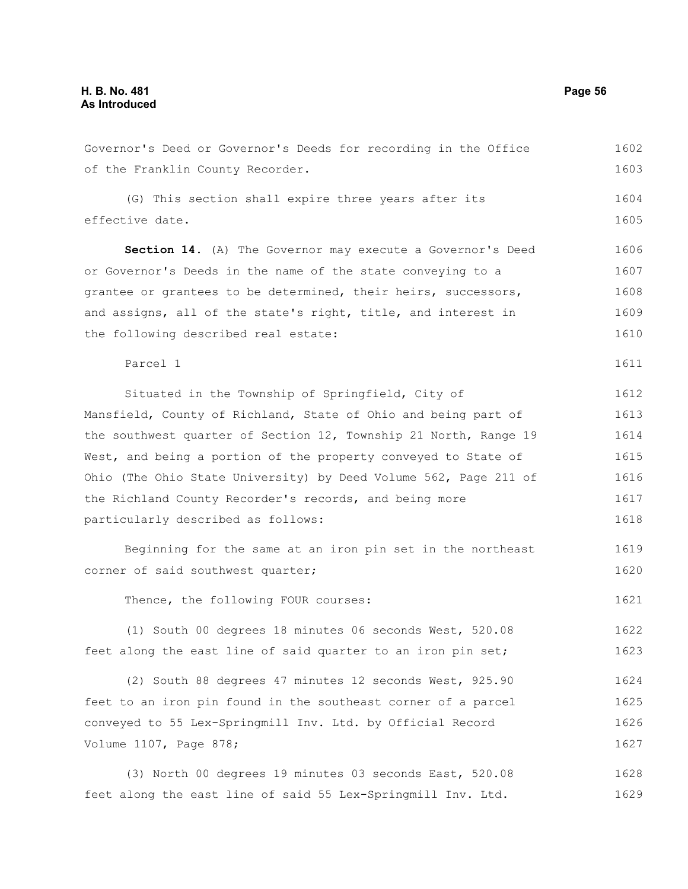| Governor's Deed or Governor's Deeds for recording in the Office  | 1602 |  |  |  |  |  |
|------------------------------------------------------------------|------|--|--|--|--|--|
| of the Franklin County Recorder.                                 | 1603 |  |  |  |  |  |
| (G) This section shall expire three years after its              | 1604 |  |  |  |  |  |
| effective date.                                                  | 1605 |  |  |  |  |  |
|                                                                  |      |  |  |  |  |  |
| Section 14. (A) The Governor may execute a Governor's Deed       | 1606 |  |  |  |  |  |
| or Governor's Deeds in the name of the state conveying to a      |      |  |  |  |  |  |
| grantee or grantees to be determined, their heirs, successors,   | 1608 |  |  |  |  |  |
| and assigns, all of the state's right, title, and interest in    | 1609 |  |  |  |  |  |
| the following described real estate:                             | 1610 |  |  |  |  |  |
| Parcel 1                                                         | 1611 |  |  |  |  |  |
| Situated in the Township of Springfield, City of                 | 1612 |  |  |  |  |  |
| Mansfield, County of Richland, State of Ohio and being part of   | 1613 |  |  |  |  |  |
| the southwest quarter of Section 12, Township 21 North, Range 19 | 1614 |  |  |  |  |  |
| West, and being a portion of the property conveyed to State of   | 1615 |  |  |  |  |  |
| Ohio (The Ohio State University) by Deed Volume 562, Page 211 of | 1616 |  |  |  |  |  |
| the Richland County Recorder's records, and being more           | 1617 |  |  |  |  |  |
| particularly described as follows:                               | 1618 |  |  |  |  |  |
| Beginning for the same at an iron pin set in the northeast       | 1619 |  |  |  |  |  |
| corner of said southwest quarter;                                | 1620 |  |  |  |  |  |
| Thence, the following FOUR courses:                              | 1621 |  |  |  |  |  |
| (1) South 00 degrees 18 minutes 06 seconds West, 520.08          | 1622 |  |  |  |  |  |
| feet along the east line of said quarter to an iron pin set;     | 1623 |  |  |  |  |  |
| (2) South 88 degrees 47 minutes 12 seconds West, 925.90          | 1624 |  |  |  |  |  |
| feet to an iron pin found in the southeast corner of a parcel    | 1625 |  |  |  |  |  |
| conveyed to 55 Lex-Springmill Inv. Ltd. by Official Record       | 1626 |  |  |  |  |  |
| Volume 1107, Page 878;                                           | 1627 |  |  |  |  |  |
| (3) North 00 degrees 19 minutes 03 seconds East, 520.08          | 1628 |  |  |  |  |  |

feet along the east line of said 55 Lex-Springmill Inv. Ltd. 1629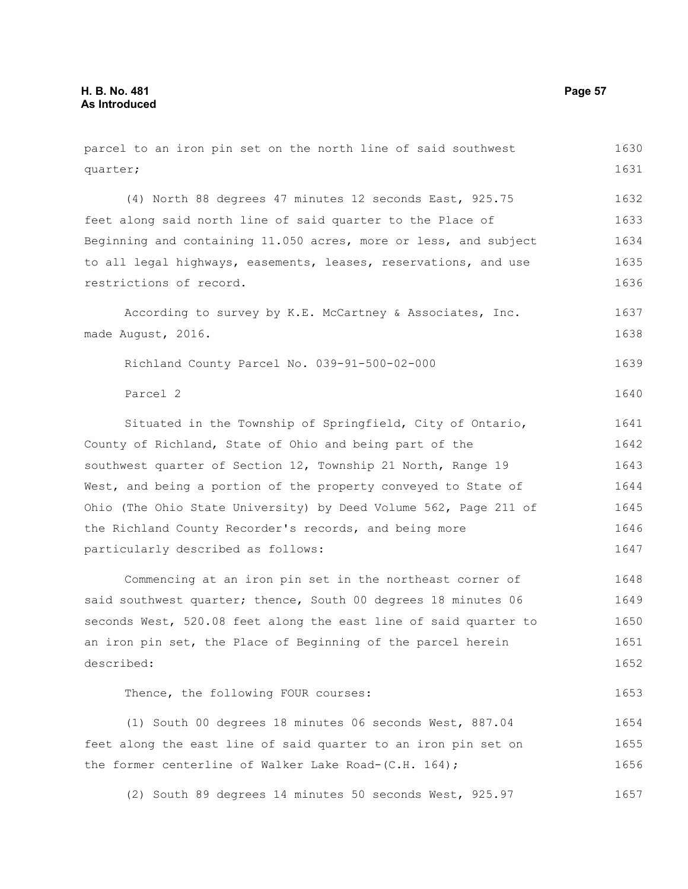parcel to an iron pin set on the north line of said southwest quarter; (4) North 88 degrees 47 minutes 12 seconds East, 925.75 feet along said north line of said quarter to the Place of Beginning and containing 11.050 acres, more or less, and subject to all legal highways, easements, leases, reservations, and use restrictions of record. According to survey by K.E. McCartney & Associates, Inc. made August, 2016. Richland County Parcel No. 039-91-500-02-000 Parcel 2 Situated in the Township of Springfield, City of Ontario, County of Richland, State of Ohio and being part of the southwest quarter of Section 12, Township 21 North, Range 19 West, and being a portion of the property conveyed to State of Ohio (The Ohio State University) by Deed Volume 562, Page 211 of the Richland County Recorder's records, and being more particularly described as follows: Commencing at an iron pin set in the northeast corner of said southwest quarter; thence, South 00 degrees 18 minutes 06 seconds West, 520.08 feet along the east line of said quarter to an iron pin set, the Place of Beginning of the parcel herein described: Thence, the following FOUR courses: (1) South 00 degrees 18 minutes 06 seconds West, 887.04 feet along the east line of said quarter to an iron pin set on the former centerline of Walker Lake Road-(C.H. 164); (2) South 89 degrees 14 minutes 50 seconds West, 925.97 1630 1631 1632 1633 1634 1635 1636 1637 1638 1639 1640 1641 1642 1643 1644 1645 1646 1647 1648 1649 1650 1651 1652 1653 1654 1655 1656 1657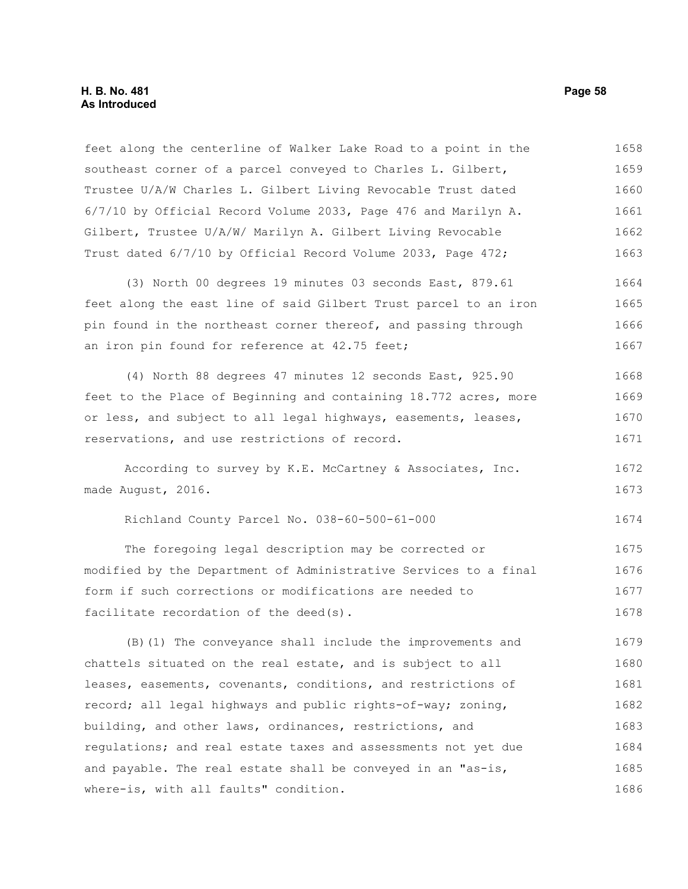#### **H. B. No. 481 Page 58 As Introduced**

feet along the centerline of Walker Lake Road to a point in the southeast corner of a parcel conveyed to Charles L. Gilbert, Trustee U/A/W Charles L. Gilbert Living Revocable Trust dated 6/7/10 by Official Record Volume 2033, Page 476 and Marilyn A. Gilbert, Trustee U/A/W/ Marilyn A. Gilbert Living Revocable Trust dated 6/7/10 by Official Record Volume 2033, Page 472; 1658 1659 1660 1661 1662 1663

(3) North 00 degrees 19 minutes 03 seconds East, 879.61 feet along the east line of said Gilbert Trust parcel to an iron pin found in the northeast corner thereof, and passing through an iron pin found for reference at 42.75 feet; 1664 1665 1666 1667

(4) North 88 degrees 47 minutes 12 seconds East, 925.90 feet to the Place of Beginning and containing 18.772 acres, more or less, and subject to all legal highways, easements, leases, reservations, and use restrictions of record. 1668 1669 1670 1671

According to survey by K.E. McCartney & Associates, Inc. made August, 2016. 1672 1673

Richland County Parcel No. 038-60-500-61-000

The foregoing legal description may be corrected or modified by the Department of Administrative Services to a final form if such corrections or modifications are needed to facilitate recordation of the deed(s). 1675 1676 1677 1678

(B)(1) The conveyance shall include the improvements and chattels situated on the real estate, and is subject to all leases, easements, covenants, conditions, and restrictions of record; all legal highways and public rights-of-way; zoning, building, and other laws, ordinances, restrictions, and regulations; and real estate taxes and assessments not yet due and payable. The real estate shall be conveyed in an "as-is, where-is, with all faults" condition. 1679 1680 1681 1682 1683 1684 1685 1686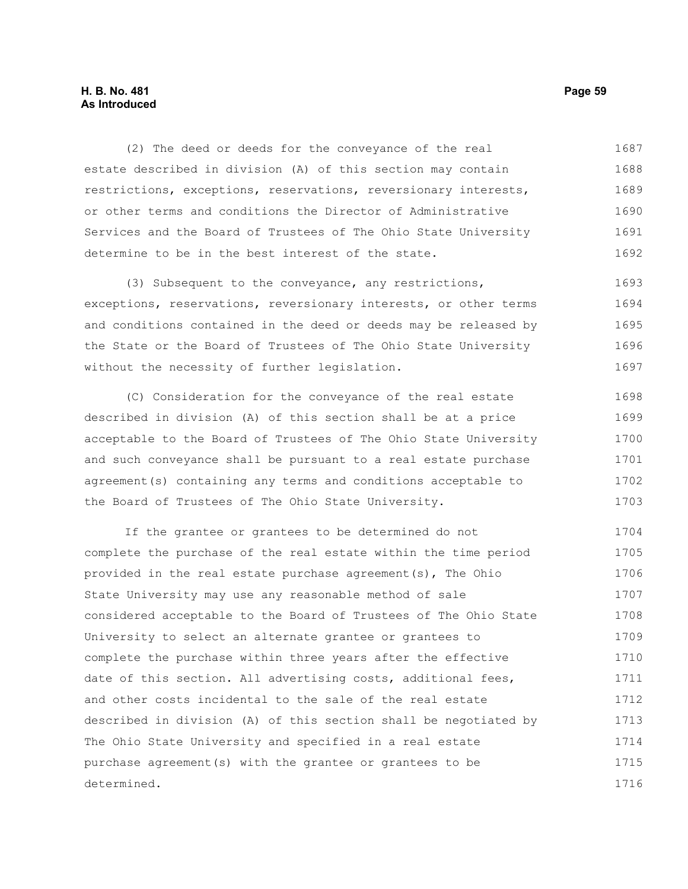## **H. B. No. 481 Page 59 As Introduced**

(2) The deed or deeds for the conveyance of the real estate described in division (A) of this section may contain restrictions, exceptions, reservations, reversionary interests, or other terms and conditions the Director of Administrative Services and the Board of Trustees of The Ohio State University determine to be in the best interest of the state. 1687 1688 1689 1690 1691 1692

(3) Subsequent to the conveyance, any restrictions, exceptions, reservations, reversionary interests, or other terms and conditions contained in the deed or deeds may be released by the State or the Board of Trustees of The Ohio State University without the necessity of further legislation. 1693 1694 1695 1696 1697

(C) Consideration for the conveyance of the real estate described in division (A) of this section shall be at a price acceptable to the Board of Trustees of The Ohio State University and such conveyance shall be pursuant to a real estate purchase agreement(s) containing any terms and conditions acceptable to the Board of Trustees of The Ohio State University. 1698 1699 1700 1701 1702 1703

If the grantee or grantees to be determined do not complete the purchase of the real estate within the time period provided in the real estate purchase agreement(s), The Ohio State University may use any reasonable method of sale considered acceptable to the Board of Trustees of The Ohio State University to select an alternate grantee or grantees to complete the purchase within three years after the effective date of this section. All advertising costs, additional fees, and other costs incidental to the sale of the real estate described in division (A) of this section shall be negotiated by The Ohio State University and specified in a real estate purchase agreement(s) with the grantee or grantees to be determined. 1704 1705 1706 1707 1708 1709 1710 1711 1712 1713 1714 1715 1716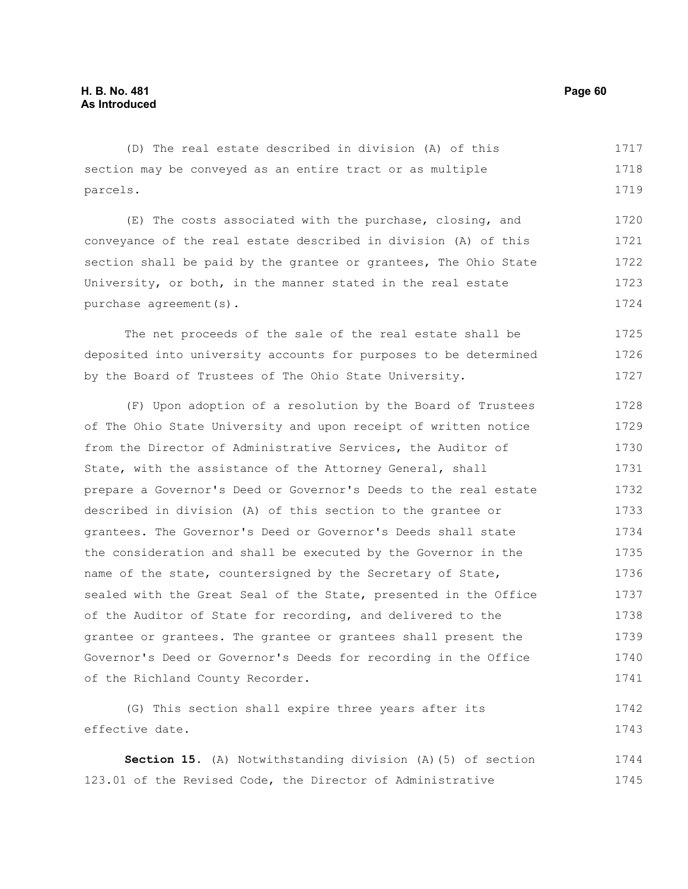#### (D) The real estate described in division (A) of this section may be conveyed as an entire tract or as multiple parcels. (E) The costs associated with the purchase, closing, and 1717 1718 1719 1720

conveyance of the real estate described in division (A) of this section shall be paid by the grantee or grantees, The Ohio State University, or both, in the manner stated in the real estate purchase agreement(s). 1721 1722 1723 1724

The net proceeds of the sale of the real estate shall be deposited into university accounts for purposes to be determined by the Board of Trustees of The Ohio State University. 1725 1726 1727

(F) Upon adoption of a resolution by the Board of Trustees of The Ohio State University and upon receipt of written notice from the Director of Administrative Services, the Auditor of State, with the assistance of the Attorney General, shall prepare a Governor's Deed or Governor's Deeds to the real estate described in division (A) of this section to the grantee or grantees. The Governor's Deed or Governor's Deeds shall state the consideration and shall be executed by the Governor in the name of the state, countersigned by the Secretary of State, sealed with the Great Seal of the State, presented in the Office of the Auditor of State for recording, and delivered to the grantee or grantees. The grantee or grantees shall present the Governor's Deed or Governor's Deeds for recording in the Office of the Richland County Recorder. 1728 1729 1730 1731 1732 1733 1734 1735 1736 1737 1738 1739 1740 1741

(G) This section shall expire three years after its effective date. 1742 1743

**Section 15.** (A) Notwithstanding division (A)(5) of section 123.01 of the Revised Code, the Director of Administrative 1744 1745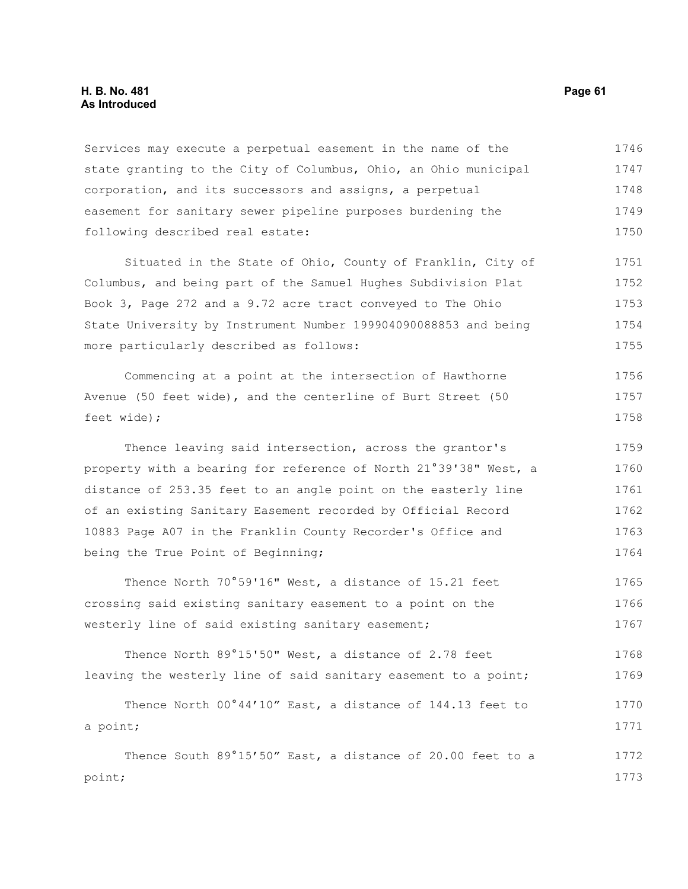#### **H. B. No. 481 Page 61 As Introduced**

Services may execute a perpetual easement in the name of the state granting to the City of Columbus, Ohio, an Ohio municipal corporation, and its successors and assigns, a perpetual easement for sanitary sewer pipeline purposes burdening the following described real estate: 1746 1747 1748 1749 1750

Situated in the State of Ohio, County of Franklin, City of Columbus, and being part of the Samuel Hughes Subdivision Plat Book 3, Page 272 and a 9.72 acre tract conveyed to The Ohio State University by Instrument Number 199904090088853 and being more particularly described as follows: 1751 1752 1753 1754 1755

Commencing at a point at the intersection of Hawthorne Avenue (50 feet wide), and the centerline of Burt Street (50 feet wide); 1756 1757 1758

Thence leaving said intersection, across the grantor's property with a bearing for reference of North 21°39'38" West, a distance of 253.35 feet to an angle point on the easterly line of an existing Sanitary Easement recorded by Official Record 10883 Page A07 in the Franklin County Recorder's Office and being the True Point of Beginning; 1759 1760 1761 1762 1763 1764

Thence North 70°59'16" West, a distance of 15.21 feet crossing said existing sanitary easement to a point on the westerly line of said existing sanitary easement; 1765 1766 1767

Thence North 89°15'50" West, a distance of 2.78 feet leaving the westerly line of said sanitary easement to a point; 1768 1769

|          |  | Thence North 00°44'10" East, a distance of 144.13 feet to  |  |  |  |  | 1770 |
|----------|--|------------------------------------------------------------|--|--|--|--|------|
| a point; |  |                                                            |  |  |  |  | 1771 |
|          |  | Thence South 89°15'50" East, a distance of 20.00 feet to a |  |  |  |  | 1772 |

point;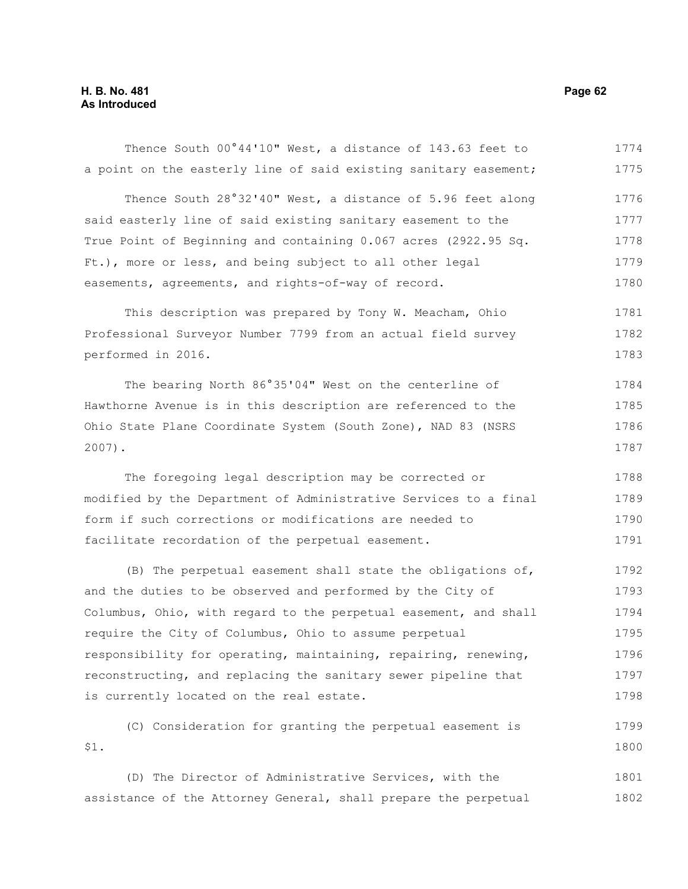# **H. B. No. 481 Page 62 As Introduced**

| Thence South 00°44'10" West, a distance of 143.63 feet to        | 1774 |
|------------------------------------------------------------------|------|
| a point on the easterly line of said existing sanitary easement; | 1775 |
| Thence South 28°32'40" West, a distance of 5.96 feet along       | 1776 |
| said easterly line of said existing sanitary easement to the     | 1777 |
| True Point of Beginning and containing 0.067 acres (2922.95 Sq.  | 1778 |
| Ft.), more or less, and being subject to all other legal         | 1779 |
| easements, agreements, and rights-of-way of record.              | 1780 |
| This description was prepared by Tony W. Meacham, Ohio           | 1781 |
| Professional Surveyor Number 7799 from an actual field survey    | 1782 |
| performed in 2016.                                               | 1783 |
| The bearing North 86°35'04" West on the centerline of            | 1784 |
| Hawthorne Avenue is in this description are referenced to the    | 1785 |
| Ohio State Plane Coordinate System (South Zone), NAD 83 (NSRS    | 1786 |
| $2007$ ).                                                        | 1787 |
| The foregoing legal description may be corrected or              | 1788 |
| modified by the Department of Administrative Services to a final | 1789 |
| form if such corrections or modifications are needed to          | 1790 |
| facilitate recordation of the perpetual easement.                | 1791 |
| (B) The perpetual easement shall state the obligations of,       | 1792 |
| and the duties to be observed and performed by the City of       | 1793 |
| Columbus, Ohio, with regard to the perpetual easement, and shall | 1794 |
| require the City of Columbus, Ohio to assume perpetual           | 1795 |
| responsibility for operating, maintaining, repairing, renewing,  | 1796 |
| reconstructing, and replacing the sanitary sewer pipeline that   | 1797 |
| is currently located on the real estate.                         | 1798 |
| (C) Consideration for granting the perpetual easement is         | 1799 |
| \$1.                                                             | 1800 |
| (D) The Director of Administrative Services, with the            | 1801 |
| assistance of the Attorney General, shall prepare the perpetual  | 1802 |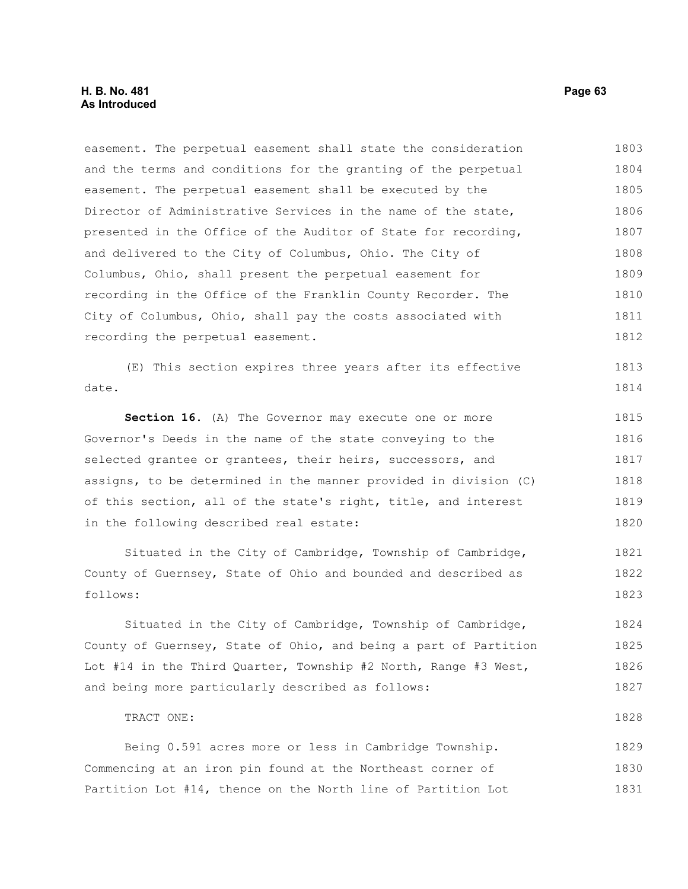### **H. B. No. 481 Page 63 As Introduced**

TRACT ONE:

easement. The perpetual easement shall state the consideration and the terms and conditions for the granting of the perpetual easement. The perpetual easement shall be executed by the Director of Administrative Services in the name of the state, presented in the Office of the Auditor of State for recording, and delivered to the City of Columbus, Ohio. The City of Columbus, Ohio, shall present the perpetual easement for recording in the Office of the Franklin County Recorder. The City of Columbus, Ohio, shall pay the costs associated with recording the perpetual easement. 1803 1804 1805 1806 1807 1808 1809 1810 1811 1812

(E) This section expires three years after its effective date. 1813 1814

**Section 16.** (A) The Governor may execute one or more Governor's Deeds in the name of the state conveying to the selected grantee or grantees, their heirs, successors, and assigns, to be determined in the manner provided in division (C) of this section, all of the state's right, title, and interest in the following described real estate: 1815 1816 1817 1818 1819 1820

Situated in the City of Cambridge, Township of Cambridge, County of Guernsey, State of Ohio and bounded and described as follows: 1821 1822 1823

Situated in the City of Cambridge, Township of Cambridge, County of Guernsey, State of Ohio, and being a part of Partition Lot #14 in the Third Quarter, Township #2 North, Range #3 West, and being more particularly described as follows: 1824 1825 1826 1827

Being 0.591 acres more or less in Cambridge Township. Commencing at an iron pin found at the Northeast corner of Partition Lot #14, thence on the North line of Partition Lot 1829 1830 1831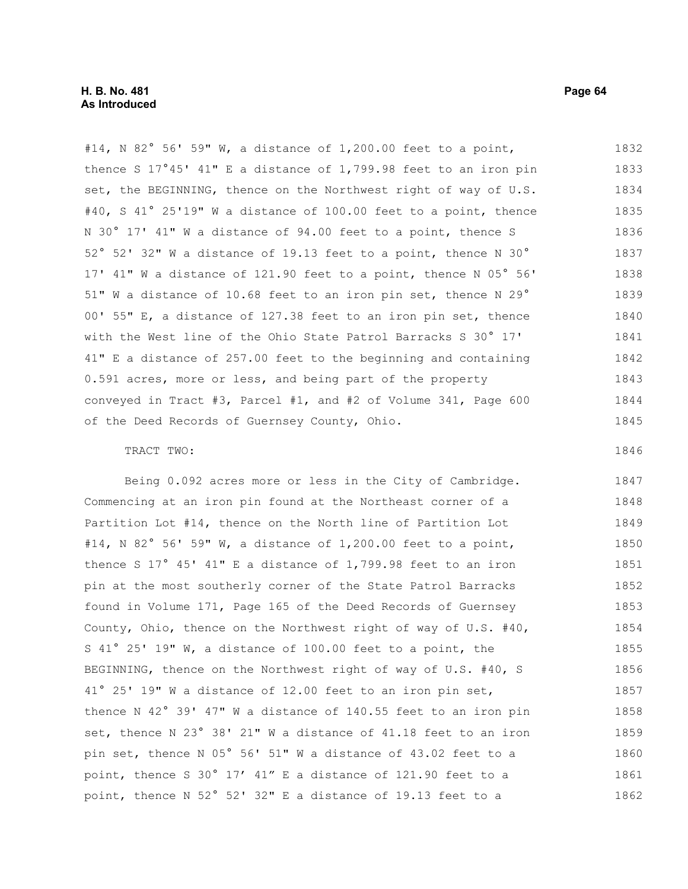#14, N 82° 56' 59" W, a distance of 1,200.00 feet to a point, thence S 17°45' 41" E a distance of 1,799.98 feet to an iron pin set, the BEGINNING, thence on the Northwest right of way of U.S. #40, S 41° 25'19" W a distance of 100.00 feet to a point, thence N 30° 17' 41" W a distance of 94.00 feet to a point, thence S 52° 52' 32" W a distance of 19.13 feet to a point, thence N 30° 17' 41" W a distance of 121.90 feet to a point, thence N 05° 56' 51" W a distance of 10.68 feet to an iron pin set, thence N 29° 00' 55" E, a distance of 127.38 feet to an iron pin set, thence with the West line of the Ohio State Patrol Barracks S 30° 17' 41" E a distance of 257.00 feet to the beginning and containing 0.591 acres, more or less, and being part of the property conveyed in Tract #3, Parcel #1, and #2 of Volume 341, Page 600 of the Deed Records of Guernsey County, Ohio. 1832 1833 1834 1835 1836 1837 1838 1839 1840 1841 1842 1843 1844 1845

#### TRACT TWO:

Being 0.092 acres more or less in the City of Cambridge. Commencing at an iron pin found at the Northeast corner of a Partition Lot #14, thence on the North line of Partition Lot #14, N 82° 56' 59" W, a distance of 1,200.00 feet to a point, thence S 17° 45' 41" E a distance of 1,799.98 feet to an iron pin at the most southerly corner of the State Patrol Barracks found in Volume 171, Page 165 of the Deed Records of Guernsey County, Ohio, thence on the Northwest right of way of U.S. #40, S 41° 25' 19" W, a distance of 100.00 feet to a point, the BEGINNING, thence on the Northwest right of way of U.S. #40, S 41° 25' 19" W a distance of 12.00 feet to an iron pin set, thence N 42° 39' 47" W a distance of 140.55 feet to an iron pin set, thence N 23° 38' 21" W a distance of 41.18 feet to an iron pin set, thence N 05° 56' 51" W a distance of 43.02 feet to a point, thence S 30° 17' 41" E a distance of 121.90 feet to a point, thence N 52° 52' 32" E a distance of 19.13 feet to a 1847 1848 1849 1850 1851 1852 1853 1854 1855 1856 1857 1858 1859 1860 1861 1862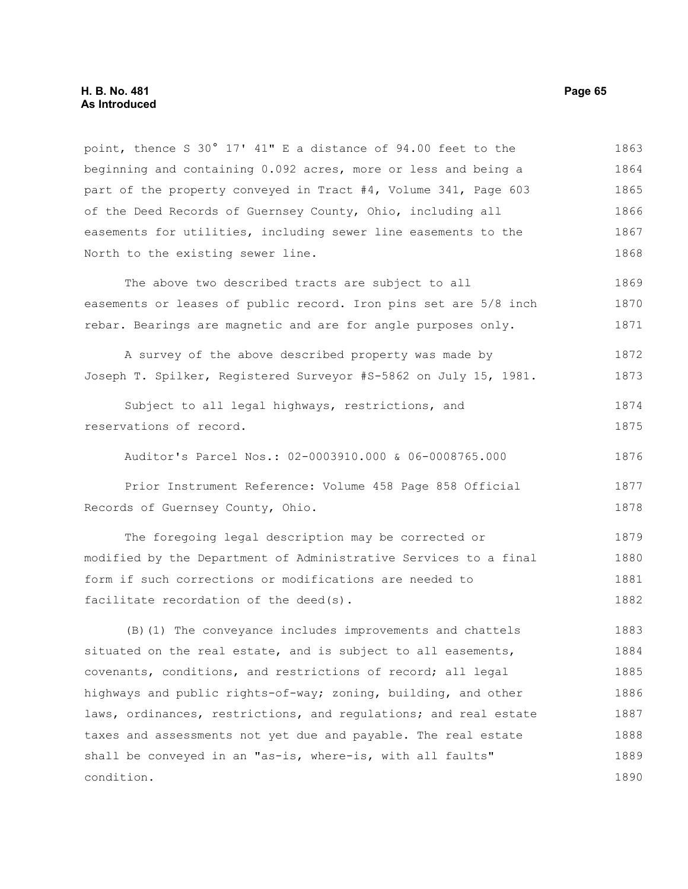#### **H. B. No. 481 Page 65 As Introduced**

point, thence S 30° 17' 41" E a distance of 94.00 feet to the beginning and containing 0.092 acres, more or less and being a part of the property conveyed in Tract #4, Volume 341, Page 603 of the Deed Records of Guernsey County, Ohio, including all easements for utilities, including sewer line easements to the North to the existing sewer line. The above two described tracts are subject to all easements or leases of public record. Iron pins set are 5/8 inch rebar. Bearings are magnetic and are for angle purposes only. A survey of the above described property was made by Joseph T. Spilker, Registered Surveyor #S-5862 on July 15, 1981. Subject to all legal highways, restrictions, and reservations of record. Auditor's Parcel Nos.: 02-0003910.000 & 06-0008765.000 Prior Instrument Reference: Volume 458 Page 858 Official Records of Guernsey County, Ohio. The foregoing legal description may be corrected or modified by the Department of Administrative Services to a final form if such corrections or modifications are needed to facilitate recordation of the deed(s). (B)(1) The conveyance includes improvements and chattels situated on the real estate, and is subject to all easements, covenants, conditions, and restrictions of record; all legal highways and public rights-of-way; zoning, building, and other laws, ordinances, restrictions, and regulations; and real estate taxes and assessments not yet due and payable. The real estate shall be conveyed in an "as-is, where-is, with all faults" condition. 1863 1864 1865 1866 1867 1868 1869 1870 1871 1872 1873 1874 1875 1876 1877 1878 1879 1880 1881 1882 1883 1884 1885 1886 1887 1888 1889 1890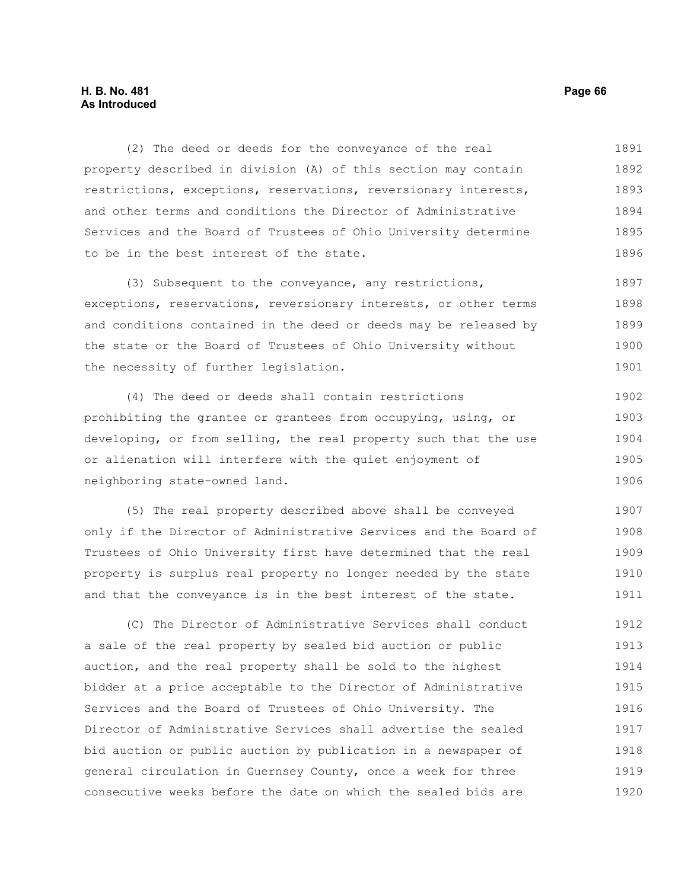### **H. B. No. 481 Page 66 As Introduced**

(2) The deed or deeds for the conveyance of the real property described in division (A) of this section may contain restrictions, exceptions, reservations, reversionary interests, and other terms and conditions the Director of Administrative Services and the Board of Trustees of Ohio University determine to be in the best interest of the state. 1891 1892 1893 1894 1895 1896

(3) Subsequent to the conveyance, any restrictions, exceptions, reservations, reversionary interests, or other terms and conditions contained in the deed or deeds may be released by the state or the Board of Trustees of Ohio University without the necessity of further legislation. 1897 1898 1899 1900 1901

(4) The deed or deeds shall contain restrictions prohibiting the grantee or grantees from occupying, using, or developing, or from selling, the real property such that the use or alienation will interfere with the quiet enjoyment of neighboring state-owned land. 1902 1903 1904 1905 1906

(5) The real property described above shall be conveyed only if the Director of Administrative Services and the Board of Trustees of Ohio University first have determined that the real property is surplus real property no longer needed by the state and that the conveyance is in the best interest of the state. 1907 1908 1909 1910 1911

(C) The Director of Administrative Services shall conduct a sale of the real property by sealed bid auction or public auction, and the real property shall be sold to the highest bidder at a price acceptable to the Director of Administrative Services and the Board of Trustees of Ohio University. The Director of Administrative Services shall advertise the sealed bid auction or public auction by publication in a newspaper of general circulation in Guernsey County, once a week for three consecutive weeks before the date on which the sealed bids are 1912 1913 1914 1915 1916 1917 1918 1919 1920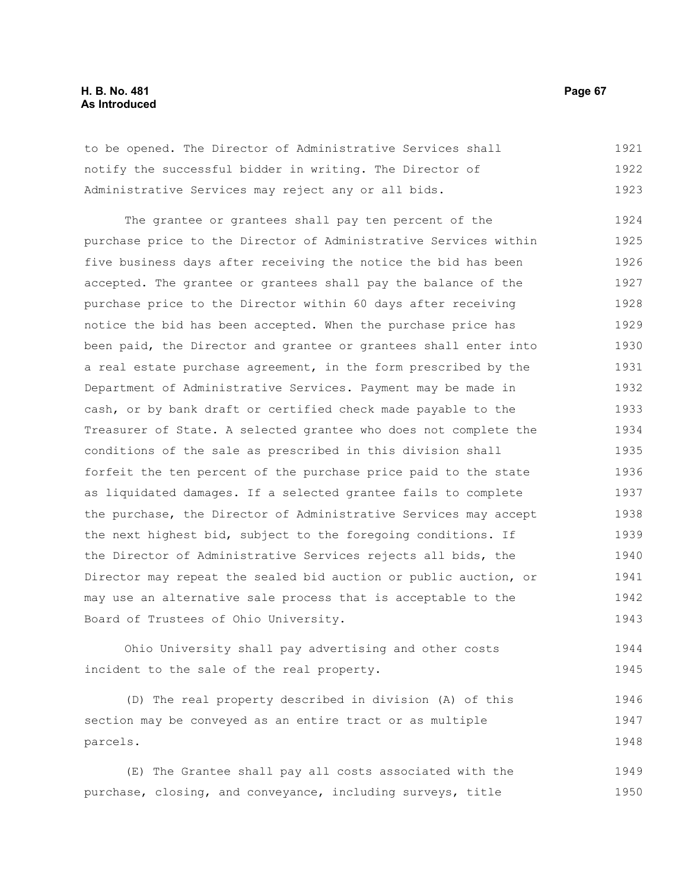### **H. B. No. 481 Page 67 As Introduced**

to be opened. The Director of Administrative Services shall notify the successful bidder in writing. The Director of Administrative Services may reject any or all bids. 1921 1922 1923

The grantee or grantees shall pay ten percent of the purchase price to the Director of Administrative Services within five business days after receiving the notice the bid has been accepted. The grantee or grantees shall pay the balance of the purchase price to the Director within 60 days after receiving notice the bid has been accepted. When the purchase price has been paid, the Director and grantee or grantees shall enter into a real estate purchase agreement, in the form prescribed by the Department of Administrative Services. Payment may be made in cash, or by bank draft or certified check made payable to the Treasurer of State. A selected grantee who does not complete the conditions of the sale as prescribed in this division shall forfeit the ten percent of the purchase price paid to the state as liquidated damages. If a selected grantee fails to complete the purchase, the Director of Administrative Services may accept the next highest bid, subject to the foregoing conditions. If the Director of Administrative Services rejects all bids, the Director may repeat the sealed bid auction or public auction, or may use an alternative sale process that is acceptable to the Board of Trustees of Ohio University. 1924 1925 1926 1927 1928 1929 1930 1931 1932 1933 1934 1935 1936 1937 1938 1939 1940 1941 1942 1943

Ohio University shall pay advertising and other costs incident to the sale of the real property. 1944 1945

(D) The real property described in division (A) of this section may be conveyed as an entire tract or as multiple parcels. 1946 1947 1948

(E) The Grantee shall pay all costs associated with the purchase, closing, and conveyance, including surveys, title 1949 1950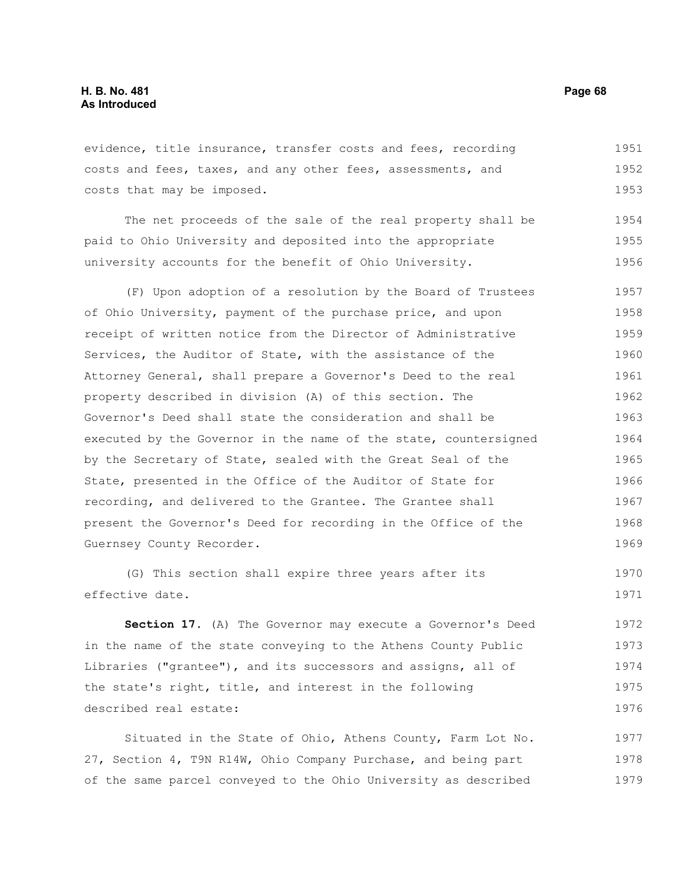evidence, title insurance, transfer costs and fees, recording costs and fees, taxes, and any other fees, assessments, and costs that may be imposed. 1951 1952 1953

The net proceeds of the sale of the real property shall be paid to Ohio University and deposited into the appropriate university accounts for the benefit of Ohio University. 1954 1955 1956

(F) Upon adoption of a resolution by the Board of Trustees of Ohio University, payment of the purchase price, and upon receipt of written notice from the Director of Administrative Services, the Auditor of State, with the assistance of the Attorney General, shall prepare a Governor's Deed to the real property described in division (A) of this section. The Governor's Deed shall state the consideration and shall be executed by the Governor in the name of the state, countersigned by the Secretary of State, sealed with the Great Seal of the State, presented in the Office of the Auditor of State for recording, and delivered to the Grantee. The Grantee shall present the Governor's Deed for recording in the Office of the Guernsey County Recorder. 1957 1958 1959 1960 1961 1962 1963 1964 1965 1966 1967 1968 1969

(G) This section shall expire three years after its effective date. 1970 1971

**Section 17.** (A) The Governor may execute a Governor's Deed in the name of the state conveying to the Athens County Public Libraries ("grantee"), and its successors and assigns, all of the state's right, title, and interest in the following described real estate: 1972 1973 1974 1975 1976

Situated in the State of Ohio, Athens County, Farm Lot No. 27, Section 4, T9N R14W, Ohio Company Purchase, and being part of the same parcel conveyed to the Ohio University as described 1977 1978 1979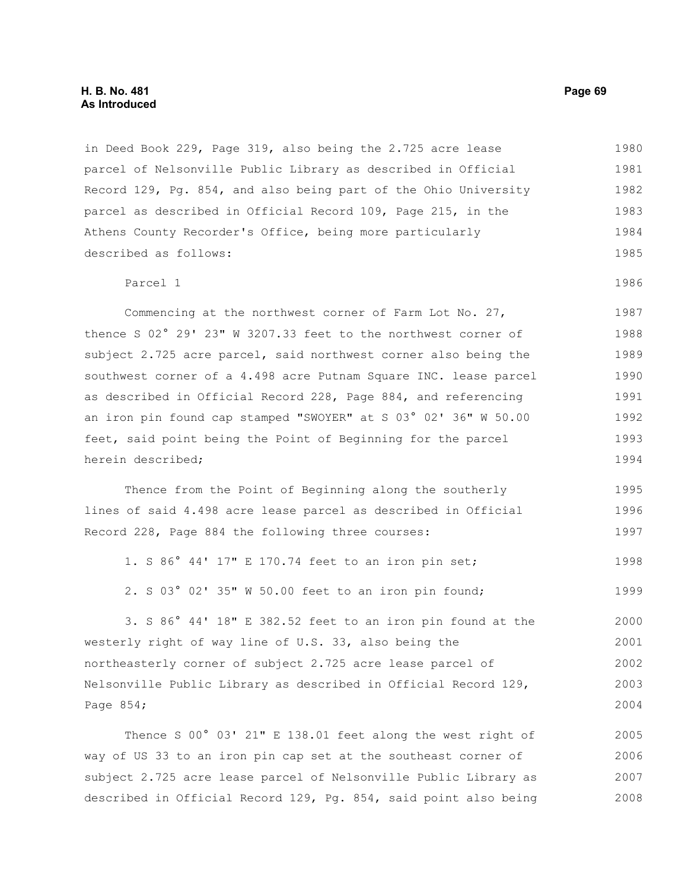in Deed Book 229, Page 319, also being the 2.725 acre lease parcel of Nelsonville Public Library as described in Official Record 129, Pg. 854, and also being part of the Ohio University parcel as described in Official Record 109, Page 215, in the Athens County Recorder's Office, being more particularly described as follows: 1980 1981 1982 1983 1984 1985

#### Parcel 1

Commencing at the northwest corner of Farm Lot No. 27, thence S 02° 29' 23" W 3207.33 feet to the northwest corner of subject 2.725 acre parcel, said northwest corner also being the southwest corner of a 4.498 acre Putnam Square INC. lease parcel as described in Official Record 228, Page 884, and referencing an iron pin found cap stamped "SWOYER" at S 03° 02' 36" W 50.00 feet, said point being the Point of Beginning for the parcel herein described; 1987 1988 1989 1990 1991 1992 1993 1994

Thence from the Point of Beginning along the southerly lines of said 4.498 acre lease parcel as described in Official Record 228, Page 884 the following three courses: 1995 1996 1997

1. S 86° 44' 17" E 170.74 feet to an iron pin set; 1998

2. S 03° 02' 35" W 50.00 feet to an iron pin found; 1999

3. S 86° 44' 18" E 382.52 feet to an iron pin found at the westerly right of way line of U.S. 33, also being the northeasterly corner of subject 2.725 acre lease parcel of Nelsonville Public Library as described in Official Record 129, Page 854; 2000 2001 2002 2003 2004

Thence S 00° 03' 21" E 138.01 feet along the west right of way of US 33 to an iron pin cap set at the southeast corner of subject 2.725 acre lease parcel of Nelsonville Public Library as described in Official Record 129, Pg. 854, said point also being 2005 2006 2007 2008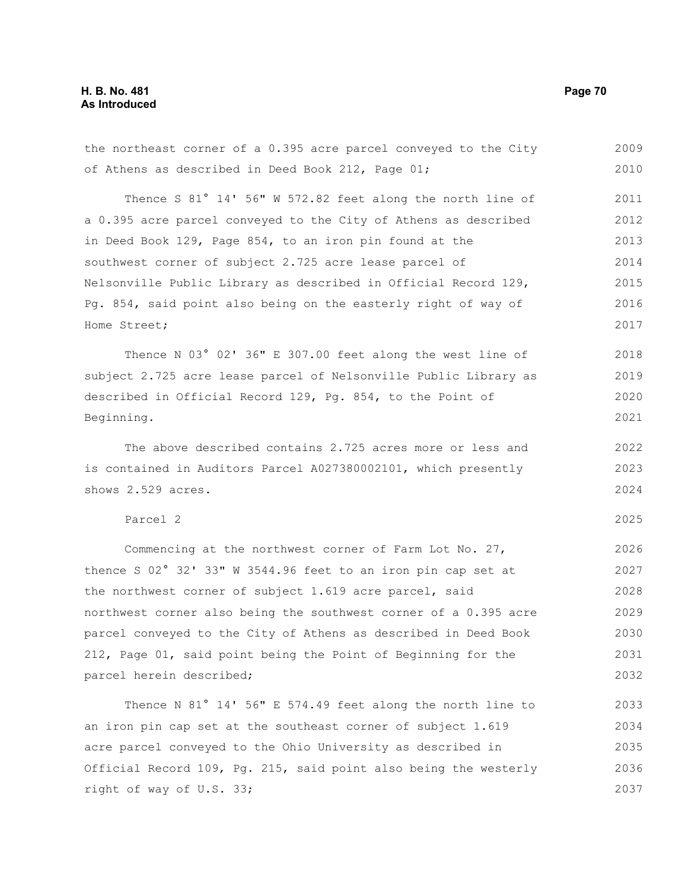## **H. B. No. 481 Page 70 As Introduced**

the northeast corner of a 0.395 acre parcel conveyed to the City of Athens as described in Deed Book 212, Page 01; Thence S 81° 14' 56" W 572.82 feet along the north line of a 0.395 acre parcel conveyed to the City of Athens as described in Deed Book 129, Page 854, to an iron pin found at the southwest corner of subject 2.725 acre lease parcel of Nelsonville Public Library as described in Official Record 129, Pg. 854, said point also being on the easterly right of way of Home Street; Thence N 03° 02' 36" E 307.00 feet along the west line of subject 2.725 acre lease parcel of Nelsonville Public Library as described in Official Record 129, Pg. 854, to the Point of Beginning. The above described contains 2.725 acres more or less and is contained in Auditors Parcel A027380002101, which presently shows 2.529 acres. 2009 2010 2011 2012 2013 2014 2015 2016 2017 2018 2019 2020 2021 2022 2023 2024

## Parcel 2

Commencing at the northwest corner of Farm Lot No. 27, thence S 02° 32' 33" W 3544.96 feet to an iron pin cap set at the northwest corner of subject 1.619 acre parcel, said northwest corner also being the southwest corner of a 0.395 acre parcel conveyed to the City of Athens as described in Deed Book 212, Page 01, said point being the Point of Beginning for the parcel herein described; 2026 2027 2028 2029 2030 2031 2032

Thence N 81° 14' 56" E 574.49 feet along the north line to an iron pin cap set at the southeast corner of subject 1.619 acre parcel conveyed to the Ohio University as described in Official Record 109, Pg. 215, said point also being the westerly right of way of U.S. 33; 2033 2034 2035 2036 2037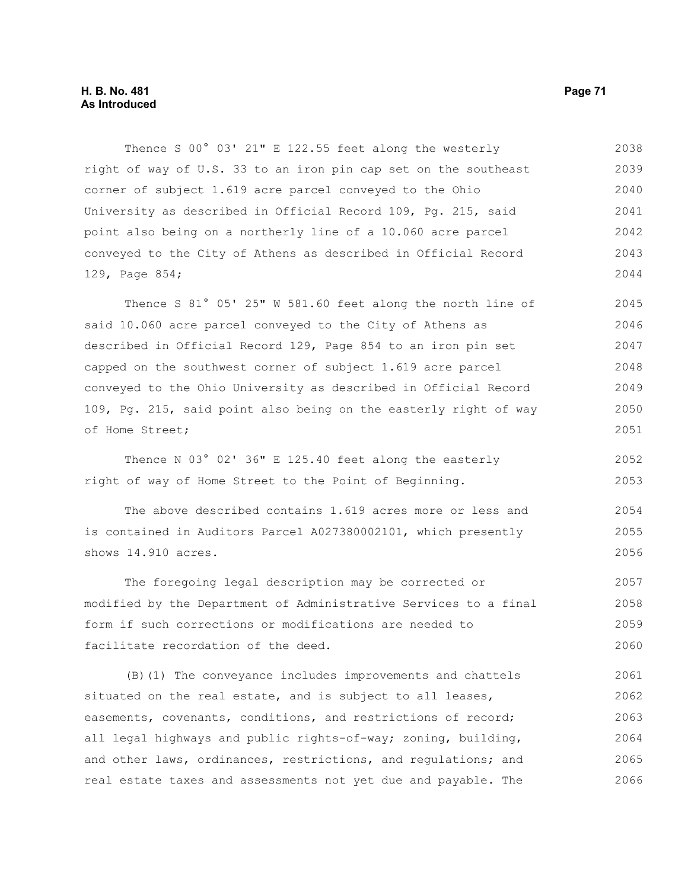### **H. B. No. 481 Page 71 As Introduced**

Thence S 00° 03' 21" E 122.55 feet along the westerly right of way of U.S. 33 to an iron pin cap set on the southeast corner of subject 1.619 acre parcel conveyed to the Ohio University as described in Official Record 109, Pg. 215, said point also being on a northerly line of a 10.060 acre parcel conveyed to the City of Athens as described in Official Record 129, Page 854; 2038 2039 2040 2041 2042 2043 2044

Thence S 81° 05' 25" W 581.60 feet along the north line of said 10.060 acre parcel conveyed to the City of Athens as described in Official Record 129, Page 854 to an iron pin set capped on the southwest corner of subject 1.619 acre parcel conveyed to the Ohio University as described in Official Record 109, Pg. 215, said point also being on the easterly right of way of Home Street; 2045 2046 2047 2048 2049 2050 2051

Thence N 03° 02' 36" E 125.40 feet along the easterly right of way of Home Street to the Point of Beginning. 2052 2053

The above described contains 1.619 acres more or less and is contained in Auditors Parcel A027380002101, which presently shows 14.910 acres. 2054 2055 2056

The foregoing legal description may be corrected or modified by the Department of Administrative Services to a final form if such corrections or modifications are needed to facilitate recordation of the deed. 2057 2058 2059 2060

(B)(1) The conveyance includes improvements and chattels situated on the real estate, and is subject to all leases, easements, covenants, conditions, and restrictions of record; all legal highways and public rights-of-way; zoning, building, and other laws, ordinances, restrictions, and regulations; and real estate taxes and assessments not yet due and payable. The 2061 2062 2063 2064 2065 2066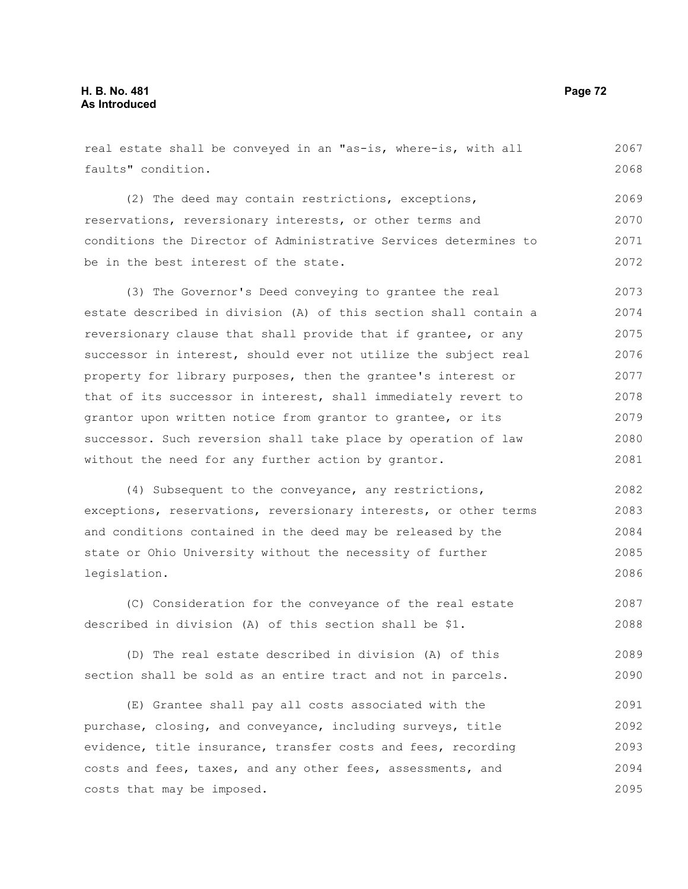real estate shall be conveyed in an "as-is, where-is, with all faults" condition. (2) The deed may contain restrictions, exceptions, reservations, reversionary interests, or other terms and conditions the Director of Administrative Services determines to be in the best interest of the state. (3) The Governor's Deed conveying to grantee the real estate described in division (A) of this section shall contain a reversionary clause that shall provide that if grantee, or any successor in interest, should ever not utilize the subject real property for library purposes, then the grantee's interest or that of its successor in interest, shall immediately revert to grantor upon written notice from grantor to grantee, or its successor. Such reversion shall take place by operation of law without the need for any further action by grantor. (4) Subsequent to the conveyance, any restrictions, exceptions, reservations, reversionary interests, or other terms and conditions contained in the deed may be released by the state or Ohio University without the necessity of further legislation. (C) Consideration for the conveyance of the real estate described in division (A) of this section shall be \$1. 2067 2068 2069 2070 2071 2072 2073 2074 2075 2076 2077 2078 2079 2080 2081 2082 2083 2084 2085 2086 2087 2088

(D) The real estate described in division (A) of this section shall be sold as an entire tract and not in parcels. 2089 2090

(E) Grantee shall pay all costs associated with the purchase, closing, and conveyance, including surveys, title evidence, title insurance, transfer costs and fees, recording costs and fees, taxes, and any other fees, assessments, and costs that may be imposed. 2091 2092 2093 2094 2095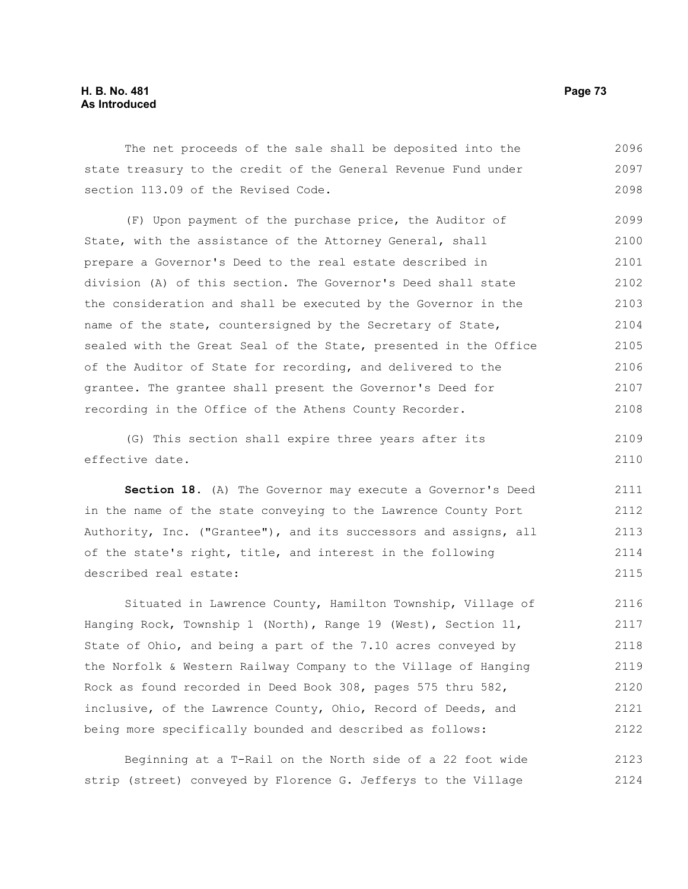# **H. B. No. 481 Page 73 As Introduced**

The net proceeds of the sale shall be deposited into the state treasury to the credit of the General Revenue Fund under section 113.09 of the Revised Code. 2096 2097 2098

(F) Upon payment of the purchase price, the Auditor of State, with the assistance of the Attorney General, shall prepare a Governor's Deed to the real estate described in division (A) of this section. The Governor's Deed shall state the consideration and shall be executed by the Governor in the name of the state, countersigned by the Secretary of State, sealed with the Great Seal of the State, presented in the Office of the Auditor of State for recording, and delivered to the grantee. The grantee shall present the Governor's Deed for recording in the Office of the Athens County Recorder. 2099 2100 2101 2102 2103 2104 2105 2106 2107 2108

(G) This section shall expire three years after its effective date. 2109 2110

**Section 18.** (A) The Governor may execute a Governor's Deed in the name of the state conveying to the Lawrence County Port Authority, Inc. ("Grantee"), and its successors and assigns, all of the state's right, title, and interest in the following described real estate: 2111 2112 2113 2114 2115

Situated in Lawrence County, Hamilton Township, Village of Hanging Rock, Township 1 (North), Range 19 (West), Section 11, State of Ohio, and being a part of the 7.10 acres conveyed by the Norfolk & Western Railway Company to the Village of Hanging Rock as found recorded in Deed Book 308, pages 575 thru 582, inclusive, of the Lawrence County, Ohio, Record of Deeds, and being more specifically bounded and described as follows: 2116 2117 2118 2119 2120 2121 2122

Beginning at a T-Rail on the North side of a 22 foot wide strip (street) conveyed by Florence G. Jefferys to the Village 2123 2124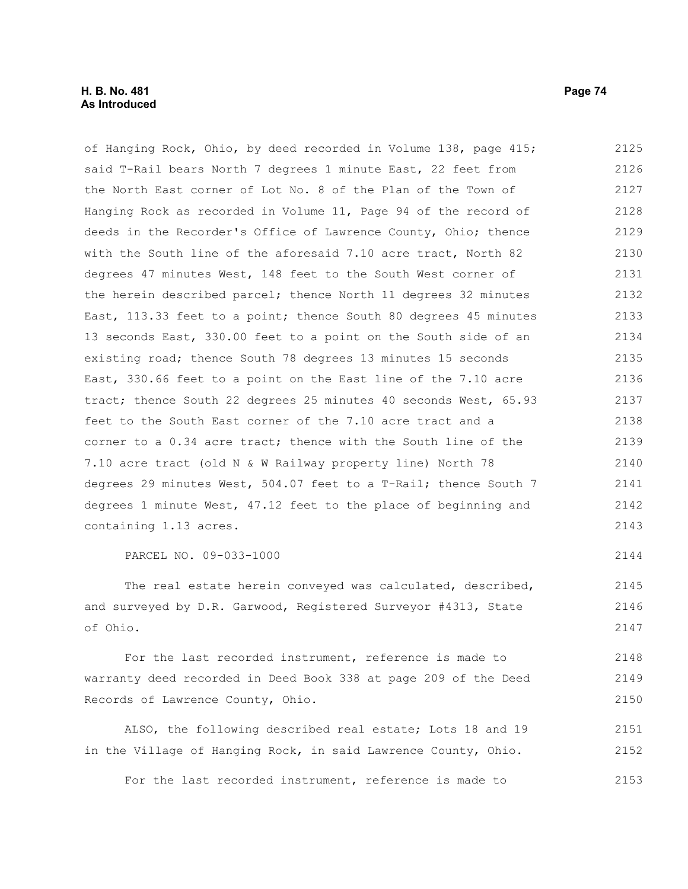of Hanging Rock, Ohio, by deed recorded in Volume 138, page 415; said T-Rail bears North 7 degrees 1 minute East, 22 feet from the North East corner of Lot No. 8 of the Plan of the Town of Hanging Rock as recorded in Volume 11, Page 94 of the record of deeds in the Recorder's Office of Lawrence County, Ohio; thence with the South line of the aforesaid 7.10 acre tract, North 82 degrees 47 minutes West, 148 feet to the South West corner of the herein described parcel; thence North 11 degrees 32 minutes East, 113.33 feet to a point; thence South 80 degrees 45 minutes 13 seconds East, 330.00 feet to a point on the South side of an existing road; thence South 78 degrees 13 minutes 15 seconds East, 330.66 feet to a point on the East line of the 7.10 acre tract; thence South 22 degrees 25 minutes 40 seconds West, 65.93 feet to the South East corner of the 7.10 acre tract and a corner to a 0.34 acre tract; thence with the South line of the 7.10 acre tract (old N & W Railway property line) North 78 degrees 29 minutes West, 504.07 feet to a T-Rail; thence South 7 degrees 1 minute West, 47.12 feet to the place of beginning and containing 1.13 acres. 2125 2126 2127 2128 2129 2130 2131 2132 2133 2134 2135 2136 2137 2138 2139 2140 2141 2142 2143

PARCEL NO. 09-033-1000

The real estate herein conveyed was calculated, described, and surveyed by D.R. Garwood, Registered Surveyor #4313, State of Ohio. 2145 2146 2147

For the last recorded instrument, reference is made to warranty deed recorded in Deed Book 338 at page 209 of the Deed Records of Lawrence County, Ohio. 2148 2149 2150

ALSO, the following described real estate; Lots 18 and 19 in the Village of Hanging Rock, in said Lawrence County, Ohio. 2151 2152

For the last recorded instrument, reference is made to 2153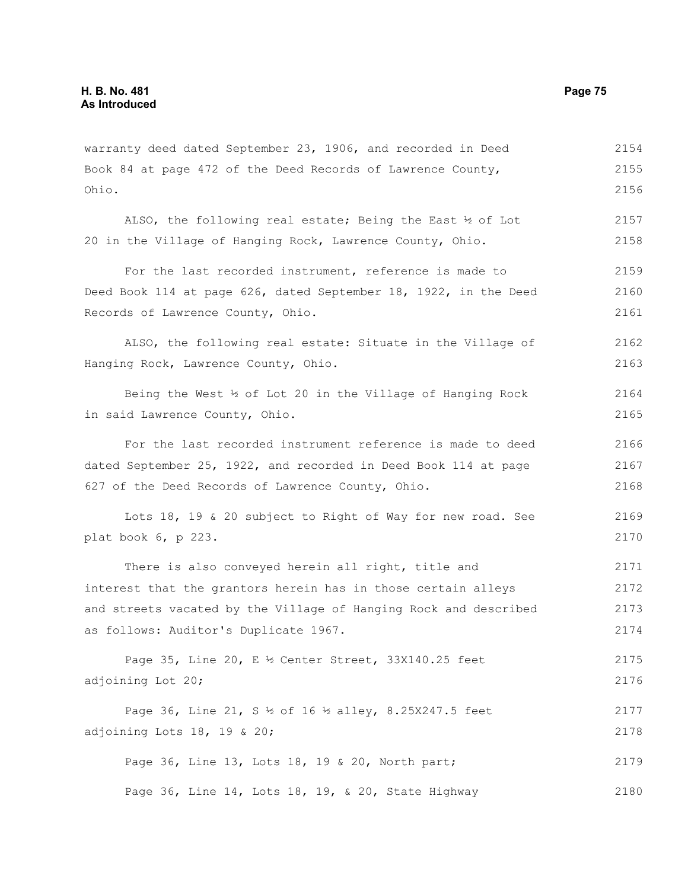warranty deed dated September 23, 1906, and recorded in Deed Book 84 at page 472 of the Deed Records of Lawrence County, Ohio. ALSO, the following real estate; Being the East ½ of Lot 20 in the Village of Hanging Rock, Lawrence County, Ohio. For the last recorded instrument, reference is made to Deed Book 114 at page 626, dated September 18, 1922, in the Deed Records of Lawrence County, Ohio. ALSO, the following real estate: Situate in the Village of Hanging Rock, Lawrence County, Ohio. Being the West ½ of Lot 20 in the Village of Hanging Rock in said Lawrence County, Ohio. For the last recorded instrument reference is made to deed dated September 25, 1922, and recorded in Deed Book 114 at page 627 of the Deed Records of Lawrence County, Ohio. Lots 18, 19 & 20 subject to Right of Way for new road. See plat book 6, p 223. There is also conveyed herein all right, title and interest that the grantors herein has in those certain alleys and streets vacated by the Village of Hanging Rock and described as follows: Auditor's Duplicate 1967. Page 35, Line 20, E ½ Center Street, 33X140.25 feet adjoining Lot 20; Page 36, Line 21, S ½ of 16 ½ alley, 8.25X247.5 feet adjoining Lots 18, 19 & 20; Page 36, Line 13, Lots 18, 19 & 20, North part; Page 36, Line 14, Lots 18, 19, & 20, State Highway 2154 2155 2156 2157 2158 2159 2160 2161 2162 2163 2164 2165 2166 2167 2168 2169 2170 2171 2172 2173 2174 2175 2176 2177 2178 2179 2180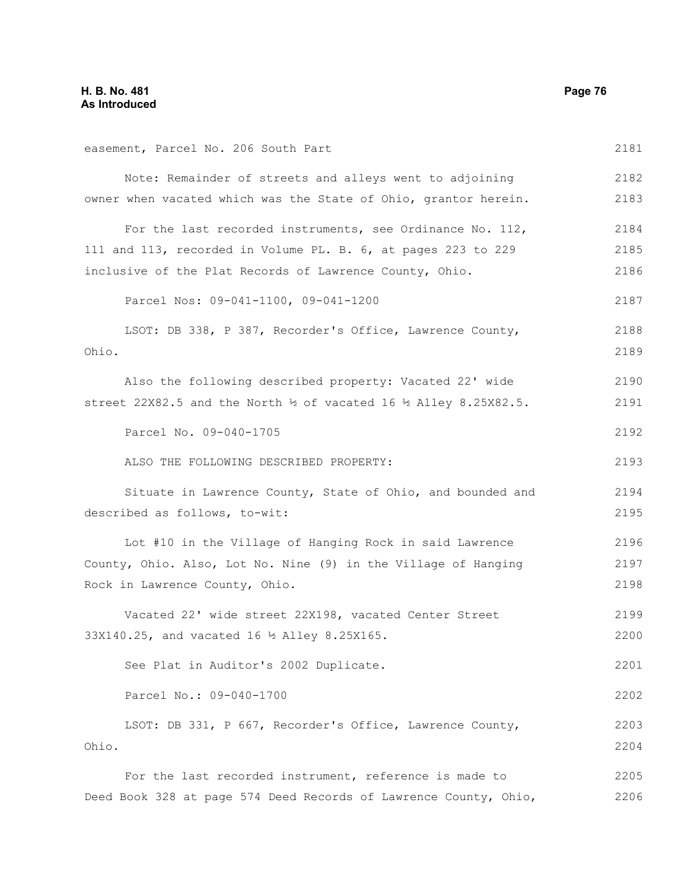easement, Parcel No. 206 South Part Note: Remainder of streets and alleys went to adjoining owner when vacated which was the State of Ohio, grantor herein. For the last recorded instruments, see Ordinance No. 112, 111 and 113, recorded in Volume PL. B. 6, at pages 223 to 229 inclusive of the Plat Records of Lawrence County, Ohio. Parcel Nos: 09-041-1100, 09-041-1200 LSOT: DB 338, P 387, Recorder's Office, Lawrence County, Ohio. Also the following described property: Vacated 22' wide street 22X82.5 and the North ½ of vacated 16 ½ Alley 8.25X82.5. Parcel No. 09-040-1705 ALSO THE FOLLOWING DESCRIBED PROPERTY: Situate in Lawrence County, State of Ohio, and bounded and described as follows, to-wit: Lot #10 in the Village of Hanging Rock in said Lawrence County, Ohio. Also, Lot No. Nine (9) in the Village of Hanging Rock in Lawrence County, Ohio. Vacated 22' wide street 22X198, vacated Center Street 33X140.25, and vacated 16 ½ Alley 8.25X165. See Plat in Auditor's 2002 Duplicate. Parcel No.: 09-040-1700 LSOT: DB 331, P 667, Recorder's Office, Lawrence County, Ohio. For the last recorded instrument, reference is made to 2181 2182 2183 2184 2185 2186 2187 2188 2189 2190 2191 2192 2193 2194 2195 2196 2197 2198 2199 2200 2201 2202 2203 2204 2205

Deed Book 328 at page 574 Deed Records of Lawrence County, Ohio,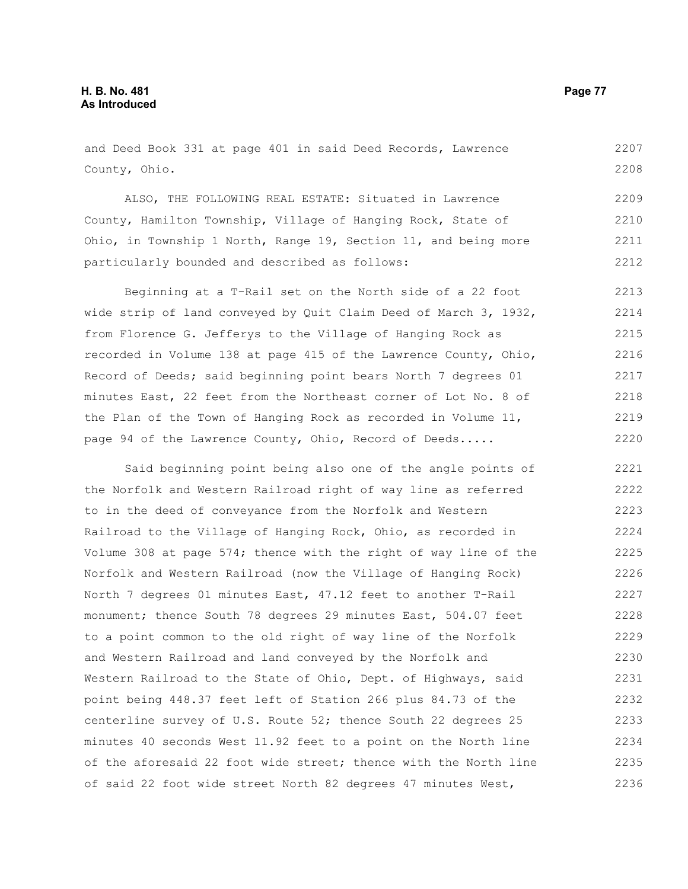# **H. B. No. 481 Page 77 As Introduced**

and Deed Book 331 at page 401 in said Deed Records, Lawrence County, Ohio. 2207 2208

ALSO, THE FOLLOWING REAL ESTATE: Situated in Lawrence County, Hamilton Township, Village of Hanging Rock, State of Ohio, in Township 1 North, Range 19, Section 11, and being more particularly bounded and described as follows: 2209 2210 2211 2212

Beginning at a T-Rail set on the North side of a 22 foot wide strip of land conveyed by Quit Claim Deed of March 3, 1932, from Florence G. Jefferys to the Village of Hanging Rock as recorded in Volume 138 at page 415 of the Lawrence County, Ohio, Record of Deeds; said beginning point bears North 7 degrees 01 minutes East, 22 feet from the Northeast corner of Lot No. 8 of the Plan of the Town of Hanging Rock as recorded in Volume 11, page 94 of the Lawrence County, Ohio, Record of Deeds..... 2213 2214 2215 2216 2217 2218 2219 2220

Said beginning point being also one of the angle points of the Norfolk and Western Railroad right of way line as referred to in the deed of conveyance from the Norfolk and Western Railroad to the Village of Hanging Rock, Ohio, as recorded in Volume 308 at page 574; thence with the right of way line of the Norfolk and Western Railroad (now the Village of Hanging Rock) North 7 degrees 01 minutes East, 47.12 feet to another T-Rail monument; thence South 78 degrees 29 minutes East, 504.07 feet to a point common to the old right of way line of the Norfolk and Western Railroad and land conveyed by the Norfolk and Western Railroad to the State of Ohio, Dept. of Highways, said point being 448.37 feet left of Station 266 plus 84.73 of the centerline survey of U.S. Route 52; thence South 22 degrees 25 minutes 40 seconds West 11.92 feet to a point on the North line of the aforesaid 22 foot wide street; thence with the North line of said 22 foot wide street North 82 degrees 47 minutes West, 2221 2222 2223 2224 2225 2226 2227 2228 2229 2230 2231 2232 2233 2234 2235 2236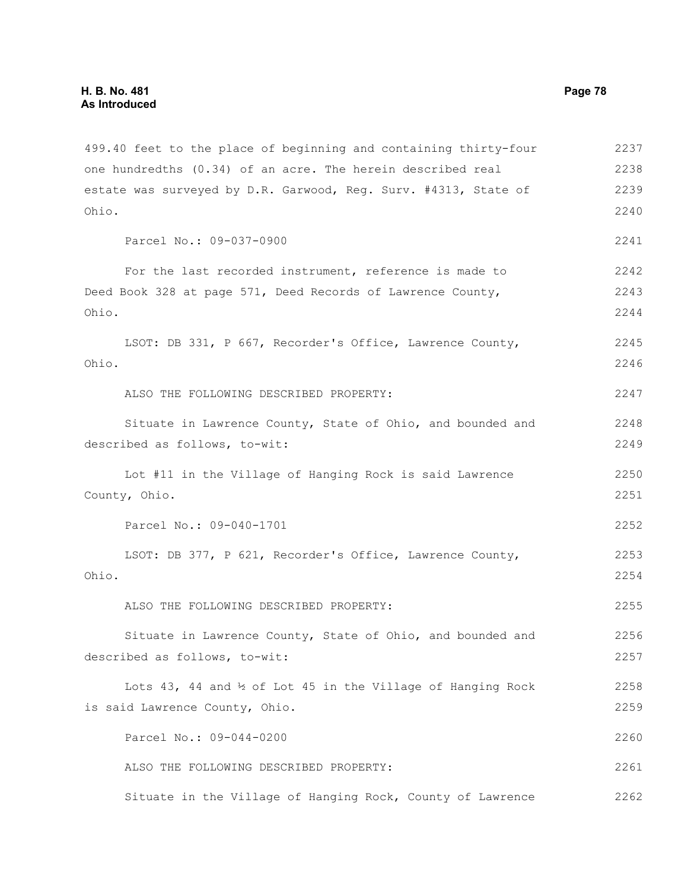499.40 feet to the place of beginning and containing thirty-four one hundredths (0.34) of an acre. The herein described real estate was surveyed by D.R. Garwood, Reg. Surv. #4313, State of Ohio. Parcel No.: 09-037-0900 For the last recorded instrument, reference is made to Deed Book 328 at page 571, Deed Records of Lawrence County, Ohio. LSOT: DB 331, P 667, Recorder's Office, Lawrence County, Ohio. ALSO THE FOLLOWING DESCRIBED PROPERTY: Situate in Lawrence County, State of Ohio, and bounded and described as follows, to-wit: Lot #11 in the Village of Hanging Rock is said Lawrence County, Ohio. Parcel No.: 09-040-1701 LSOT: DB 377, P 621, Recorder's Office, Lawrence County, Ohio. ALSO THE FOLLOWING DESCRIBED PROPERTY: Situate in Lawrence County, State of Ohio, and bounded and described as follows, to-wit: Lots 43, 44 and  $\frac{1}{2}$  of Lot 45 in the Village of Hanging Rock is said Lawrence County, Ohio. Parcel No.: 09-044-0200 ALSO THE FOLLOWING DESCRIBED PROPERTY: Situate in the Village of Hanging Rock, County of Lawrence 2237 2238 2239 2240 2241 2242 2243 2244 2245 2246 2247 2248 2249 2250 2251 2252 2253 2254 2255 2256 2257 2258 2259 2260 2261 2262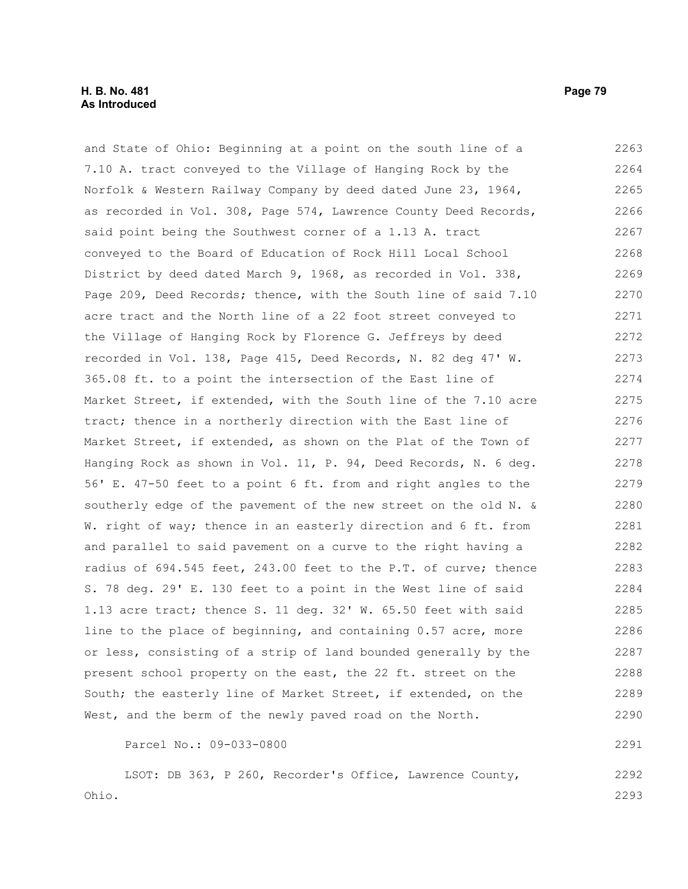and State of Ohio: Beginning at a point on the south line of a 7.10 A. tract conveyed to the Village of Hanging Rock by the Norfolk & Western Railway Company by deed dated June 23, 1964, as recorded in Vol. 308, Page 574, Lawrence County Deed Records, said point being the Southwest corner of a 1.13 A. tract conveyed to the Board of Education of Rock Hill Local School District by deed dated March 9, 1968, as recorded in Vol. 338, Page 209, Deed Records; thence, with the South line of said 7.10 acre tract and the North line of a 22 foot street conveyed to the Village of Hanging Rock by Florence G. Jeffreys by deed recorded in Vol. 138, Page 415, Deed Records, N. 82 deg 47' W. 365.08 ft. to a point the intersection of the East line of Market Street, if extended, with the South line of the 7.10 acre tract; thence in a northerly direction with the East line of Market Street, if extended, as shown on the Plat of the Town of Hanging Rock as shown in Vol. 11, P. 94, Deed Records, N. 6 deg. 56' E. 47-50 feet to a point 6 ft. from and right angles to the southerly edge of the pavement of the new street on the old N. & W. right of way; thence in an easterly direction and 6 ft. from and parallel to said pavement on a curve to the right having a radius of 694.545 feet, 243.00 feet to the P.T. of curve; thence S. 78 deg. 29' E. 130 feet to a point in the West line of said 2263 2264 2265 2266 2267 2268 2269 2270 2271 2272 2273 2274 2275 2276 2277 2278 2279 2280 2281 2282 2283 2284

1.13 acre tract; thence S. 11 deg. 32' W. 65.50 feet with said line to the place of beginning, and containing 0.57 acre, more or less, consisting of a strip of land bounded generally by the present school property on the east, the 22 ft. street on the South; the easterly line of Market Street, if extended, on the West, and the berm of the newly paved road on the North. 2285 2286 2287 2288 2289 2290

Parcel No.: 09-033-0800

LSOT: DB 363, P 260, Recorder's Office, Lawrence County, Ohio. 2292 2293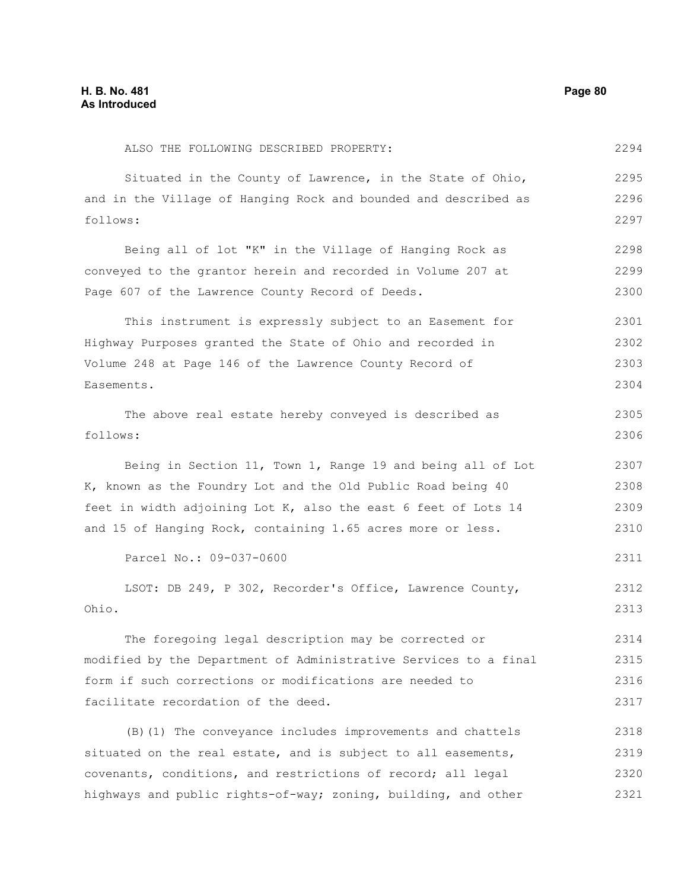ALSO THE FOLLOWING DESCRIBED PROPERTY: Situated in the County of Lawrence, in the State of Ohio, and in the Village of Hanging Rock and bounded and described as follows: Being all of lot "K" in the Village of Hanging Rock as conveyed to the grantor herein and recorded in Volume 207 at Page 607 of the Lawrence County Record of Deeds. This instrument is expressly subject to an Easement for Highway Purposes granted the State of Ohio and recorded in Volume 248 at Page 146 of the Lawrence County Record of Easements. The above real estate hereby conveyed is described as follows: Being in Section 11, Town 1, Range 19 and being all of Lot K, known as the Foundry Lot and the Old Public Road being 40 feet in width adjoining Lot K, also the east 6 feet of Lots 14 and 15 of Hanging Rock, containing 1.65 acres more or less. Parcel No.: 09-037-0600 LSOT: DB 249, P 302, Recorder's Office, Lawrence County, Ohio. The foregoing legal description may be corrected or modified by the Department of Administrative Services to a final form if such corrections or modifications are needed to facilitate recordation of the deed. (B)(1) The conveyance includes improvements and chattels situated on the real estate, and is subject to all easements, covenants, conditions, and restrictions of record; all legal highways and public rights-of-way; zoning, building, and other 2294 2295 2296 2297 2298 2299 2300 2301 2302 2303 2304 2305 2306 2307 2308 2309 2310 2311 2312 2313 2314 2315 2316 2317 2318 2319 2320 2321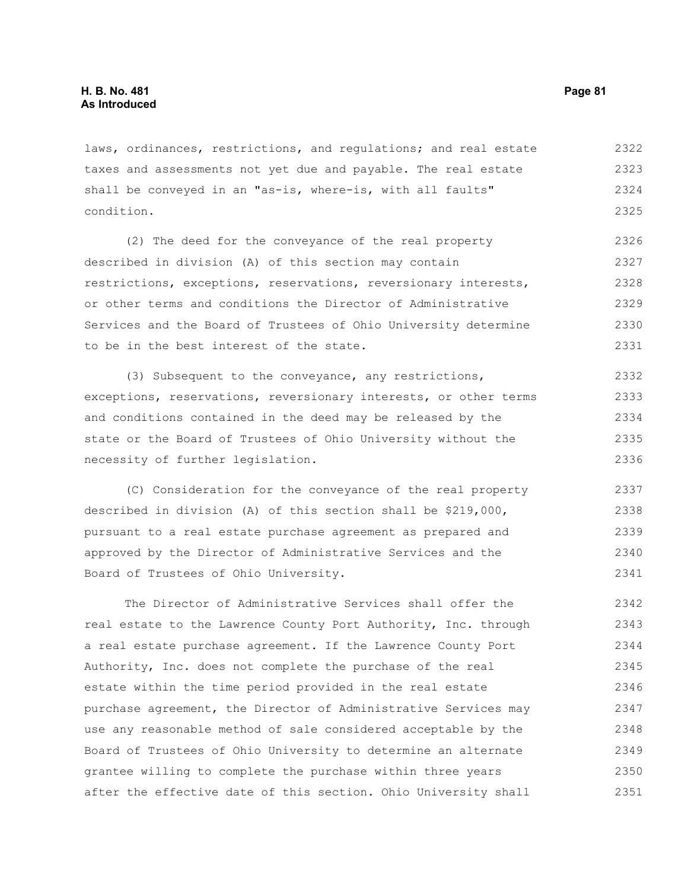laws, ordinances, restrictions, and requlations; and real estate taxes and assessments not yet due and payable. The real estate shall be conveyed in an "as-is, where-is, with all faults" condition. 2322 2323 2324 2325

(2) The deed for the conveyance of the real property described in division (A) of this section may contain restrictions, exceptions, reservations, reversionary interests, or other terms and conditions the Director of Administrative Services and the Board of Trustees of Ohio University determine to be in the best interest of the state. 2326 2327 2328 2329 2330 2331

(3) Subsequent to the conveyance, any restrictions, exceptions, reservations, reversionary interests, or other terms and conditions contained in the deed may be released by the state or the Board of Trustees of Ohio University without the necessity of further legislation. 2332 2333 2334 2335 2336

(C) Consideration for the conveyance of the real property described in division (A) of this section shall be \$219,000, pursuant to a real estate purchase agreement as prepared and approved by the Director of Administrative Services and the Board of Trustees of Ohio University. 2337 2338 2339 2340 2341

The Director of Administrative Services shall offer the real estate to the Lawrence County Port Authority, Inc. through a real estate purchase agreement. If the Lawrence County Port Authority, Inc. does not complete the purchase of the real estate within the time period provided in the real estate purchase agreement, the Director of Administrative Services may use any reasonable method of sale considered acceptable by the Board of Trustees of Ohio University to determine an alternate grantee willing to complete the purchase within three years after the effective date of this section. Ohio University shall 2342 2343 2344 2345 2346 2347 2348 2349 2350 2351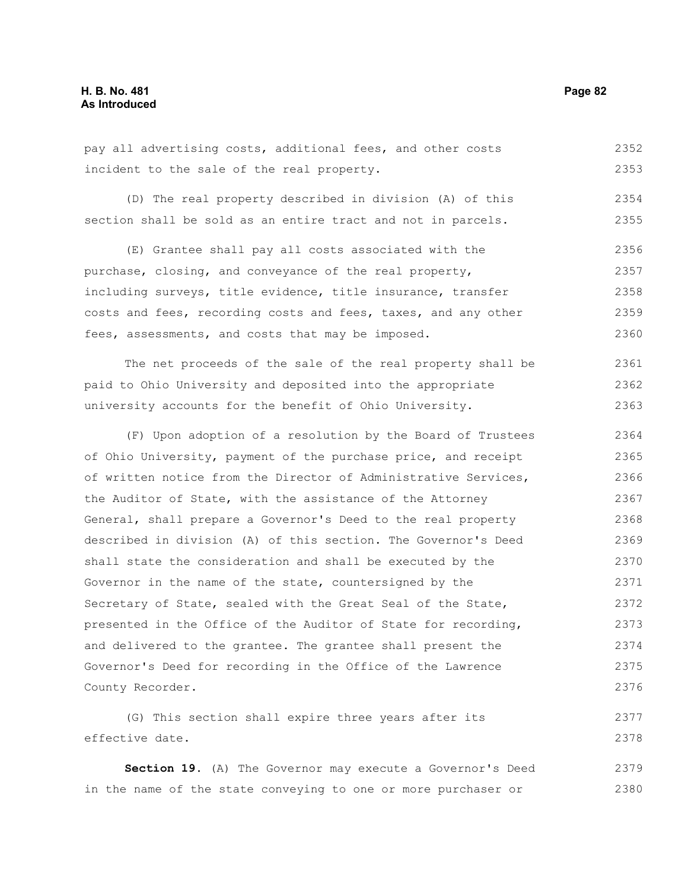pay all advertising costs, additional fees, and other costs incident to the sale of the real property. 2352 2353

(D) The real property described in division (A) of this section shall be sold as an entire tract and not in parcels. 2354 2355

(E) Grantee shall pay all costs associated with the purchase, closing, and conveyance of the real property, including surveys, title evidence, title insurance, transfer costs and fees, recording costs and fees, taxes, and any other fees, assessments, and costs that may be imposed. 2356 2357 2358 2359 2360

The net proceeds of the sale of the real property shall be paid to Ohio University and deposited into the appropriate university accounts for the benefit of Ohio University. 2361 2362 2363

(F) Upon adoption of a resolution by the Board of Trustees of Ohio University, payment of the purchase price, and receipt of written notice from the Director of Administrative Services, the Auditor of State, with the assistance of the Attorney General, shall prepare a Governor's Deed to the real property described in division (A) of this section. The Governor's Deed shall state the consideration and shall be executed by the Governor in the name of the state, countersigned by the Secretary of State, sealed with the Great Seal of the State, presented in the Office of the Auditor of State for recording, and delivered to the grantee. The grantee shall present the Governor's Deed for recording in the Office of the Lawrence County Recorder. 2364 2365 2366 2367 2368 2369 2370 2371 2372 2373 2374 2375 2376

(G) This section shall expire three years after its effective date. 2377 2378

**Section 19.** (A) The Governor may execute a Governor's Deed in the name of the state conveying to one or more purchaser or 2379 2380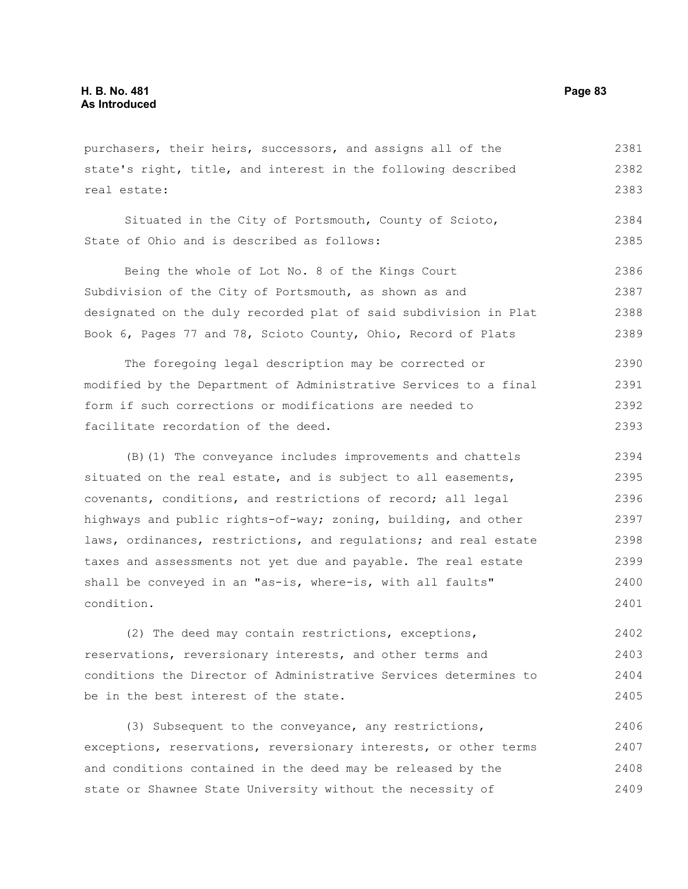purchasers, their heirs, successors, and assigns all of the state's right, title, and interest in the following described real estate: 2381 2382 2383

Situated in the City of Portsmouth, County of Scioto, State of Ohio and is described as follows: 2384 2385

Being the whole of Lot No. 8 of the Kings Court Subdivision of the City of Portsmouth, as shown as and designated on the duly recorded plat of said subdivision in Plat Book 6, Pages 77 and 78, Scioto County, Ohio, Record of Plats 2386 2387 2388 2389

The foregoing legal description may be corrected or modified by the Department of Administrative Services to a final form if such corrections or modifications are needed to facilitate recordation of the deed. 2390 2391 2392 2393

(B)(1) The conveyance includes improvements and chattels situated on the real estate, and is subject to all easements, covenants, conditions, and restrictions of record; all legal highways and public rights-of-way; zoning, building, and other laws, ordinances, restrictions, and regulations; and real estate taxes and assessments not yet due and payable. The real estate shall be conveyed in an "as-is, where-is, with all faults" condition. 2394 2395 2396 2397 2398 2399 2400 2401

(2) The deed may contain restrictions, exceptions, reservations, reversionary interests, and other terms and conditions the Director of Administrative Services determines to be in the best interest of the state. 2402 2403 2404 2405

(3) Subsequent to the conveyance, any restrictions, exceptions, reservations, reversionary interests, or other terms and conditions contained in the deed may be released by the state or Shawnee State University without the necessity of 2406 2407 2408 2409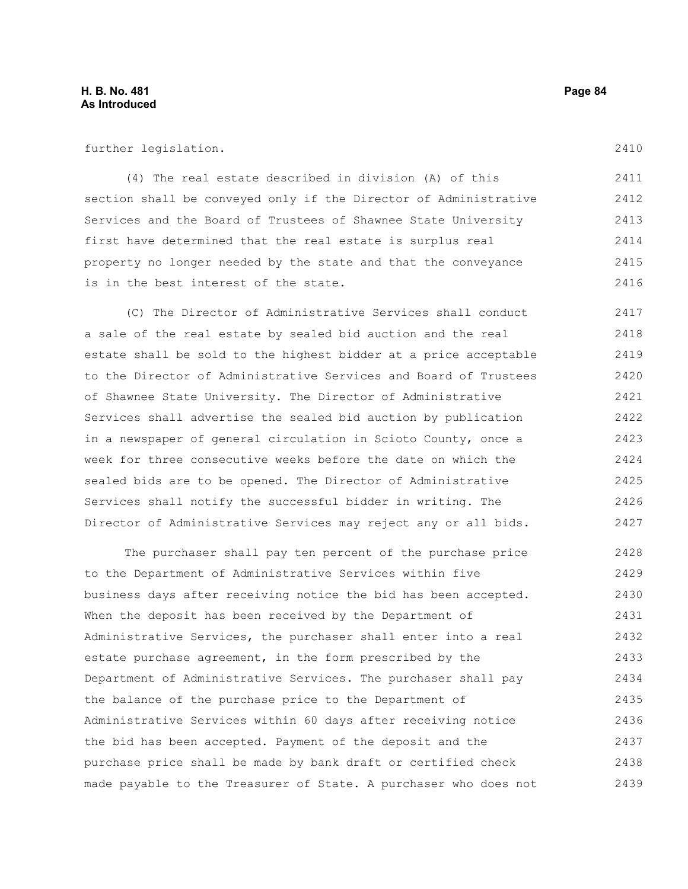further legislation.

(4) The real estate described in division (A) of this section shall be conveyed only if the Director of Administrative Services and the Board of Trustees of Shawnee State University first have determined that the real estate is surplus real property no longer needed by the state and that the conveyance is in the best interest of the state. 2411 2412 2413 2414 2415 2416

(C) The Director of Administrative Services shall conduct a sale of the real estate by sealed bid auction and the real estate shall be sold to the highest bidder at a price acceptable to the Director of Administrative Services and Board of Trustees of Shawnee State University. The Director of Administrative Services shall advertise the sealed bid auction by publication in a newspaper of general circulation in Scioto County, once a week for three consecutive weeks before the date on which the sealed bids are to be opened. The Director of Administrative Services shall notify the successful bidder in writing. The Director of Administrative Services may reject any or all bids. 2417 2418 2419 2420 2421 2422 2423 2424 2425 2426 2427

The purchaser shall pay ten percent of the purchase price to the Department of Administrative Services within five business days after receiving notice the bid has been accepted. When the deposit has been received by the Department of Administrative Services, the purchaser shall enter into a real estate purchase agreement, in the form prescribed by the Department of Administrative Services. The purchaser shall pay the balance of the purchase price to the Department of Administrative Services within 60 days after receiving notice the bid has been accepted. Payment of the deposit and the purchase price shall be made by bank draft or certified check made payable to the Treasurer of State. A purchaser who does not 2428 2429 2430 2431 2432 2433 2434 2435 2436 2437 2438 2439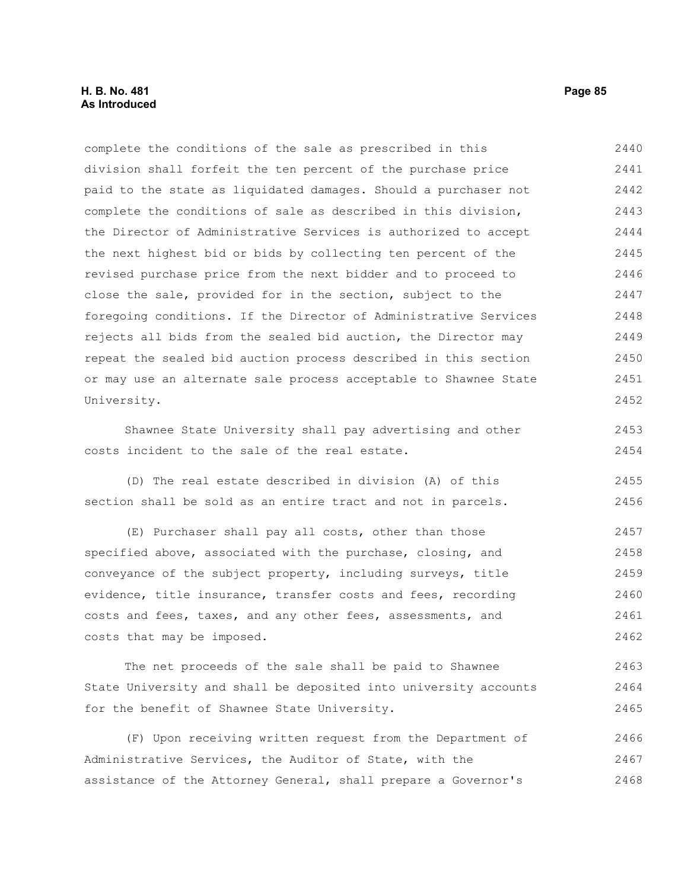# **H. B. No. 481 Page 85 As Introduced**

complete the conditions of the sale as prescribed in this division shall forfeit the ten percent of the purchase price paid to the state as liquidated damages. Should a purchaser not complete the conditions of sale as described in this division, the Director of Administrative Services is authorized to accept the next highest bid or bids by collecting ten percent of the revised purchase price from the next bidder and to proceed to close the sale, provided for in the section, subject to the foregoing conditions. If the Director of Administrative Services rejects all bids from the sealed bid auction, the Director may repeat the sealed bid auction process described in this section or may use an alternate sale process acceptable to Shawnee State University. 2440 2441 2442 2443 2444 2445 2446 2447 2448 2449 2450 2451 2452

Shawnee State University shall pay advertising and other costs incident to the sale of the real estate.

(D) The real estate described in division (A) of this section shall be sold as an entire tract and not in parcels. 2455 2456

(E) Purchaser shall pay all costs, other than those specified above, associated with the purchase, closing, and conveyance of the subject property, including surveys, title evidence, title insurance, transfer costs and fees, recording costs and fees, taxes, and any other fees, assessments, and costs that may be imposed. 2457 2458 2459 2460 2461 2462

The net proceeds of the sale shall be paid to Shawnee State University and shall be deposited into university accounts for the benefit of Shawnee State University. 2463 2464 2465

(F) Upon receiving written request from the Department of Administrative Services, the Auditor of State, with the assistance of the Attorney General, shall prepare a Governor's 2466 2467 2468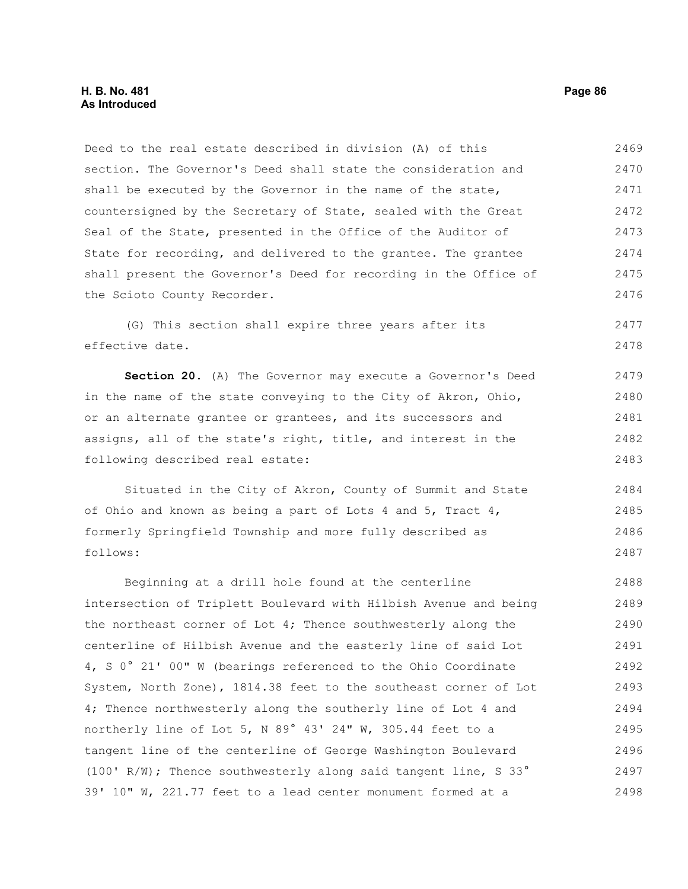Deed to the real estate described in division (A) of this section. The Governor's Deed shall state the consideration and shall be executed by the Governor in the name of the state, countersigned by the Secretary of State, sealed with the Great Seal of the State, presented in the Office of the Auditor of State for recording, and delivered to the grantee. The grantee shall present the Governor's Deed for recording in the Office of the Scioto County Recorder. 2469 2470 2471 2472 2473 2474 2475 2476

(G) This section shall expire three years after its effective date. 2477 2478

**Section 20.** (A) The Governor may execute a Governor's Deed in the name of the state conveying to the City of Akron, Ohio, or an alternate grantee or grantees, and its successors and assigns, all of the state's right, title, and interest in the following described real estate: 2479 2480 2481 2482 2483

Situated in the City of Akron, County of Summit and State of Ohio and known as being a part of Lots 4 and 5, Tract 4, formerly Springfield Township and more fully described as follows: 2484 2485 2486 2487

Beginning at a drill hole found at the centerline intersection of Triplett Boulevard with Hilbish Avenue and being the northeast corner of Lot 4; Thence southwesterly along the centerline of Hilbish Avenue and the easterly line of said Lot 4, S 0° 21' 00" W (bearings referenced to the Ohio Coordinate System, North Zone), 1814.38 feet to the southeast corner of Lot 4; Thence northwesterly along the southerly line of Lot 4 and northerly line of Lot 5, N 89° 43' 24" W, 305.44 feet to a tangent line of the centerline of George Washington Boulevard (100' R/W); Thence southwesterly along said tangent line, S 33° 39' 10" W, 221.77 feet to a lead center monument formed at a 2488 2489 2490 2491 2492 2493 2494 2495 2496 2497 2498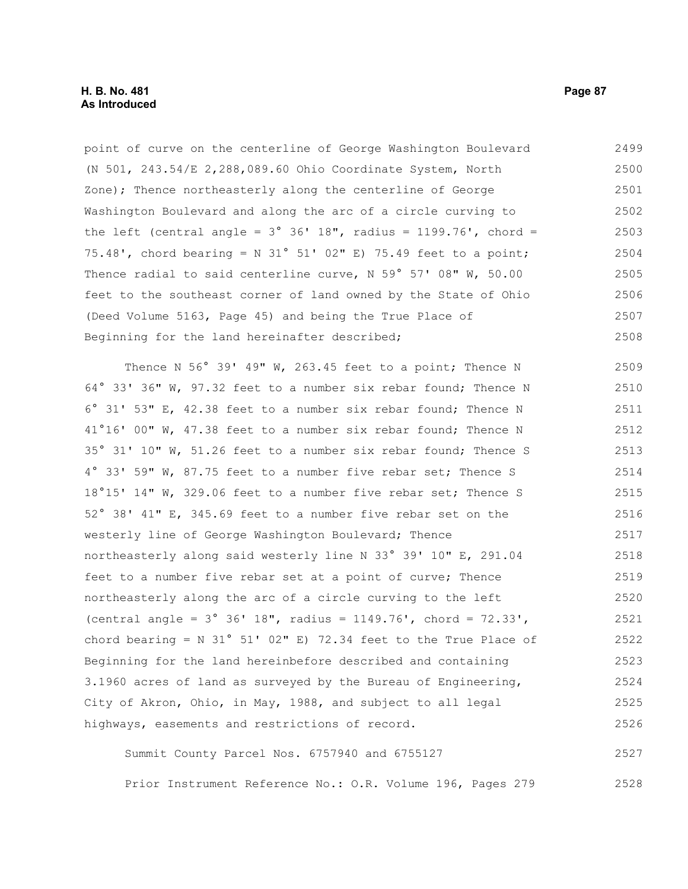point of curve on the centerline of George Washington Boulevard (N 501, 243.54/E 2,288,089.60 Ohio Coordinate System, North Zone); Thence northeasterly along the centerline of George Washington Boulevard and along the arc of a circle curving to the left (central angle =  $3^{\circ}$   $36'$  18", radius = 1199.76', chord = 75.48', chord bearing = N 31° 51' 02" E) 75.49 feet to a point; Thence radial to said centerline curve, N 59° 57' 08" W, 50.00 feet to the southeast corner of land owned by the State of Ohio (Deed Volume 5163, Page 45) and being the True Place of Beginning for the land hereinafter described; Thence N 56° 39' 49" W, 263.45 feet to a point; Thence N 64° 33' 36" W, 97.32 feet to a number six rebar found; Thence N 6° 31' 53" E, 42.38 feet to a number six rebar found; Thence N 41°16' 00" W, 47.38 feet to a number six rebar found; Thence N 35° 31' 10" W, 51.26 feet to a number six rebar found; Thence S 4° 33' 59" W, 87.75 feet to a number five rebar set; Thence S 18°15' 14" W, 329.06 feet to a number five rebar set; Thence S 52° 38' 41" E, 345.69 feet to a number five rebar set on the westerly line of George Washington Boulevard; Thence northeasterly along said westerly line N 33° 39' 10" E, 291.04 feet to a number five rebar set at a point of curve; Thence northeasterly along the arc of a circle curving to the left (central angle = 3° 36' 18", radius = 1149.76', chord = 72.33', chord bearing =  $N$  31° 51' 02" E) 72.34 feet to the True Place of 2499 2500 2501 2502 2503 2504 2505 2506 2507 2508 2509 2510 2511 2512 2513 2514 2515 2516 2517 2518 2519 2520 2521 2522

Beginning for the land hereinbefore described and containing 3.1960 acres of land as surveyed by the Bureau of Engineering, City of Akron, Ohio, in May, 1988, and subject to all legal highways, easements and restrictions of record. 2523 2524 2525 2526

Summit County Parcel Nos. 6757940 and 6755127 Prior Instrument Reference No.: O.R. Volume 196, Pages 279 2527 2528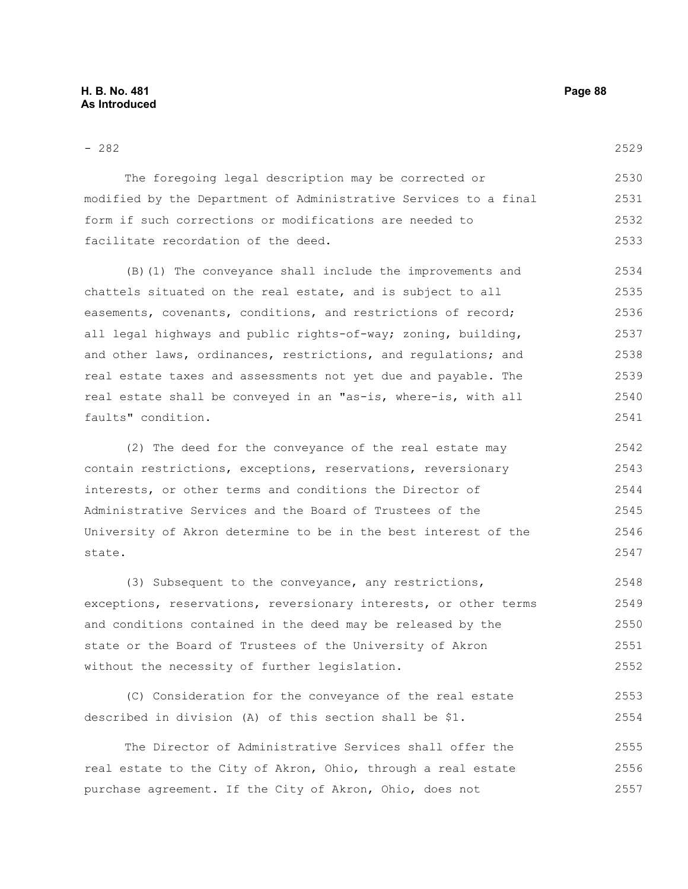#### - 282

The foregoing legal description may be corrected or modified by the Department of Administrative Services to a final form if such corrections or modifications are needed to facilitate recordation of the deed. 2530 2531 2532 2533

(B)(1) The conveyance shall include the improvements and chattels situated on the real estate, and is subject to all easements, covenants, conditions, and restrictions of record; all legal highways and public rights-of-way; zoning, building, and other laws, ordinances, restrictions, and regulations; and real estate taxes and assessments not yet due and payable. The real estate shall be conveyed in an "as-is, where-is, with all faults" condition. 2534 2535 2536 2537 2538 2539 2540 2541

(2) The deed for the conveyance of the real estate may contain restrictions, exceptions, reservations, reversionary interests, or other terms and conditions the Director of Administrative Services and the Board of Trustees of the University of Akron determine to be in the best interest of the state. 2542 2543 2544 2545 2546 2547

(3) Subsequent to the conveyance, any restrictions, exceptions, reservations, reversionary interests, or other terms and conditions contained in the deed may be released by the state or the Board of Trustees of the University of Akron without the necessity of further legislation. 2548 2549 2550 2551 2552

(C) Consideration for the conveyance of the real estate described in division (A) of this section shall be \$1. 2553 2554

The Director of Administrative Services shall offer the real estate to the City of Akron, Ohio, through a real estate purchase agreement. If the City of Akron, Ohio, does not 2555 2556 2557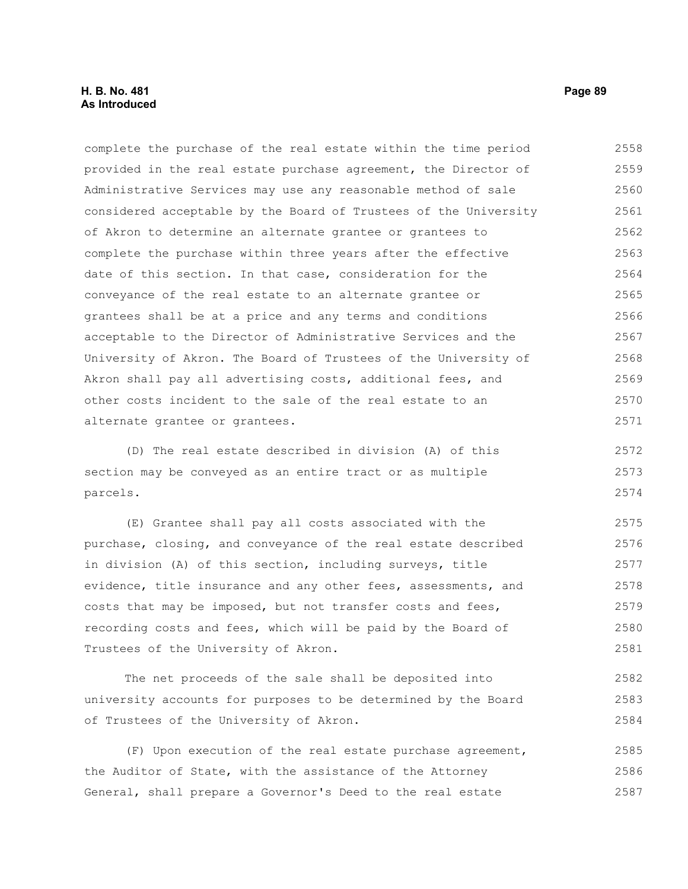# **H. B. No. 481 Page 89 As Introduced**

complete the purchase of the real estate within the time period provided in the real estate purchase agreement, the Director of Administrative Services may use any reasonable method of sale considered acceptable by the Board of Trustees of the University of Akron to determine an alternate grantee or grantees to complete the purchase within three years after the effective date of this section. In that case, consideration for the conveyance of the real estate to an alternate grantee or grantees shall be at a price and any terms and conditions acceptable to the Director of Administrative Services and the University of Akron. The Board of Trustees of the University of Akron shall pay all advertising costs, additional fees, and other costs incident to the sale of the real estate to an alternate grantee or grantees. 2558 2559 2560 2561 2562 2563 2564 2565 2566 2567 2568 2569 2570 2571

(D) The real estate described in division (A) of this section may be conveyed as an entire tract or as multiple parcels. 2572 2573 2574

(E) Grantee shall pay all costs associated with the purchase, closing, and conveyance of the real estate described in division (A) of this section, including surveys, title evidence, title insurance and any other fees, assessments, and costs that may be imposed, but not transfer costs and fees, recording costs and fees, which will be paid by the Board of Trustees of the University of Akron. 2575 2576 2577 2578 2579 2580 2581

The net proceeds of the sale shall be deposited into university accounts for purposes to be determined by the Board of Trustees of the University of Akron. 2582 2583 2584

(F) Upon execution of the real estate purchase agreement, the Auditor of State, with the assistance of the Attorney General, shall prepare a Governor's Deed to the real estate 2585 2586 2587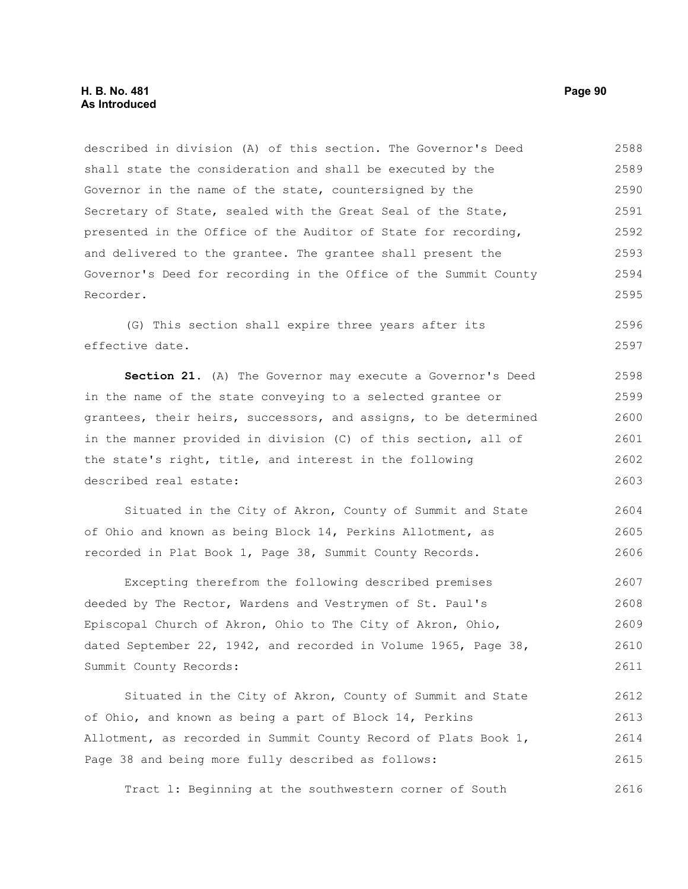described in division (A) of this section. The Governor's Deed shall state the consideration and shall be executed by the Governor in the name of the state, countersigned by the Secretary of State, sealed with the Great Seal of the State, presented in the Office of the Auditor of State for recording, and delivered to the grantee. The grantee shall present the Governor's Deed for recording in the Office of the Summit County Recorder. 2588 2589 2590 2591 2592 2593 2594 2595

(G) This section shall expire three years after its effective date. 2596 2597

**Section 21.** (A) The Governor may execute a Governor's Deed in the name of the state conveying to a selected grantee or grantees, their heirs, successors, and assigns, to be determined in the manner provided in division (C) of this section, all of the state's right, title, and interest in the following described real estate: 2598 2599 2600 2601 2602 2603

Situated in the City of Akron, County of Summit and State of Ohio and known as being Block 14, Perkins Allotment, as recorded in Plat Book 1, Page 38, Summit County Records. 2604 2605 2606

Excepting therefrom the following described premises deeded by The Rector, Wardens and Vestrymen of St. Paul's Episcopal Church of Akron, Ohio to The City of Akron, Ohio, dated September 22, 1942, and recorded in Volume 1965, Page 38, Summit County Records: 2607 2608 2609 2610 2611

Situated in the City of Akron, County of Summit and State of Ohio, and known as being a part of Block 14, Perkins Allotment, as recorded in Summit County Record of Plats Book 1, Page 38 and being more fully described as follows: 2612 2613 2614 2615

Tract l: Beginning at the southwestern corner of South 2616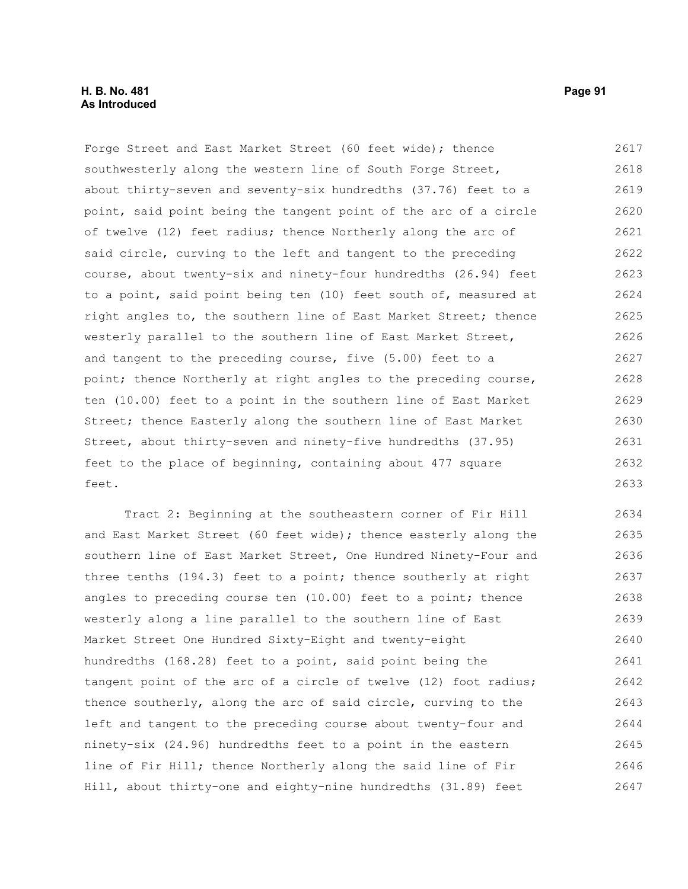Forge Street and East Market Street (60 feet wide); thence southwesterly along the western line of South Forge Street, about thirty-seven and seventy-six hundredths (37.76) feet to a point, said point being the tangent point of the arc of a circle of twelve (12) feet radius; thence Northerly along the arc of said circle, curving to the left and tangent to the preceding course, about twenty-six and ninety-four hundredths (26.94) feet to a point, said point being ten (10) feet south of, measured at right angles to, the southern line of East Market Street; thence westerly parallel to the southern line of East Market Street, and tangent to the preceding course, five (5.00) feet to a point; thence Northerly at right angles to the preceding course, ten (10.00) feet to a point in the southern line of East Market Street; thence Easterly along the southern line of East Market Street, about thirty-seven and ninety-five hundredths (37.95) feet to the place of beginning, containing about 477 square feet. 2617 2618 2619 2620 2621 2622 2623 2624 2625 2626 2627 2628 2629 2630 2631 2632 2633

Tract 2: Beginning at the southeastern corner of Fir Hill and East Market Street (60 feet wide); thence easterly along the southern line of East Market Street, One Hundred Ninety-Four and three tenths (194.3) feet to a point; thence southerly at right angles to preceding course ten (10.00) feet to a point; thence westerly along a line parallel to the southern line of East Market Street One Hundred Sixty-Eight and twenty-eight hundredths (168.28) feet to a point, said point being the tangent point of the arc of a circle of twelve (12) foot radius; thence southerly, along the arc of said circle, curving to the left and tangent to the preceding course about twenty-four and ninety-six (24.96) hundredths feet to a point in the eastern line of Fir Hill; thence Northerly along the said line of Fir Hill, about thirty-one and eighty-nine hundredths (31.89) feet 2634 2635 2636 2637 2638 2639 2640 2641 2642 2643 2644 2645 2646 2647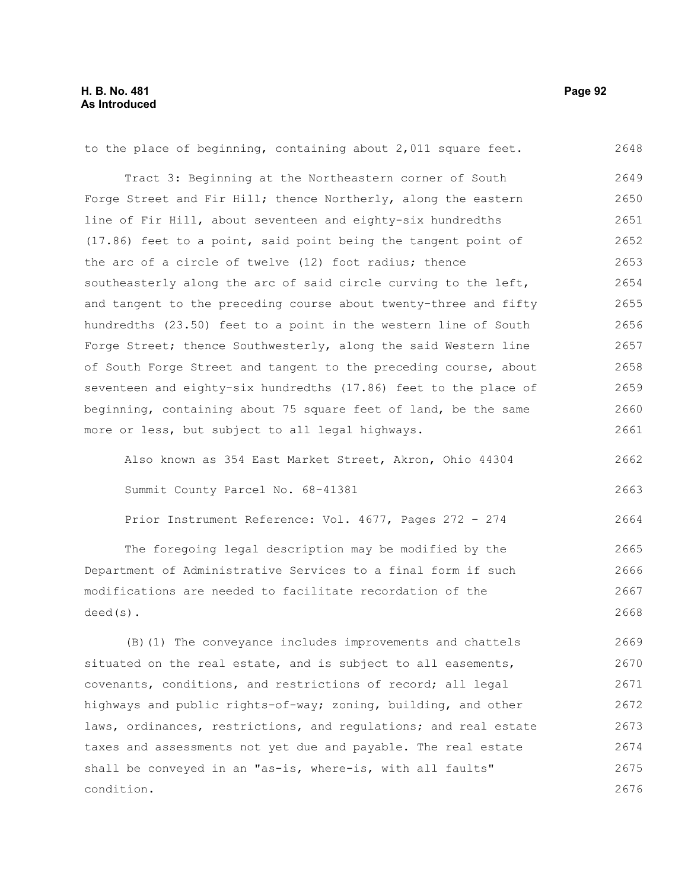to the place of beginning, containing about 2,011 square feet. Tract 3: Beginning at the Northeastern corner of South Forge Street and Fir Hill; thence Northerly, along the eastern line of Fir Hill, about seventeen and eighty-six hundredths (17.86) feet to a point, said point being the tangent point of the arc of a circle of twelve (12) foot radius; thence southeasterly along the arc of said circle curving to the left, and tangent to the preceding course about twenty-three and fifty hundredths (23.50) feet to a point in the western line of South Forge Street; thence Southwesterly, along the said Western line of South Forge Street and tangent to the preceding course, about seventeen and eighty-six hundredths (17.86) feet to the place of beginning, containing about 75 square feet of land, be the same more or less, but subject to all legal highways. Also known as 354 East Market Street, Akron, Ohio 44304 Summit County Parcel No. 68-41381 Prior Instrument Reference: Vol. 4677, Pages 272 – 274 2648 2649 2650 2651 2652 2653 2654 2655 2656 2657 2658 2659 2660 2661 2662 2663 2664

The foregoing legal description may be modified by the Department of Administrative Services to a final form if such modifications are needed to facilitate recordation of the deed(s). 2665 2666 2667 2668

(B)(1) The conveyance includes improvements and chattels situated on the real estate, and is subject to all easements, covenants, conditions, and restrictions of record; all legal highways and public rights-of-way; zoning, building, and other laws, ordinances, restrictions, and regulations; and real estate taxes and assessments not yet due and payable. The real estate shall be conveyed in an "as-is, where-is, with all faults" condition. 2669 2670 2671 2672 2673 2674 2675 2676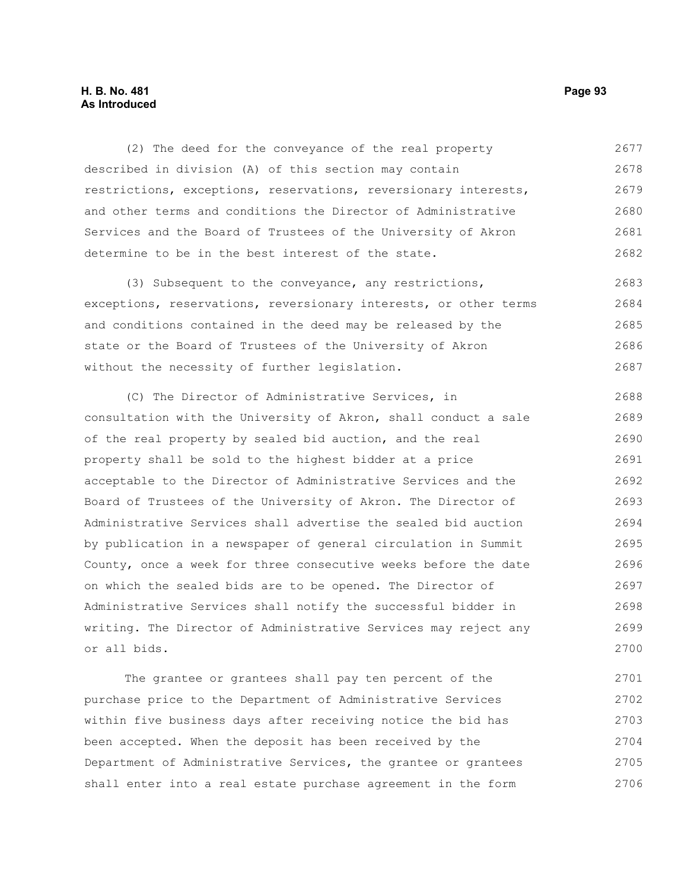# **H. B. No. 481 Page 93 As Introduced**

(2) The deed for the conveyance of the real property described in division (A) of this section may contain restrictions, exceptions, reservations, reversionary interests, and other terms and conditions the Director of Administrative Services and the Board of Trustees of the University of Akron determine to be in the best interest of the state. 2677 2678 2679 2680 2681 2682

(3) Subsequent to the conveyance, any restrictions, exceptions, reservations, reversionary interests, or other terms and conditions contained in the deed may be released by the state or the Board of Trustees of the University of Akron without the necessity of further legislation. 2683 2684 2685 2686 2687

(C) The Director of Administrative Services, in consultation with the University of Akron, shall conduct a sale of the real property by sealed bid auction, and the real property shall be sold to the highest bidder at a price acceptable to the Director of Administrative Services and the Board of Trustees of the University of Akron. The Director of Administrative Services shall advertise the sealed bid auction by publication in a newspaper of general circulation in Summit County, once a week for three consecutive weeks before the date on which the sealed bids are to be opened. The Director of Administrative Services shall notify the successful bidder in writing. The Director of Administrative Services may reject any or all bids. 2688 2689 2690 2691 2692 2693 2694 2695 2696 2697 2698 2699 2700

The grantee or grantees shall pay ten percent of the purchase price to the Department of Administrative Services within five business days after receiving notice the bid has been accepted. When the deposit has been received by the Department of Administrative Services, the grantee or grantees shall enter into a real estate purchase agreement in the form 2701 2702 2703 2704 2705 2706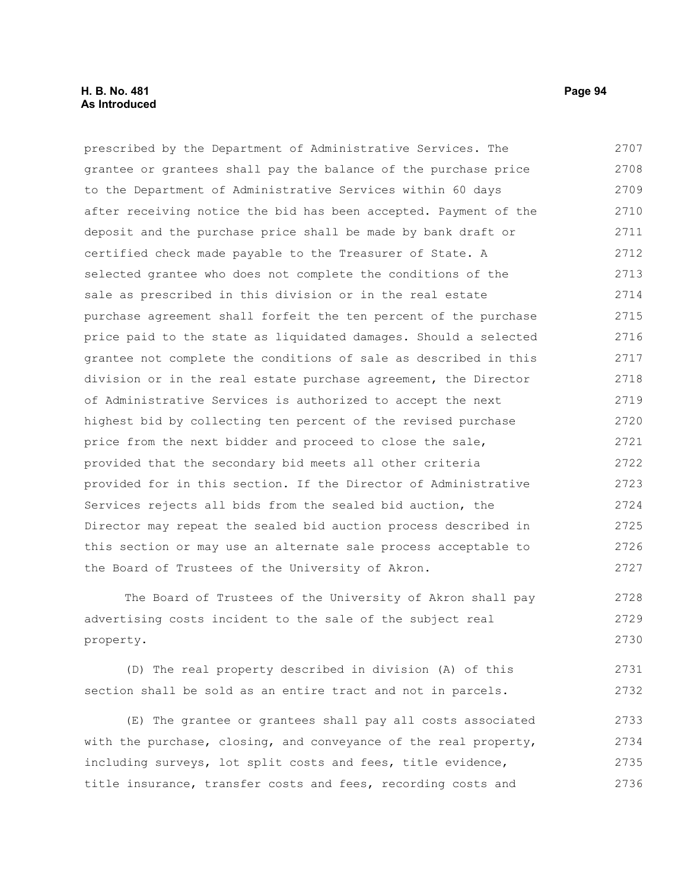# **H. B. No. 481 Page 94 As Introduced**

prescribed by the Department of Administrative Services. The grantee or grantees shall pay the balance of the purchase price to the Department of Administrative Services within 60 days after receiving notice the bid has been accepted. Payment of the deposit and the purchase price shall be made by bank draft or certified check made payable to the Treasurer of State. A selected grantee who does not complete the conditions of the sale as prescribed in this division or in the real estate purchase agreement shall forfeit the ten percent of the purchase price paid to the state as liquidated damages. Should a selected grantee not complete the conditions of sale as described in this division or in the real estate purchase agreement, the Director of Administrative Services is authorized to accept the next highest bid by collecting ten percent of the revised purchase price from the next bidder and proceed to close the sale, provided that the secondary bid meets all other criteria provided for in this section. If the Director of Administrative Services rejects all bids from the sealed bid auction, the Director may repeat the sealed bid auction process described in this section or may use an alternate sale process acceptable to the Board of Trustees of the University of Akron. 2707 2708 2709 2710 2711 2712 2713 2714 2715 2716 2717 2718 2719 2720 2721 2722 2723 2724 2725 2726 2727

The Board of Trustees of the University of Akron shall pay advertising costs incident to the sale of the subject real property. 2728 2729 2730

(D) The real property described in division (A) of this section shall be sold as an entire tract and not in parcels. 2731 2732

(E) The grantee or grantees shall pay all costs associated with the purchase, closing, and conveyance of the real property, including surveys, lot split costs and fees, title evidence, title insurance, transfer costs and fees, recording costs and 2733 2734 2735 2736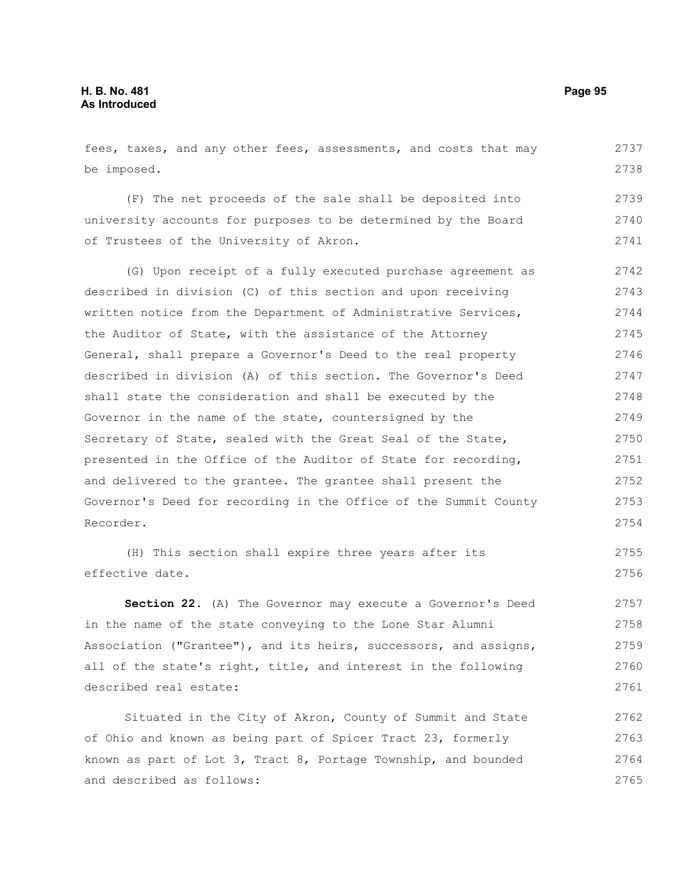fees, taxes, and any other fees, assessments, and costs that may be imposed. 2737 2738

(F) The net proceeds of the sale shall be deposited into university accounts for purposes to be determined by the Board of Trustees of the University of Akron. 2739 2740 2741

(G) Upon receipt of a fully executed purchase agreement as described in division (C) of this section and upon receiving written notice from the Department of Administrative Services, the Auditor of State, with the assistance of the Attorney General, shall prepare a Governor's Deed to the real property described in division (A) of this section. The Governor's Deed shall state the consideration and shall be executed by the Governor in the name of the state, countersigned by the Secretary of State, sealed with the Great Seal of the State, presented in the Office of the Auditor of State for recording, and delivered to the grantee. The grantee shall present the Governor's Deed for recording in the Office of the Summit County Recorder. 2742 2743 2744 2745 2746 2747 2748 2749 2750 2751 2752 2753 2754

(H) This section shall expire three years after its effective date. 2755 2756

**Section 22.** (A) The Governor may execute a Governor's Deed in the name of the state conveying to the Lone Star Alumni Association ("Grantee"), and its heirs, successors, and assigns, all of the state's right, title, and interest in the following described real estate: 2757 2758 2759 2760 2761

Situated in the City of Akron, County of Summit and State of Ohio and known as being part of Spicer Tract 23, formerly known as part of Lot 3, Tract 8, Portage Township, and bounded and described as follows: 2762 2763 2764 2765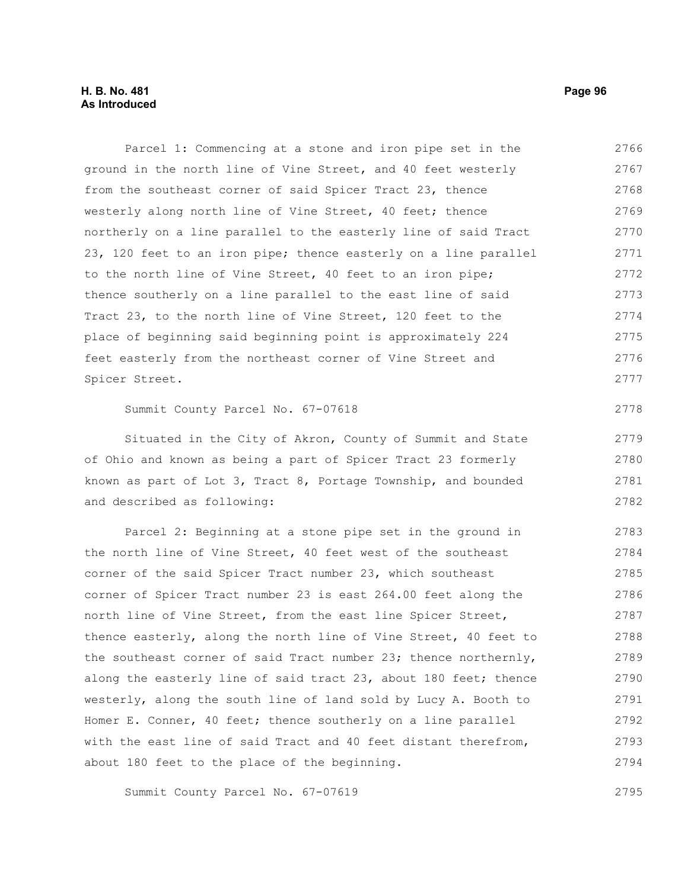# **H. B. No. 481 Page 96 As Introduced**

Parcel 1: Commencing at a stone and iron pipe set in the ground in the north line of Vine Street, and 40 feet westerly from the southeast corner of said Spicer Tract 23, thence westerly along north line of Vine Street, 40 feet; thence northerly on a line parallel to the easterly line of said Tract 23, 120 feet to an iron pipe; thence easterly on a line parallel to the north line of Vine Street, 40 feet to an iron pipe; thence southerly on a line parallel to the east line of said Tract 23, to the north line of Vine Street, 120 feet to the place of beginning said beginning point is approximately 224 feet easterly from the northeast corner of Vine Street and Spicer Street. Summit County Parcel No. 67-07618 Situated in the City of Akron, County of Summit and State of Ohio and known as being a part of Spicer Tract 23 formerly known as part of Lot 3, Tract 8, Portage Township, and bounded and described as following: Parcel 2: Beginning at a stone pipe set in the ground in the north line of Vine Street, 40 feet west of the southeast corner of the said Spicer Tract number 23, which southeast corner of Spicer Tract number 23 is east 264.00 feet along the north line of Vine Street, from the east line Spicer Street, thence easterly, along the north line of Vine Street, 40 feet to the southeast corner of said Tract number 23; thence northernly, along the easterly line of said tract 23, about 180 feet; thence westerly, along the south line of land sold by Lucy A. Booth to Homer E. Conner, 40 feet; thence southerly on a line parallel with the east line of said Tract and 40 feet distant therefrom, about 180 feet to the place of the beginning. 2766 2767 2768 2769 2770 2771 2772 2773 2774 2775 2776 2777 2778 2779 2780 2781 2782 2783 2784 2785 2786 2787 2788 2789 2790 2791 2792 2793 2794

Summit County Parcel No. 67-07619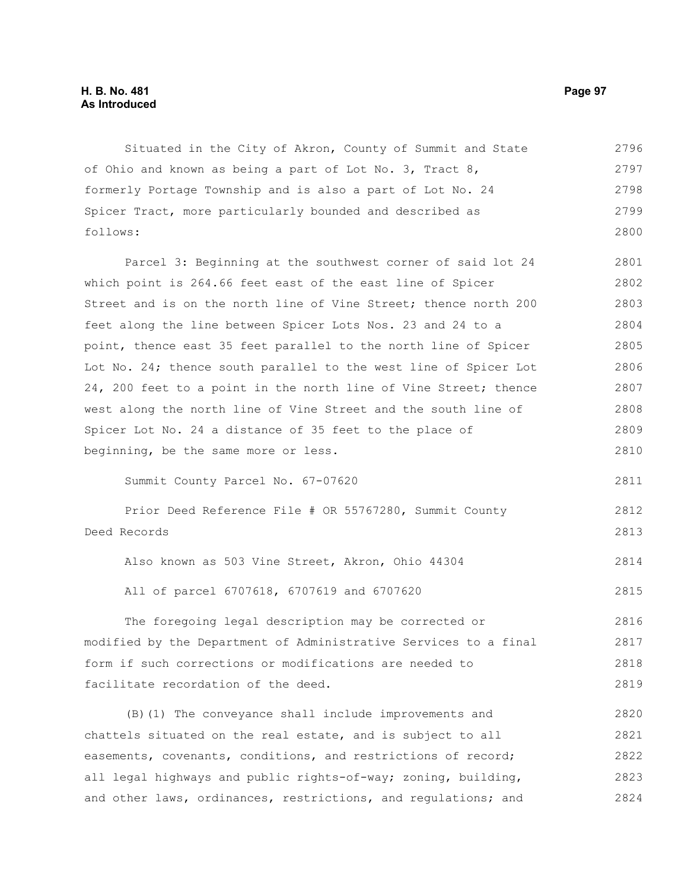# **H. B. No. 481 Page 97 As Introduced**

Situated in the City of Akron, County of Summit and State of Ohio and known as being a part of Lot No. 3, Tract 8, formerly Portage Township and is also a part of Lot No. 24 Spicer Tract, more particularly bounded and described as follows: 2796 2797 2798 2799 2800

Parcel 3: Beginning at the southwest corner of said lot 24 which point is 264.66 feet east of the east line of Spicer Street and is on the north line of Vine Street; thence north 200 feet along the line between Spicer Lots Nos. 23 and 24 to a point, thence east 35 feet parallel to the north line of Spicer Lot No. 24; thence south parallel to the west line of Spicer Lot 24, 200 feet to a point in the north line of Vine Street; thence west along the north line of Vine Street and the south line of Spicer Lot No. 24 a distance of 35 feet to the place of beginning, be the same more or less. 2801 2802 2803 2804 2805 2806 2807 2808 2809 2810

Summit County Parcel No. 67-07620

Prior Deed Reference File # OR 55767280, Summit County Deed Records 2812 2813

Also known as 503 Vine Street, Akron, Ohio 44304 2814

All of parcel 6707618, 6707619 and 6707620

The foregoing legal description may be corrected or modified by the Department of Administrative Services to a final form if such corrections or modifications are needed to facilitate recordation of the deed. 2816 2817 2818 2819

(B)(1) The conveyance shall include improvements and chattels situated on the real estate, and is subject to all easements, covenants, conditions, and restrictions of record; all legal highways and public rights-of-way; zoning, building, and other laws, ordinances, restrictions, and regulations; and 2820 2821 2822 2823 2824

2811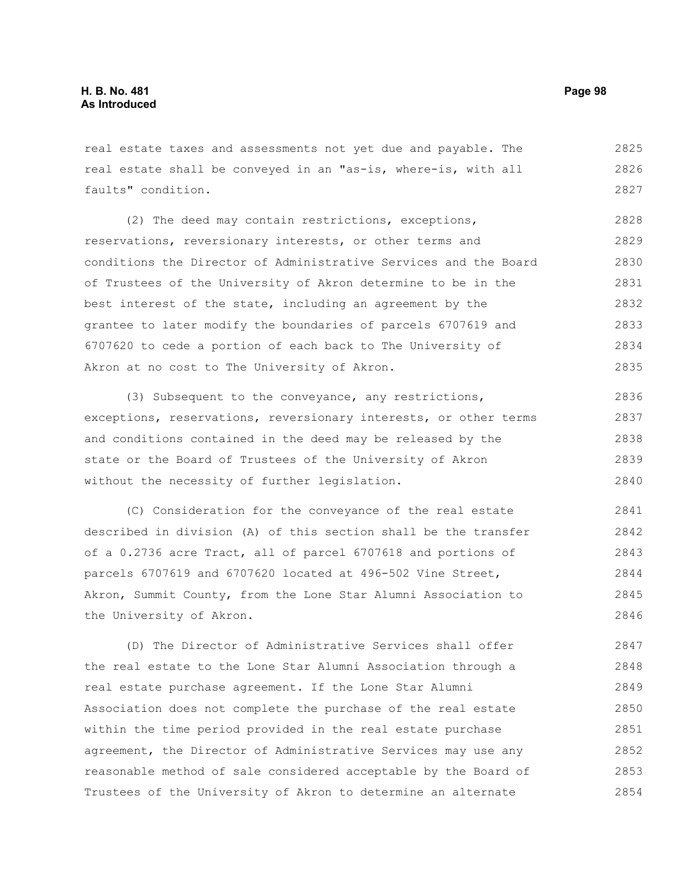real estate taxes and assessments not yet due and payable. The real estate shall be conveyed in an "as-is, where-is, with all faults" condition. 2825 2826 2827

(2) The deed may contain restrictions, exceptions, reservations, reversionary interests, or other terms and conditions the Director of Administrative Services and the Board of Trustees of the University of Akron determine to be in the best interest of the state, including an agreement by the grantee to later modify the boundaries of parcels 6707619 and 6707620 to cede a portion of each back to The University of Akron at no cost to The University of Akron. 2828 2829 2830 2831 2832 2833 2834 2835

(3) Subsequent to the conveyance, any restrictions, exceptions, reservations, reversionary interests, or other terms and conditions contained in the deed may be released by the state or the Board of Trustees of the University of Akron without the necessity of further legislation. 2836 2837 2838 2839 2840

(C) Consideration for the conveyance of the real estate described in division (A) of this section shall be the transfer of a 0.2736 acre Tract, all of parcel 6707618 and portions of parcels 6707619 and 6707620 located at 496-502 Vine Street, Akron, Summit County, from the Lone Star Alumni Association to the University of Akron. 2841 2842 2843 2844 2845 2846

(D) The Director of Administrative Services shall offer the real estate to the Lone Star Alumni Association through a real estate purchase agreement. If the Lone Star Alumni Association does not complete the purchase of the real estate within the time period provided in the real estate purchase agreement, the Director of Administrative Services may use any reasonable method of sale considered acceptable by the Board of Trustees of the University of Akron to determine an alternate 2847 2848 2849 2850 2851 2852 2853 2854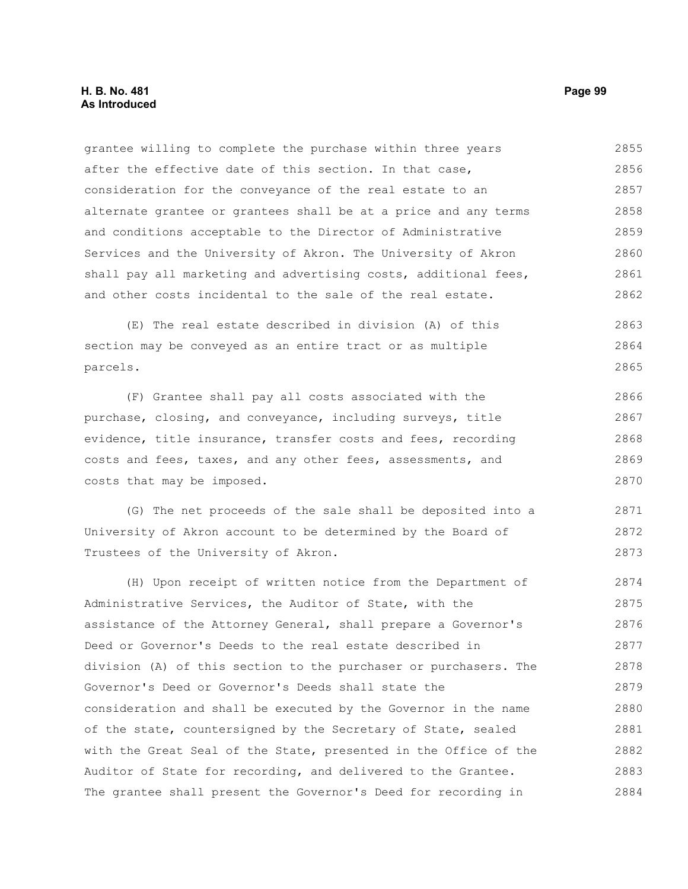### **H. B. No. 481 Page 99 As Introduced**

grantee willing to complete the purchase within three years after the effective date of this section. In that case, consideration for the conveyance of the real estate to an alternate grantee or grantees shall be at a price and any terms and conditions acceptable to the Director of Administrative Services and the University of Akron. The University of Akron shall pay all marketing and advertising costs, additional fees, and other costs incidental to the sale of the real estate. 2855 2856 2857 2858 2859 2860 2861 2862

(E) The real estate described in division (A) of this section may be conveyed as an entire tract or as multiple parcels. 2863 2864 2865

(F) Grantee shall pay all costs associated with the purchase, closing, and conveyance, including surveys, title evidence, title insurance, transfer costs and fees, recording costs and fees, taxes, and any other fees, assessments, and costs that may be imposed. 2866 2867 2868 2869 2870

(G) The net proceeds of the sale shall be deposited into a University of Akron account to be determined by the Board of Trustees of the University of Akron. 2871 2872

(H) Upon receipt of written notice from the Department of Administrative Services, the Auditor of State, with the assistance of the Attorney General, shall prepare a Governor's Deed or Governor's Deeds to the real estate described in division (A) of this section to the purchaser or purchasers. The Governor's Deed or Governor's Deeds shall state the consideration and shall be executed by the Governor in the name of the state, countersigned by the Secretary of State, sealed with the Great Seal of the State, presented in the Office of the Auditor of State for recording, and delivered to the Grantee. The grantee shall present the Governor's Deed for recording in 2874 2875 2876 2877 2878 2879 2880 2881 2882 2883 2884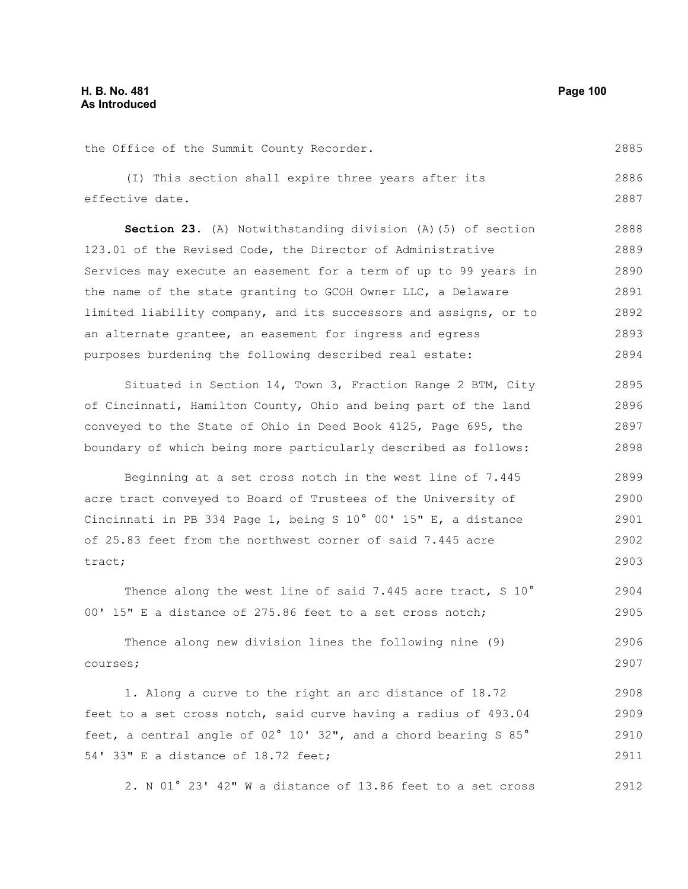| the Office of the Summit County Recorder.                        | 2885 |
|------------------------------------------------------------------|------|
| (I) This section shall expire three years after its              | 2886 |
| effective date.                                                  | 2887 |
| Section 23. (A) Notwithstanding division (A) (5) of section      | 2888 |
| 123.01 of the Revised Code, the Director of Administrative       | 2889 |
| Services may execute an easement for a term of up to 99 years in | 2890 |
| the name of the state granting to GCOH Owner LLC, a Delaware     | 2891 |
| limited liability company, and its successors and assigns, or to | 2892 |
| an alternate grantee, an easement for ingress and egress         | 2893 |
| purposes burdening the following described real estate:          | 2894 |
| Situated in Section 14, Town 3, Fraction Range 2 BTM, City       | 2895 |
| of Cincinnati, Hamilton County, Ohio and being part of the land  | 2896 |
| conveyed to the State of Ohio in Deed Book 4125, Page 695, the   | 2897 |
| boundary of which being more particularly described as follows:  | 2898 |
| Beginning at a set cross notch in the west line of 7.445         | 2899 |
| acre tract conveyed to Board of Trustees of the University of    | 2900 |
| Cincinnati in PB 334 Page 1, being S 10° 00' 15" E, a distance   | 2901 |
| of 25.83 feet from the northwest corner of said 7.445 acre       | 2902 |
| tract;                                                           | 2903 |
| Thence along the west line of said 7.445 acre tract, S 10°       | 2904 |
| 00' 15" E a distance of 275.86 feet to a set cross notch;        | 2905 |
| Thence along new division lines the following nine (9)           | 2906 |
| courses;                                                         | 2907 |
| 1. Along a curve to the right an arc distance of 18.72           | 2908 |
| feet to a set cross notch, said curve having a radius of 493.04  | 2909 |
| feet, a central angle of 02° 10' 32", and a chord bearing S 85°  | 2910 |
| 54' 33" E a distance of 18.72 feet;                              | 2911 |
| 2. N 01° 23' 42" W a distance of 13.86 feet to a set cross       | 2912 |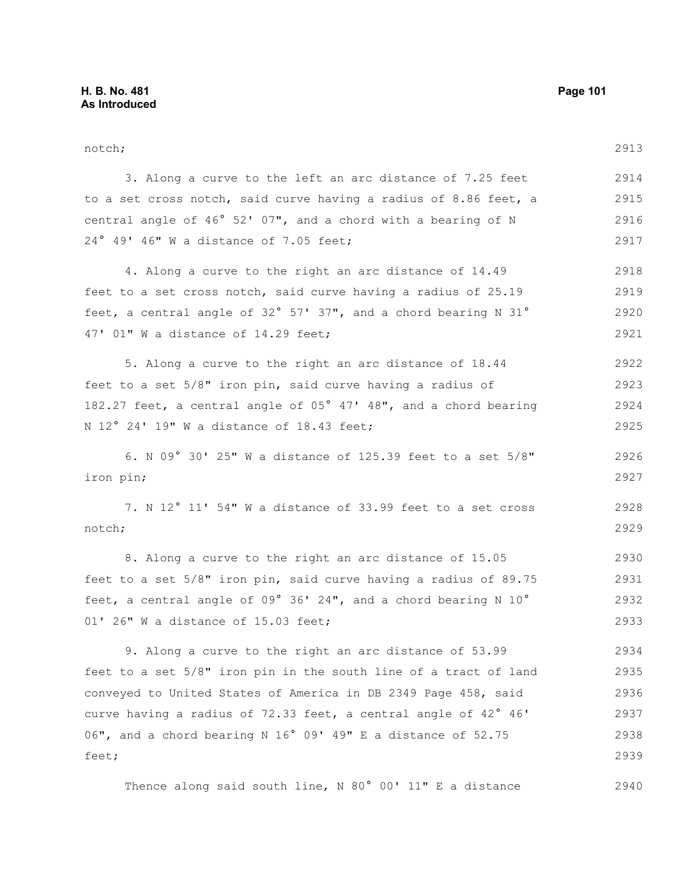notch; 3. Along a curve to the left an arc distance of 7.25 feet to a set cross notch, said curve having a radius of 8.86 feet, a central angle of 46° 52' 07", and a chord with a bearing of N 24° 49' 46" W a distance of 7.05 feet; 4. Along a curve to the right an arc distance of 14.49 feet to a set cross notch, said curve having a radius of 25.19 feet, a central angle of 32° 57' 37", and a chord bearing N 31° 47' 01" W a distance of 14.29 feet; 5. Along a curve to the right an arc distance of 18.44 feet to a set 5/8" iron pin, said curve having a radius of 182.27 feet, a central angle of 05° 47' 48", and a chord bearing N 12° 24' 19" W a distance of 18.43 feet; 6. N 09° 30' 25" W a distance of 125.39 feet to a set 5/8" iron pin; 7. N 12° 11' 54" W a distance of 33.99 feet to a set cross notch; 8. Along a curve to the right an arc distance of 15.05 feet to a set 5/8" iron pin, said curve having a radius of 89.75 feet, a central angle of 09° 36' 24", and a chord bearing N 10° 01' 26" W a distance of 15.03 feet; 9. Along a curve to the right an arc distance of 53.99 feet to a set 5/8" iron pin in the south line of a tract of land conveyed to United States of America in DB 2349 Page 458, said curve having a radius of 72.33 feet, a central angle of 42° 46' 2913 2914 2915 2916 2917 2918 2919 2920 2921 2922 2923 2924 2925 2926 2927 2928 2929 2930 2931 2932 2933 2934 2935 2936 2937

06", and a chord bearing N 16° 09' 49" E a distance of 52.75 feet;

Thence along said south line, N 80° 00' 11" E a distance 2940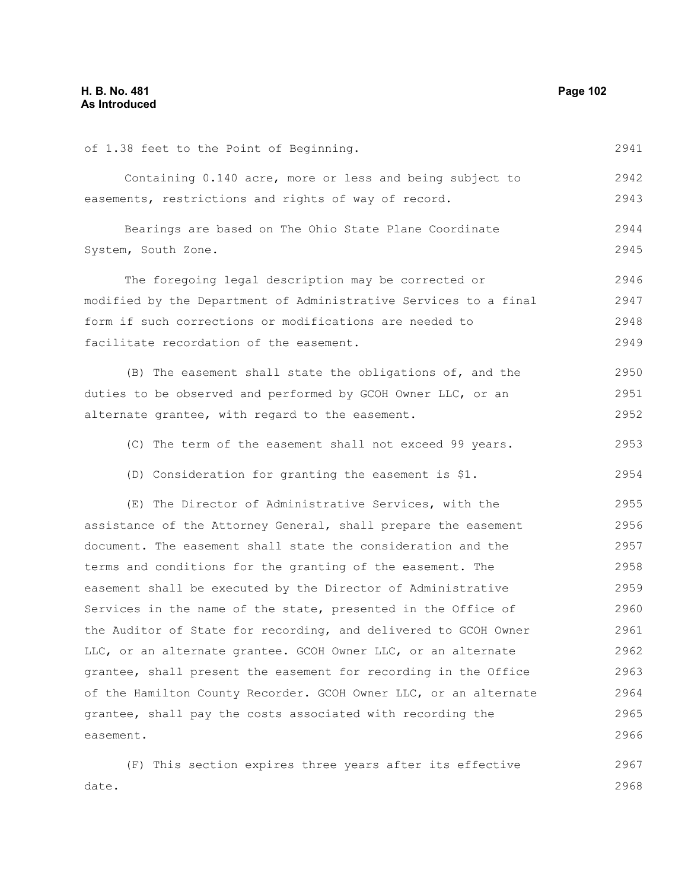| of 1.38 feet to the Point of Beginning.                          | 2941 |
|------------------------------------------------------------------|------|
| Containing 0.140 acre, more or less and being subject to         | 2942 |
| easements, restrictions and rights of way of record.             | 2943 |
| Bearings are based on The Ohio State Plane Coordinate            | 2944 |
| System, South Zone.                                              | 2945 |
| The foregoing legal description may be corrected or              | 2946 |
| modified by the Department of Administrative Services to a final | 2947 |
| form if such corrections or modifications are needed to          | 2948 |
| facilitate recordation of the easement.                          | 2949 |
| (B) The easement shall state the obligations of, and the         | 2950 |
| duties to be observed and performed by GCOH Owner LLC, or an     | 2951 |
| alternate grantee, with regard to the easement.                  | 2952 |
| (C) The term of the easement shall not exceed 99 years.          | 2953 |
| (D) Consideration for granting the easement is \$1.              | 2954 |
| (E) The Director of Administrative Services, with the            | 2955 |
| assistance of the Attorney General, shall prepare the easement   | 2956 |
| document. The easement shall state the consideration and the     | 2957 |
| terms and conditions for the granting of the easement. The       | 2958 |
| easement shall be executed by the Director of Administrative     | 2959 |
| Services in the name of the state, presented in the Office of    | 2960 |
| the Auditor of State for recording, and delivered to GCOH Owner  | 2961 |
| LLC, or an alternate grantee. GCOH Owner LLC, or an alternate    | 2962 |
| grantee, shall present the easement for recording in the Office  | 2963 |
| of the Hamilton County Recorder. GCOH Owner LLC, or an alternate | 2964 |
| grantee, shall pay the costs associated with recording the       | 2965 |
| easement.                                                        | 2966 |
| (F) This section expires three years after its effective         | 2967 |
| date.                                                            | 2968 |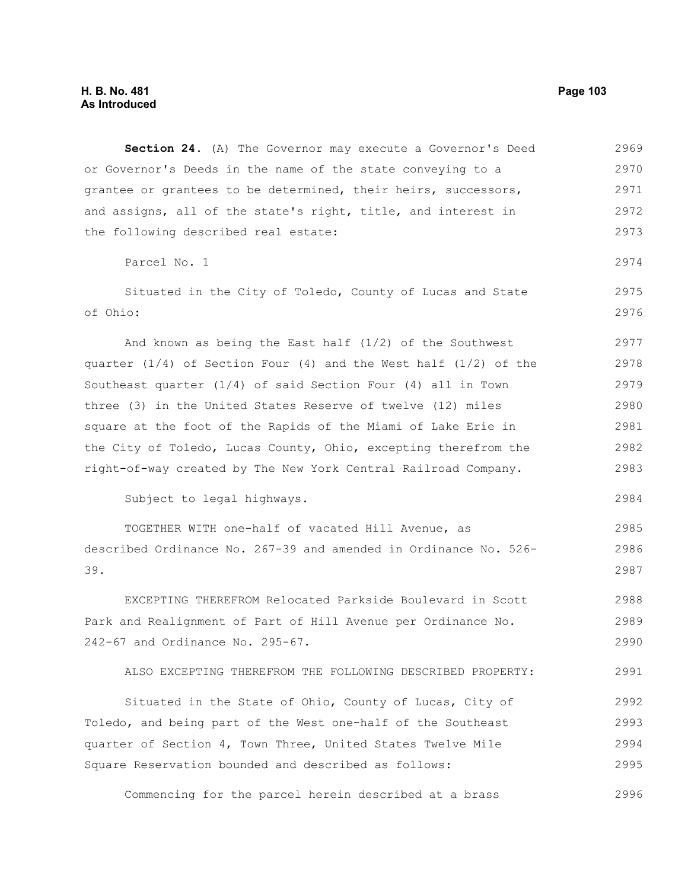**Section 24.** (A) The Governor may execute a Governor's Deed or Governor's Deeds in the name of the state conveying to a grantee or grantees to be determined, their heirs, successors, and assigns, all of the state's right, title, and interest in the following described real estate: Parcel No. 1 Situated in the City of Toledo, County of Lucas and State of Ohio: And known as being the East half (1/2) of the Southwest quarter  $(1/4)$  of Section Four  $(4)$  and the West half  $(1/2)$  of the Southeast quarter (1/4) of said Section Four (4) all in Town three (3) in the United States Reserve of twelve (12) miles square at the foot of the Rapids of the Miami of Lake Erie in the City of Toledo, Lucas County, Ohio, excepting therefrom the right-of-way created by The New York Central Railroad Company. Subject to legal highways. TOGETHER WITH one-half of vacated Hill Avenue, as described Ordinance No. 267-39 and amended in Ordinance No. 526- 39. EXCEPTING THEREFROM Relocated Parkside Boulevard in Scott Park and Realignment of Part of Hill Avenue per Ordinance No. 242-67 and Ordinance No. 295-67. ALSO EXCEPTING THEREFROM THE FOLLOWING DESCRIBED PROPERTY: Situated in the State of Ohio, County of Lucas, City of 2969 2970 2971 2972 2973 2974 2975 2976 2977 2978 2979 2980 2981 2982 2983 2984 2985 2986 2987 2988 2989 2990 2991 2992 2993

Toledo, and being part of the West one-half of the Southeast quarter of Section 4, Town Three, United States Twelve Mile Square Reservation bounded and described as follows: 2994 2995

Commencing for the parcel herein described at a brass 2996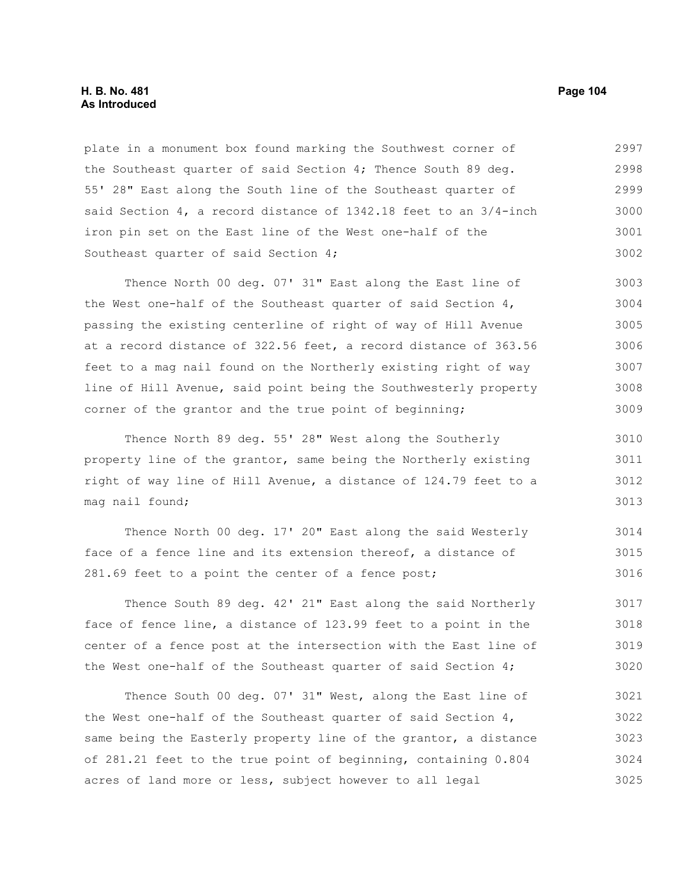#### **H. B. No. 481 Page 104 As Introduced**

plate in a monument box found marking the Southwest corner of the Southeast quarter of said Section 4; Thence South 89 deg. 55' 28" East along the South line of the Southeast quarter of said Section 4, a record distance of 1342.18 feet to an 3/4-inch iron pin set on the East line of the West one-half of the Southeast quarter of said Section 4; 2997 2998 2999 3000 3001 3002

Thence North 00 deg. 07' 31" East along the East line of the West one-half of the Southeast quarter of said Section 4, passing the existing centerline of right of way of Hill Avenue at a record distance of 322.56 feet, a record distance of 363.56 feet to a mag nail found on the Northerly existing right of way line of Hill Avenue, said point being the Southwesterly property corner of the grantor and the true point of beginning; 3003 3004 3005 3006 3007 3008 3009

Thence North 89 deg. 55' 28" West along the Southerly property line of the grantor, same being the Northerly existing right of way line of Hill Avenue, a distance of 124.79 feet to a mag nail found; 3010 3011 3012 3013

Thence North 00 deg. 17' 20" East along the said Westerly face of a fence line and its extension thereof, a distance of 281.69 feet to a point the center of a fence post; 3014 3015 3016

Thence South 89 deg. 42' 21" East along the said Northerly face of fence line, a distance of 123.99 feet to a point in the center of a fence post at the intersection with the East line of the West one-half of the Southeast quarter of said Section 4; 3017 3018 3019 3020

Thence South 00 deg. 07' 31" West, along the East line of the West one-half of the Southeast quarter of said Section 4, same being the Easterly property line of the grantor, a distance of 281.21 feet to the true point of beginning, containing 0.804 acres of land more or less, subject however to all legal 3021 3022 3023 3024 3025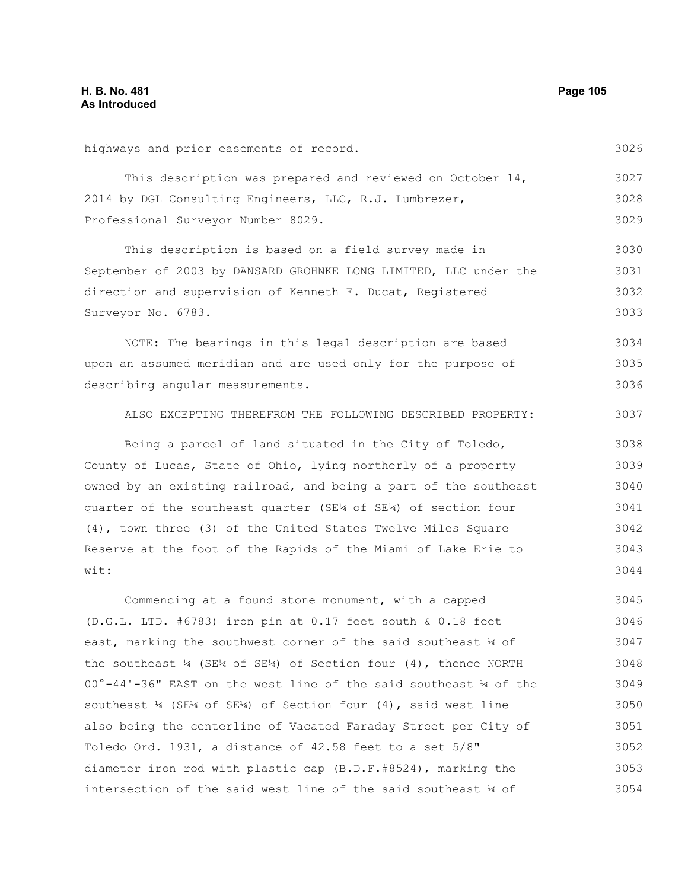| highways and prior easements of record.                                                                  | 3026 |
|----------------------------------------------------------------------------------------------------------|------|
| This description was prepared and reviewed on October 14,                                                | 3027 |
| 2014 by DGL Consulting Engineers, LLC, R.J. Lumbrezer,                                                   | 3028 |
| Professional Surveyor Number 8029.                                                                       | 3029 |
| This description is based on a field survey made in                                                      | 3030 |
| September of 2003 by DANSARD GROHNKE LONG LIMITED, LLC under the                                         | 3031 |
| direction and supervision of Kenneth E. Ducat, Registered                                                | 3032 |
| Surveyor No. 6783.                                                                                       | 3033 |
| NOTE: The bearings in this legal description are based                                                   | 3034 |
| upon an assumed meridian and are used only for the purpose of                                            | 3035 |
| describing angular measurements.                                                                         | 3036 |
| ALSO EXCEPTING THEREFROM THE FOLLOWING DESCRIBED PROPERTY:                                               | 3037 |
| Being a parcel of land situated in the City of Toledo,                                                   | 3038 |
| County of Lucas, State of Ohio, lying northerly of a property                                            | 3039 |
| owned by an existing railroad, and being a part of the southeast                                         | 3040 |
| quarter of the southeast quarter (SE14 of SE14) of section four                                          | 3041 |
| (4), town three (3) of the United States Twelve Miles Square                                             | 3042 |
| Reserve at the foot of the Rapids of the Miami of Lake Erie to                                           | 3043 |
| wit:                                                                                                     | 3044 |
| Commencing at a found stone monument, with a capped                                                      | 3045 |
| $(D.G.L. LTD. #6783)$ iron pin at 0.17 feet south & 0.18 feet                                            | 3046 |
| east, marking the southwest corner of the said southeast 4 of                                            | 3047 |
| the southeast $\frac{1}{4}$ (SE <sup>14</sup> 1 of SE <sup>14</sup> 1) of Section four (4), thence NORTH | 3048 |
| 00°-44'-36" EAST on the west line of the said southeast 14 of the                                        | 3049 |
| southeast $\frac{1}{4}$ (SE <sup>1</sup> 4 of SE <sup>14</sup> ) of Section four (4), said west line     | 3050 |
| also being the centerline of Vacated Faraday Street per City of                                          | 3051 |
| Toledo Ord. 1931, a distance of $42.58$ feet to a set $5/8"$                                             | 3052 |
| diameter iron rod with plastic cap (B.D.F.#8524), marking the                                            | 3053 |

intersection of the said west line of the said southeast ¼ of 3054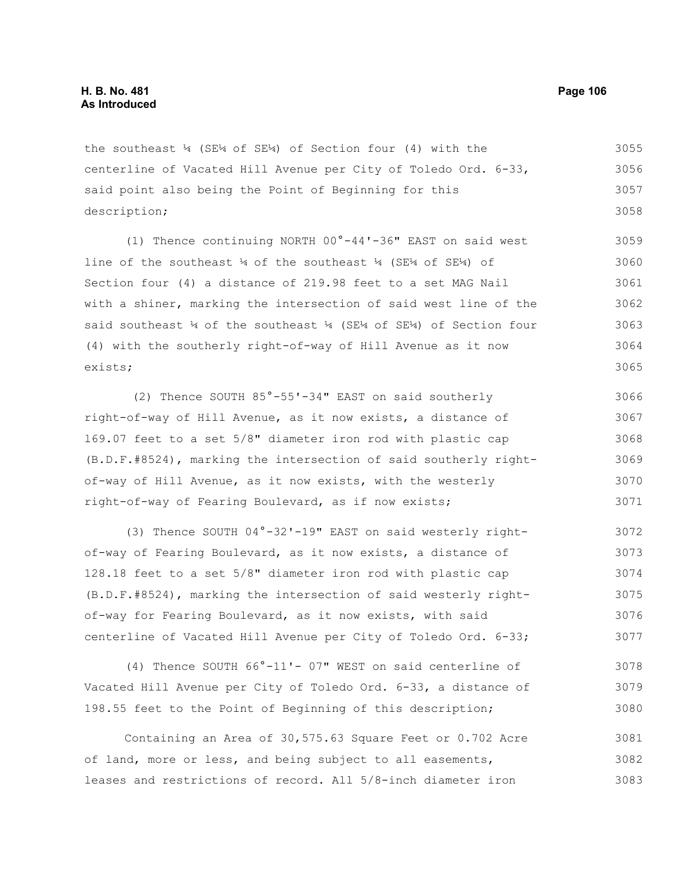the southeast ¼ (SE¼ of SE¼) of Section four (4) with the centerline of Vacated Hill Avenue per City of Toledo Ord. 6-33, said point also being the Point of Beginning for this description; 3055 3056 3057 3058

(1) Thence continuing NORTH 00°-44'-36" EAST on said west line of the southeast ¼ of the southeast ¼ (SE¼ of SE¼) of Section four (4) a distance of 219.98 feet to a set MAG Nail with a shiner, marking the intersection of said west line of the said southeast  $\frac{1}{4}$  of the southeast  $\frac{1}{4}$  (SE $\frac{1}{4}$  of Section four (4) with the southerly right-of-way of Hill Avenue as it now exists; 3059 3060 3061 3062 3063 3064 3065

(2) Thence SOUTH 85°-55'-34" EAST on said southerly right-of-way of Hill Avenue, as it now exists, a distance of l69.07 feet to a set 5/8" diameter iron rod with plastic cap (B.D.F.#8524), marking the intersection of said southerly rightof-way of Hill Avenue, as it now exists, with the westerly right-of-way of Fearing Boulevard, as if now exists; 3066 3067 3068 3069 3070 3071

(3) Thence SOUTH 04°-32'-19" EAST on said westerly rightof-way of Fearing Boulevard, as it now exists, a distance of 128.18 feet to a set 5/8" diameter iron rod with plastic cap (B.D.F.#8524), marking the intersection of said westerly rightof-way for Fearing Boulevard, as it now exists, with said centerline of Vacated Hill Avenue per City of Toledo Ord. 6-33; 3072 3073 3074 3075 3076 3077

(4) Thence SOUTH 66°-11'- 07" WEST on said centerline of Vacated Hill Avenue per City of Toledo Ord. 6-33, a distance of 198.55 feet to the Point of Beginning of this description; 3078 3079 3080

Containing an Area of 30,575.63 Square Feet or 0.702 Acre of land, more or less, and being subject to all easements, leases and restrictions of record. All 5/8-inch diameter iron 3081 3082 3083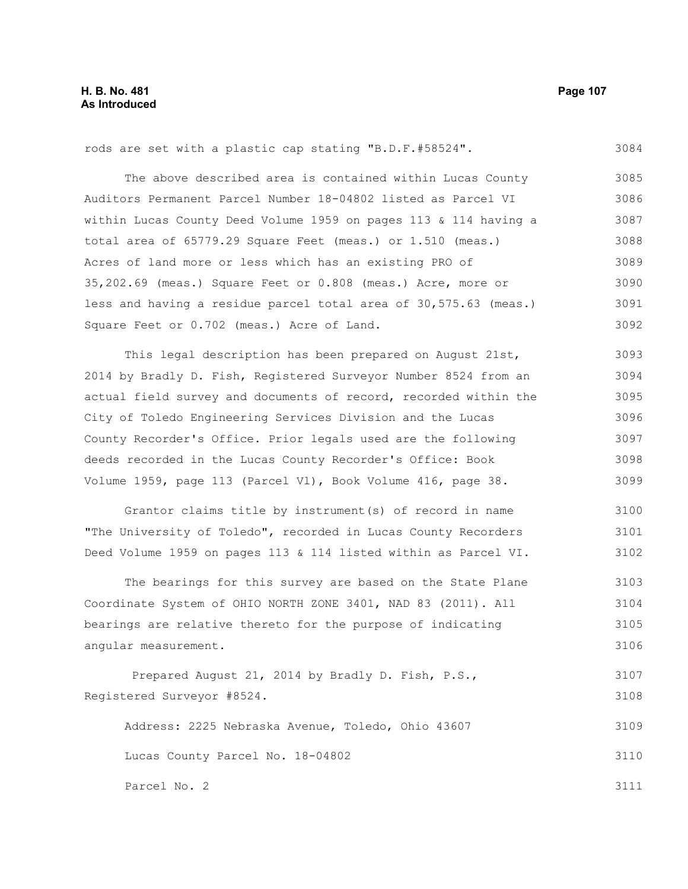#### rods are set with a plastic cap stating "B.D.F.#58524". The above described area is contained within Lucas County Auditors Permanent Parcel Number 18-04802 listed as Parcel VI within Lucas County Deed Volume 1959 on pages 113 & 114 having a total area of 65779.29 Square Feet (meas.) or 1.510 (meas.) Acres of land more or less which has an existing PRO of 35,202.69 (meas.) Square Feet or 0.808 (meas.) Acre, more or less and having a residue parcel total area of 30,575.63 (meas.) Square Feet or 0.702 (meas.) Acre of Land. 3084 3085 3086 3087 3088 3089 3090 3091 3092

This legal description has been prepared on August 21st, 2014 by Bradly D. Fish, Registered Surveyor Number 8524 from an actual field survey and documents of record, recorded within the City of Toledo Engineering Services Division and the Lucas County Recorder's Office. Prior legals used are the following deeds recorded in the Lucas County Recorder's Office: Book Volume 1959, page 113 (Parcel Vl), Book Volume 416, page 38. 3093 3094 3095 3096 3097 3098 3099

Grantor claims title by instrument(s) of record in name "The University of Toledo", recorded in Lucas County Recorders Deed Volume 1959 on pages 113 & 114 listed within as Parcel VI. 3100 3101 3102

The bearings for this survey are based on the State Plane Coordinate System of OHIO NORTH ZONE 3401, NAD 83 (2011). All bearings are relative thereto for the purpose of indicating angular measurement. 3103 3104 3105 3106

```
Prepared August 21, 2014 by Bradly D. Fish, P.S.,
Registered Surveyor #8524. 
                                                                             3107
                                                                             3108
```
Address: 2225 Nebraska Avenue, Toledo, Ohio 43607 Lucas County Parcel No. 18-04802 3109 3110

Parcel No. 2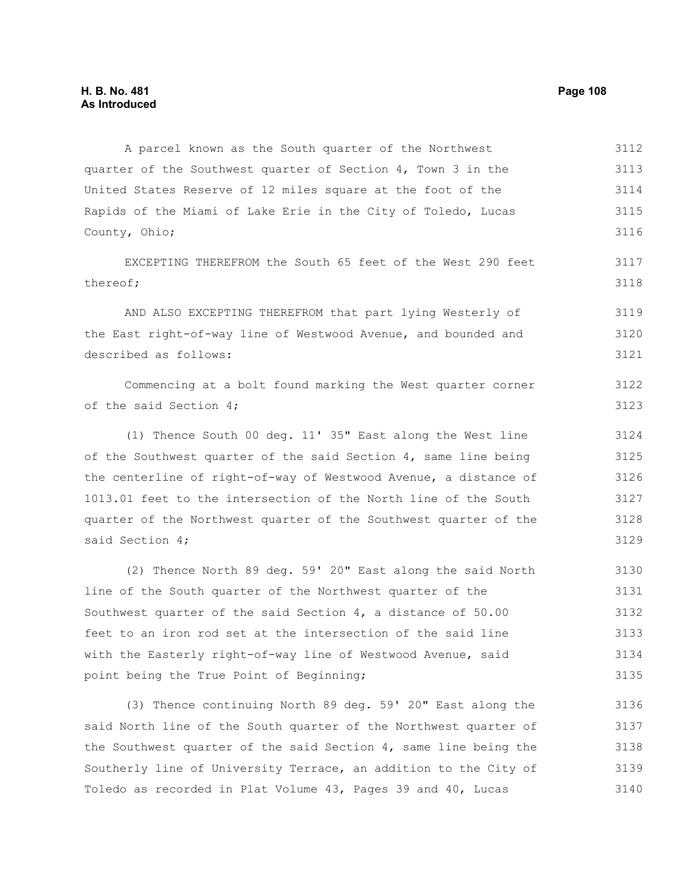A parcel known as the South quarter of the Northwest quarter of the Southwest quarter of Section 4, Town 3 in the United States Reserve of 12 miles square at the foot of the Rapids of the Miami of Lake Erie in the City of Toledo, Lucas County, Ohio; 3112 3113 3114 3115 3116

EXCEPTING THEREFROM the South 65 feet of the West 290 feet thereof;

AND ALSO EXCEPTING THEREFROM that part lying Westerly of the East right-of-way line of Westwood Avenue, and bounded and described as follows: 3119 3120 3121

Commencing at a bolt found marking the West quarter corner of the said Section 4; 3122 3123

(1) Thence South 00 deg. 11' 35" East along the West line of the Southwest quarter of the said Section 4, same line being the centerline of right-of-way of Westwood Avenue, a distance of 1013.01 feet to the intersection of the North line of the South quarter of the Northwest quarter of the Southwest quarter of the said Section 4; 3124 3125 3126 3127 3128 3129

(2) Thence North 89 deg. 59' 20" East along the said North line of the South quarter of the Northwest quarter of the Southwest quarter of the said Section 4, a distance of 50.00 feet to an iron rod set at the intersection of the said line with the Easterly right-of-way line of Westwood Avenue, said point being the True Point of Beginning; 3130 3131 3132 3133 3134 3135

(3) Thence continuing North 89 deg. 59' 20" East along the said North line of the South quarter of the Northwest quarter of the Southwest quarter of the said Section 4, same line being the Southerly line of University Terrace, an addition to the City of Toledo as recorded in Plat Volume 43, Pages 39 and 40, Lucas 3136 3137 3138 3139 3140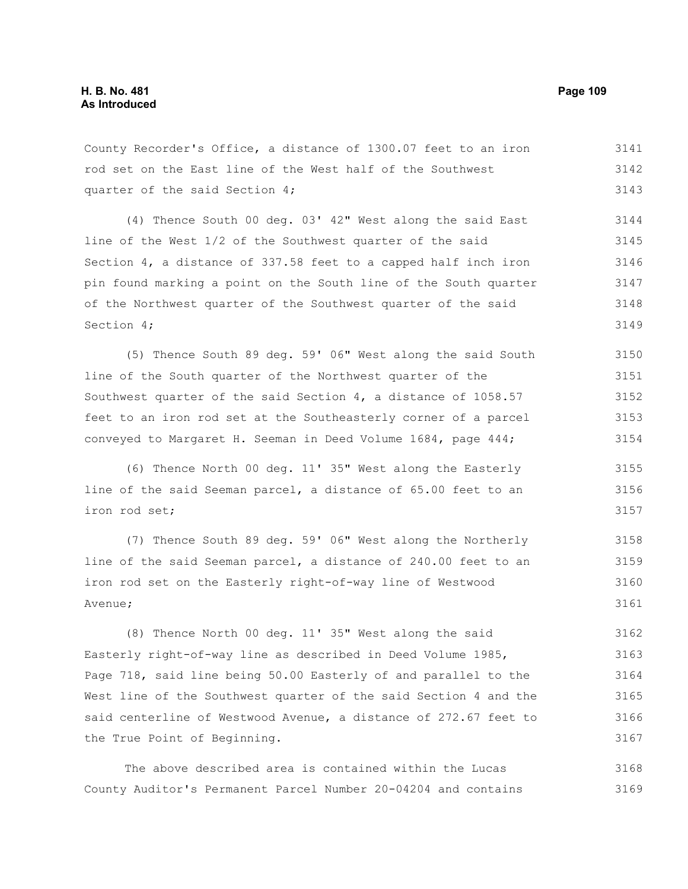County Recorder's Office, a distance of 1300.07 feet to an iron rod set on the East line of the West half of the Southwest quarter of the said Section 4; 3141 3142 3143

(4) Thence South 00 deg. 03' 42" West along the said East line of the West 1/2 of the Southwest quarter of the said Section 4, a distance of 337.58 feet to a capped half inch iron pin found marking a point on the South line of the South quarter of the Northwest quarter of the Southwest quarter of the said Section 4; 3144 3145 3146 3147 3148 3149

(5) Thence South 89 deg. 59' 06" West along the said South line of the South quarter of the Northwest quarter of the Southwest quarter of the said Section 4, a distance of 1058.57 feet to an iron rod set at the Southeasterly corner of a parcel conveyed to Margaret H. Seeman in Deed Volume 1684, page 444; 3150 3151 3152 3153 3154

(6) Thence North 00 deg. 11' 35" West along the Easterly line of the said Seeman parcel, a distance of 65.00 feet to an iron rod set; 3155 3156 3157

(7) Thence South 89 deg. 59' 06" West along the Northerly line of the said Seeman parcel, a distance of 240.00 feet to an iron rod set on the Easterly right-of-way line of Westwood Avenue; 3158 3159 3160 3161

(8) Thence North 00 deg. 11' 35" West along the said Easterly right-of-way line as described in Deed Volume 1985, Page 718, said line being 50.00 Easterly of and parallel to the West line of the Southwest quarter of the said Section 4 and the said centerline of Westwood Avenue, a distance of 272.67 feet to the True Point of Beginning. 3162 3163 3164 3165 3166 3167

The above described area is contained within the Lucas County Auditor's Permanent Parcel Number 20-04204 and contains 3168 3169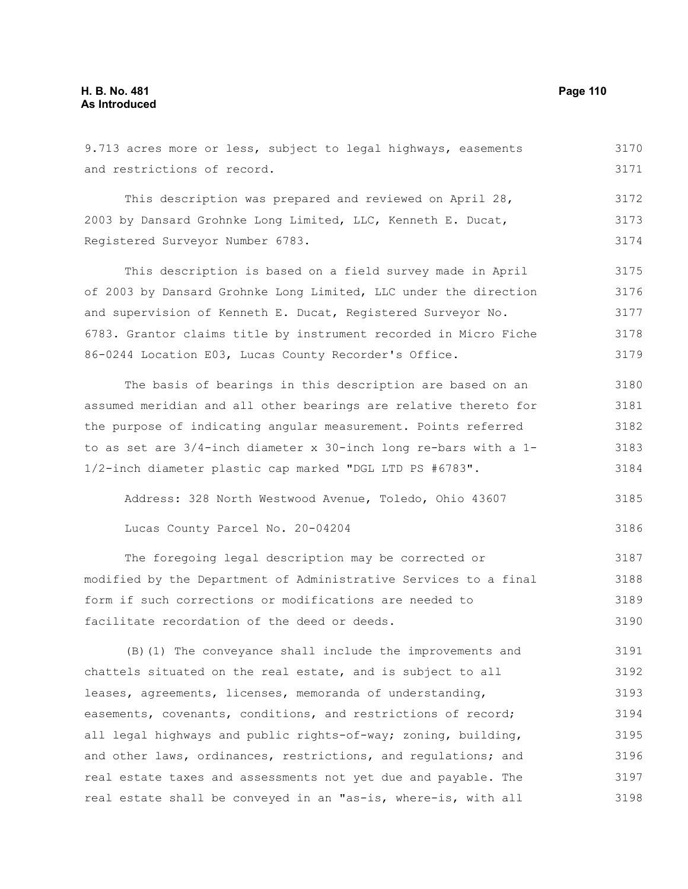and restrictions of record.

9.713 acres more or less, subject to legal highways, easements

This description was prepared and reviewed on April 28, 2003 by Dansard Grohnke Long Limited, LLC, Kenneth E. Ducat, Registered Surveyor Number 6783. 3172 3173 3174

This description is based on a field survey made in April of 2003 by Dansard Grohnke Long Limited, LLC under the direction and supervision of Kenneth E. Ducat, Registered Surveyor No. 6783. Grantor claims title by instrument recorded in Micro Fiche 86-0244 Location E03, Lucas County Recorder's Office. 3175 3176 3177 3178 3179

The basis of bearings in this description are based on an assumed meridian and all other bearings are relative thereto for the purpose of indicating angular measurement. Points referred to as set are 3/4-inch diameter x 30-inch long re-bars with a 1- 1/2-inch diameter plastic cap marked "DGL LTD PS #6783". 3180 3181 3182 3183 3184

Address: 328 North Westwood Avenue, Toledo, Ohio 43607 3185

```
Lucas County Parcel No. 20-04204
```
The foregoing legal description may be corrected or modified by the Department of Administrative Services to a final form if such corrections or modifications are needed to facilitate recordation of the deed or deeds. 3187 3188 3189 3190

(B)(1) The conveyance shall include the improvements and chattels situated on the real estate, and is subject to all leases, agreements, licenses, memoranda of understanding, easements, covenants, conditions, and restrictions of record; all legal highways and public rights-of-way; zoning, building, and other laws, ordinances, restrictions, and regulations; and real estate taxes and assessments not yet due and payable. The real estate shall be conveyed in an "as-is, where-is, with all 3191 3192 3193 3194 3195 3196 3197 3198

3170 3171

3186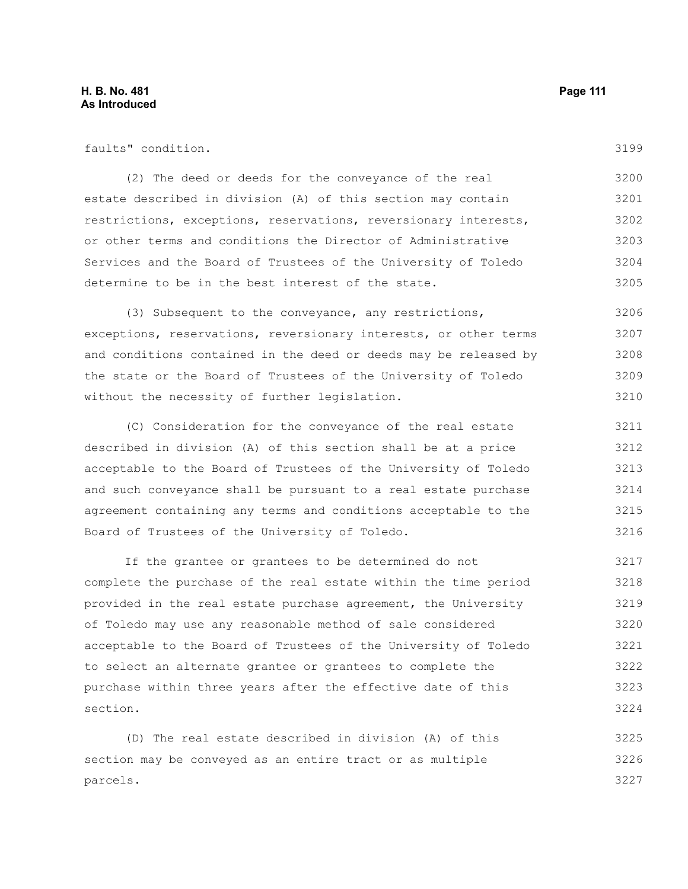3199

| faults" condition.                                              |
|-----------------------------------------------------------------|
| (2) The deed or deeds for the conveyance of the real            |
| estate described in division (A) of this section may contain    |
| restrictions, exceptions, reservations, reversionary interests, |
| or other terms and conditions the Director of Administrative    |
| Services and the Board of Trustees of the University of Toledo  |
| determine to be in the best interest of the state.              |
|                                                                 |

(3) Subsequent to the conveyance, any restrictions, exceptions, reservations, reversionary interests, or other terms and conditions contained in the deed or deeds may be released by the state or the Board of Trustees of the University of Toledo without the necessity of further legislation. 3206 3207 3208 3209 3210

(C) Consideration for the conveyance of the real estate described in division (A) of this section shall be at a price acceptable to the Board of Trustees of the University of Toledo and such conveyance shall be pursuant to a real estate purchase agreement containing any terms and conditions acceptable to the Board of Trustees of the University of Toledo. 3211 3212 3213 3214 3215 3216

If the grantee or grantees to be determined do not complete the purchase of the real estate within the time period provided in the real estate purchase agreement, the University of Toledo may use any reasonable method of sale considered acceptable to the Board of Trustees of the University of Toledo to select an alternate grantee or grantees to complete the purchase within three years after the effective date of this section. 3217 3218 3219 3220 3221 3222 3223 3224

(D) The real estate described in division (A) of this section may be conveyed as an entire tract or as multiple parcels. 3225 3226 3227